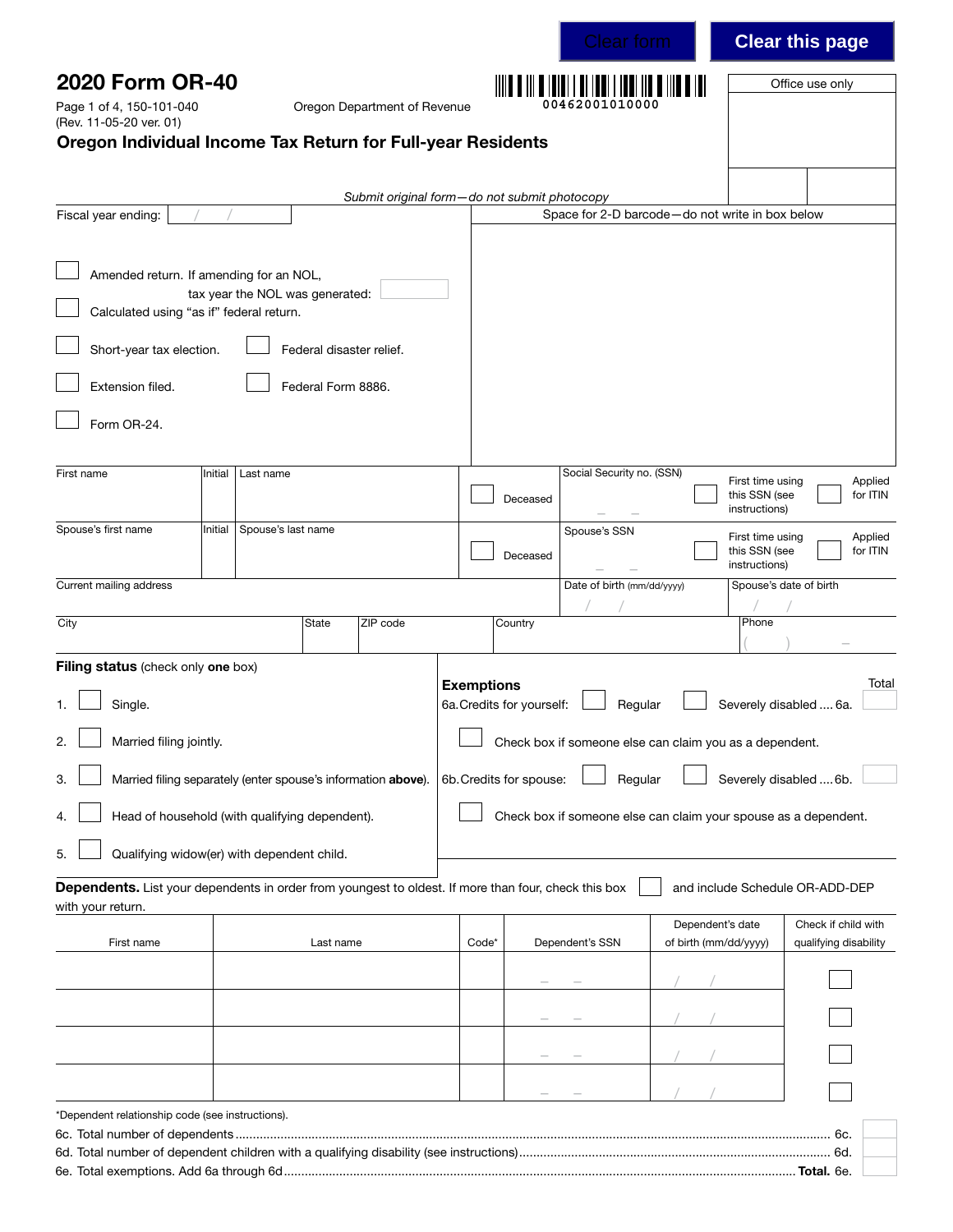| 2020 Form OR-40<br>Page 1 of 4, 150-101-040<br>(Rev. 11-05-20 ver. 01)                                                                             |         |                                 |                                                | Oregon Department of Revenue                 |                   |                           |                            |                                                                    |                                                    | Office use only                                                 |
|----------------------------------------------------------------------------------------------------------------------------------------------------|---------|---------------------------------|------------------------------------------------|----------------------------------------------|-------------------|---------------------------|----------------------------|--------------------------------------------------------------------|----------------------------------------------------|-----------------------------------------------------------------|
| Oregon Individual Income Tax Return for Full-year Residents                                                                                        |         |                                 |                                                |                                              |                   |                           |                            |                                                                    |                                                    |                                                                 |
| Fiscal year ending:                                                                                                                                |         |                                 |                                                | Submit original form-do not submit photocopy |                   |                           |                            | Space for 2-D barcode-do not write in box below                    |                                                    |                                                                 |
| Amended return. If amending for an NOL,<br>Calculated using "as if" federal return.<br>Short-year tax election.<br>Extension filed.<br>Form OR-24. |         | tax year the NOL was generated: | Federal disaster relief.<br>Federal Form 8886. |                                              |                   |                           |                            |                                                                    |                                                    |                                                                 |
| First name                                                                                                                                         | Initial | Last name                       |                                                |                                              |                   |                           | Social Security no. (SSN)  |                                                                    |                                                    |                                                                 |
|                                                                                                                                                    |         |                                 |                                                |                                              |                   | Deceased                  |                            |                                                                    | First time using<br>this SSN (see<br>instructions) | Applied<br>for ITIN                                             |
| Spouse's first name                                                                                                                                | Initial | Spouse's last name              |                                                |                                              |                   | Deceased                  | Spouse's SSN               |                                                                    | First time using<br>this SSN (see<br>instructions) | Applied<br>for ITIN                                             |
| Current mailing address                                                                                                                            |         |                                 |                                                |                                              |                   |                           | Date of birth (mm/dd/yyyy) |                                                                    |                                                    | Spouse's date of birth                                          |
| City                                                                                                                                               |         |                                 | State                                          | ZIP code                                     |                   | Country                   |                            |                                                                    | Phone                                              |                                                                 |
| Filing status (check only one box)<br>Single.<br>2.<br>Married filing jointly.                                                                     |         |                                 |                                                |                                              | <b>Exemptions</b> | 6a. Credits for yourself: |                            | Regular<br>Check box if someone else can claim you as a dependent. |                                                    | Total<br>Severely disabled  6a.                                 |
| Married filing separately (enter spouse's information above).<br>3.                                                                                |         |                                 |                                                |                                              |                   | 6b. Credits for spouse:   |                            | Regular                                                            |                                                    | Severely disabled  6b.                                          |
| Head of household (with qualifying dependent).<br>4.<br>Qualifying widow(er) with dependent child.<br>5.                                           |         |                                 |                                                |                                              |                   |                           |                            |                                                                    |                                                    | Check box if someone else can claim your spouse as a dependent. |
| Dependents. List your dependents in order from youngest to oldest. If more than four, check this box                                               |         |                                 |                                                |                                              |                   |                           |                            |                                                                    |                                                    | and include Schedule OR-ADD-DEP                                 |
| with your return.<br>First name                                                                                                                    |         |                                 | Last name                                      |                                              | Code*             |                           | Dependent's SSN            |                                                                    | Dependent's date<br>of birth (mm/dd/yyyy)          | Check if child with<br>qualifying disability                    |
|                                                                                                                                                    |         |                                 |                                                |                                              |                   |                           |                            |                                                                    |                                                    |                                                                 |
|                                                                                                                                                    |         |                                 |                                                |                                              |                   |                           |                            |                                                                    |                                                    |                                                                 |
|                                                                                                                                                    |         |                                 |                                                |                                              |                   |                           |                            |                                                                    |                                                    |                                                                 |
|                                                                                                                                                    |         |                                 |                                                |                                              |                   |                           |                            |                                                                    |                                                    |                                                                 |
| *Dependent relationship code (see instructions).                                                                                                   |         |                                 |                                                |                                              |                   |                           |                            |                                                                    |                                                    |                                                                 |

Clear this page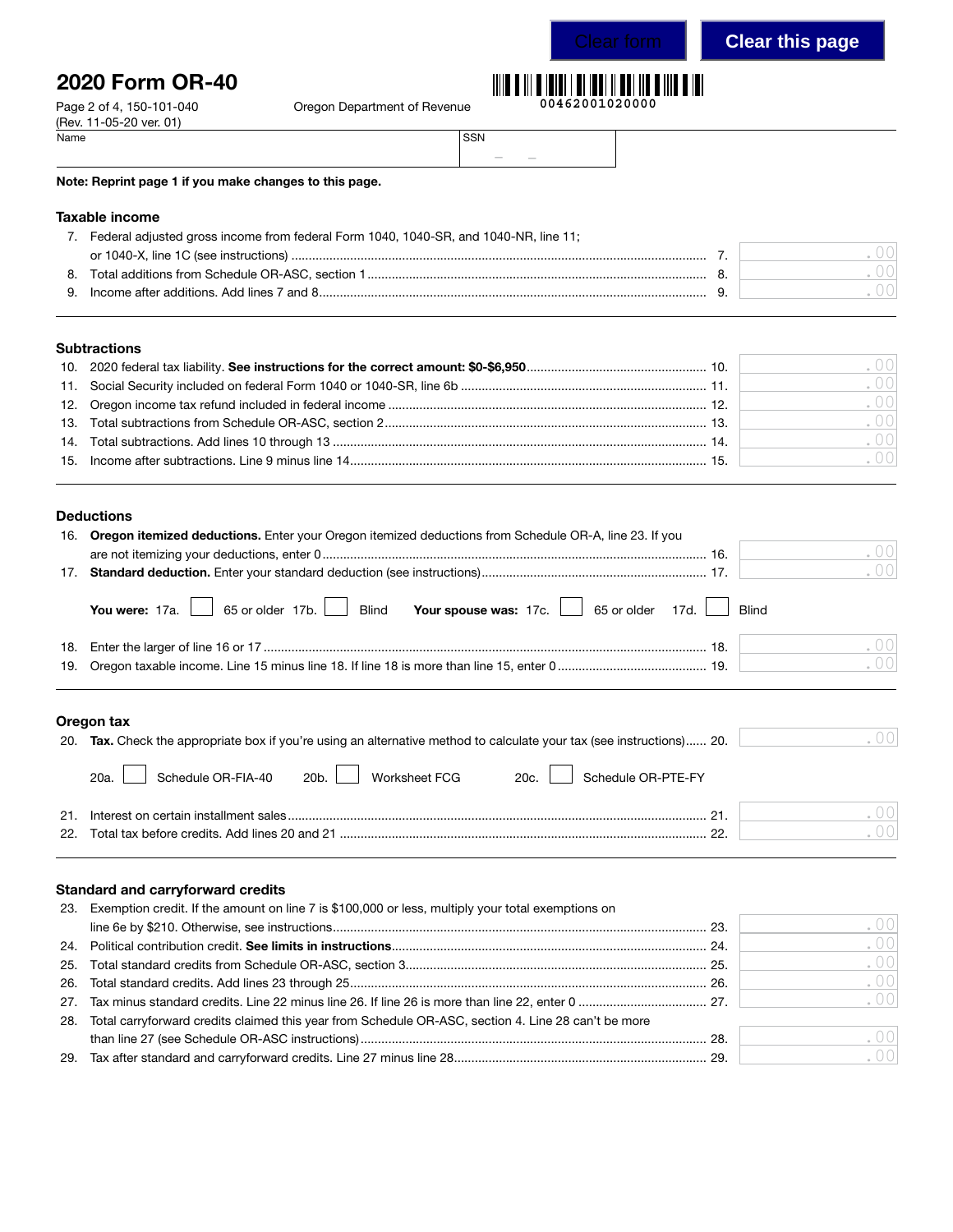## Clear this page

# 2020 Form OR-40

Page 2 of 4, 150-101-040 Cregon Department of Revenue

## **00462001020000**  $\mathbb{H}$

| Name | SSN |               |        |  |
|------|-----|---------------|--------|--|
|      |     | $\frac{1}{2}$ | $\sim$ |  |

#### Note: Reprint page 1 if you make changes to this page.

#### Taxable income

(Rev. 11-05-20 ver. 01)<br>Name

|    | Federal adjusted gross income from federal Form 1040, 1040-SR, and 1040-NR, line 11; |  |
|----|--------------------------------------------------------------------------------------|--|
|    |                                                                                      |  |
| 8. |                                                                                      |  |
|    |                                                                                      |  |
|    |                                                                                      |  |

#### **Subtractions**

|  | .001 |
|--|------|
|  | .00  |
|  | .001 |
|  | .00  |
|  | .001 |
|  | .00  |
|  |      |

#### Deductions

| 16. Oregon itemized deductions. Enter your Oregon itemized deductions from Schedule OR-A, line 23. If you |     |
|-----------------------------------------------------------------------------------------------------------|-----|
|                                                                                                           | .00 |
|                                                                                                           | .00 |
| You were: 17a. 65 or older 17b. Blind Your spouse was: 17c. 65 or older 17d. Blind                        |     |
|                                                                                                           | .00 |
|                                                                                                           | .00 |
|                                                                                                           |     |

#### Oregon tax

| $-1090115011$                                                                                                         |     |
|-----------------------------------------------------------------------------------------------------------------------|-----|
| 20. Tax. Check the appropriate box if you're using an alternative method to calculate your tax (see instructions) 20. |     |
| 20a. Schedule OR-FIA-40 20b. Worksheet FCG 20c. Schedule OR-PTE-FY                                                    |     |
| $^{\circ}$                                                                                                            |     |
|                                                                                                                       | (1) |
|                                                                                                                       |     |

#### Standard and carryforward credits

| 23. Exemption credit. If the amount on line 7 is \$100,000 or less, multiply your total exemptions on   |        |
|---------------------------------------------------------------------------------------------------------|--------|
|                                                                                                         | .00    |
|                                                                                                         | .001   |
|                                                                                                         | .00    |
|                                                                                                         | .00    |
|                                                                                                         | .00    |
| 28. Total carryforward credits claimed this year from Schedule OR-ASC, section 4. Line 28 can't be more |        |
|                                                                                                         | $\cap$ |
|                                                                                                         | .001   |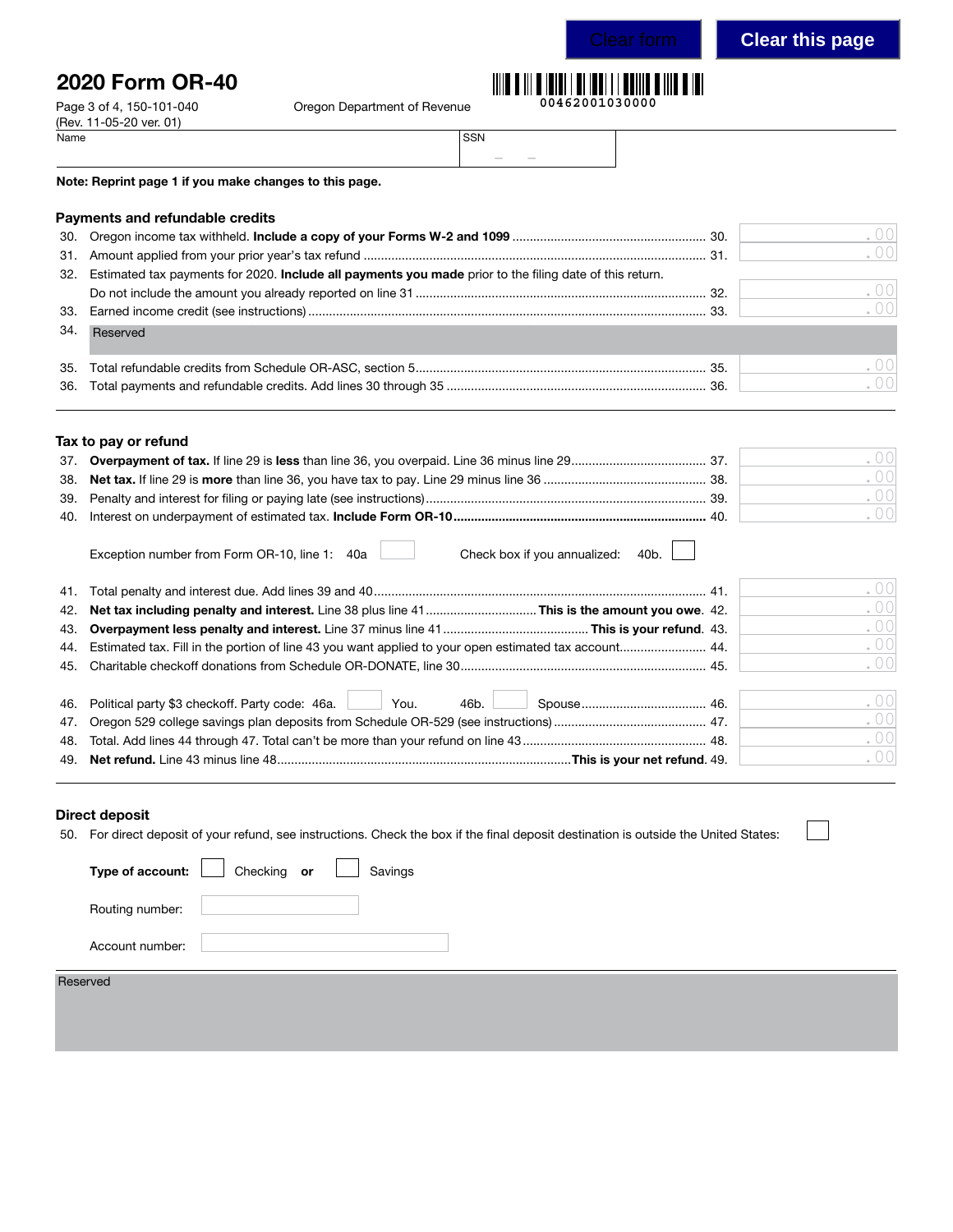# Clear this page

# 2020 Form OR-40

(Rev. 11-05-20 ver. 01)<br>Name

Page 3 of 4, 150-101-040 Cregon Department of Revenue

|  |  | 00462001030000 |  |  |  |  |  |  |  |
|--|--|----------------|--|--|--|--|--|--|--|

| Name | SSN               |
|------|-------------------|
|      | <b>CONTRACTOR</b> |

Note: Reprint page 1 if you make changes to this page.

| <b>Payments and refundable credits</b> |
|----------------------------------------|
|----------------------------------------|

|     |                                                                                                             | .00    |
|-----|-------------------------------------------------------------------------------------------------------------|--------|
|     |                                                                                                             | .00    |
|     | 32. Estimated tax payments for 2020. Include all payments you made prior to the filing date of this return. |        |
|     |                                                                                                             | . $00$ |
|     |                                                                                                             | .00    |
| 34. | Reserved                                                                                                    |        |
|     |                                                                                                             | .00    |
|     |                                                                                                             | .00    |

| Tax to pay or refund |  |  |  |  |  |  |
|----------------------|--|--|--|--|--|--|
|----------------------|--|--|--|--|--|--|

|  | $( )$ $( )$ $ $                                 |
|--|-------------------------------------------------|
|  |                                                 |
|  | $\left( \begin{array}{c} 1 \end{array} \right)$ |

| Exception number from Form OR-10, line 1: 40a<br>Check box if you annualized:<br>40b.<br>and the control of |        |
|-------------------------------------------------------------------------------------------------------------|--------|
|                                                                                                             | . $00$ |
|                                                                                                             | . $00$ |
|                                                                                                             | .00    |
|                                                                                                             | . $00$ |
|                                                                                                             | . $00$ |
|                                                                                                             |        |
| 46. Political party \$3 checkoff. Party code: 46a. 46.                                                      | . $00$ |
|                                                                                                             | .00    |
|                                                                                                             | . $00$ |
|                                                                                                             | . $00$ |

#### Direct deposit

50. For direct deposit of your refund, see instructions. Check the box if the final deposit destination is outside the United States:

| Type of account: | $\Box$ Checking or<br>Savings |
|------------------|-------------------------------|
| Routing number:  |                               |
| Account number:  |                               |
| Reserved         |                               |
|                  |                               |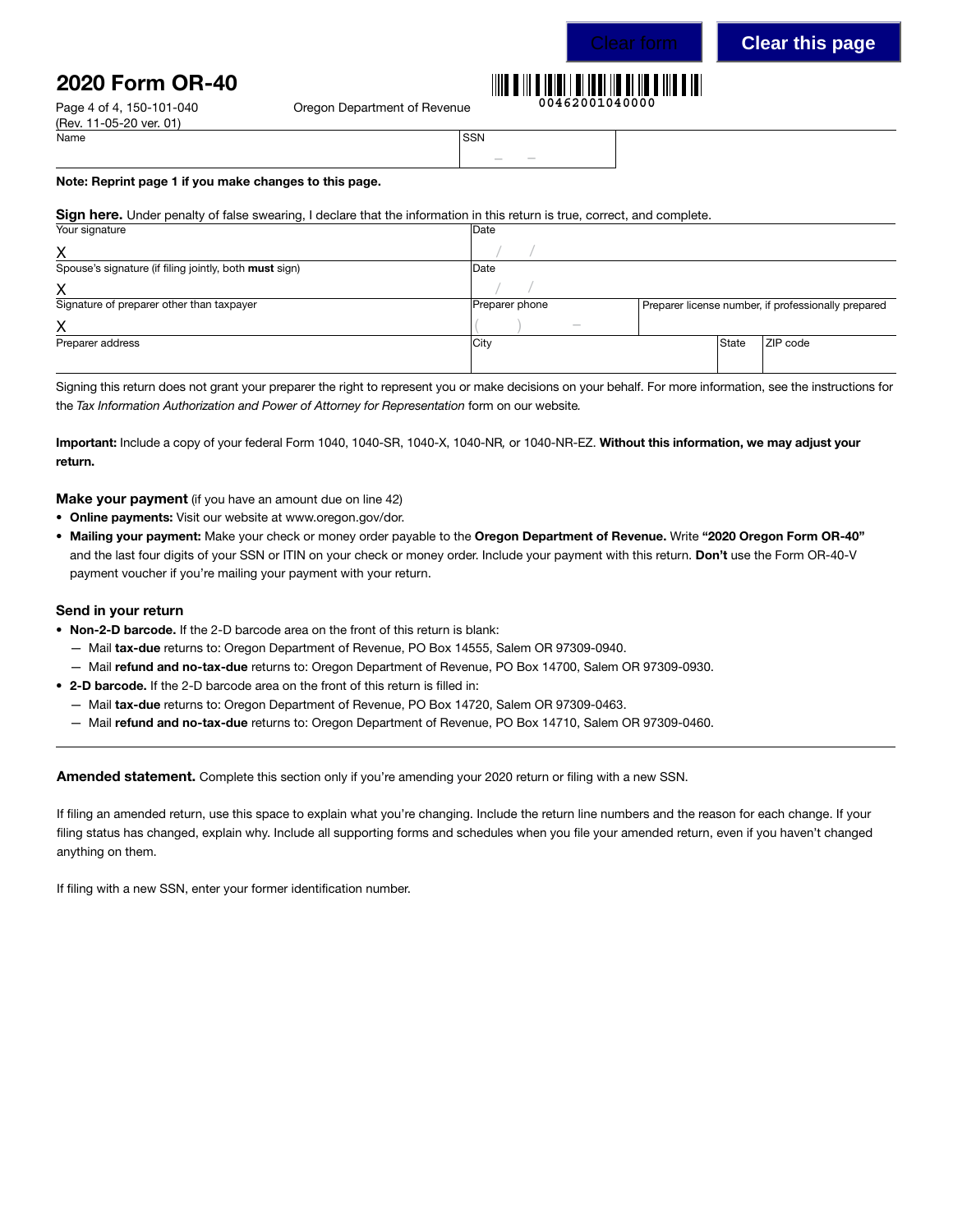# 2020 Form OR-40

Page 4 of 4, 150-101-040 Cregon Department of Revenue

#### **00462001040000**

| Name | <b>SSN</b>       |
|------|------------------|
|      | $\sim$<br>$\sim$ |

#### Note: Reprint page 1 if you make changes to this page.

#### Sign here. Under penalty of false swearing, I declare that the information in this return is true, correct, and complete.

| Your signature                                         | Date           |       |                                                     |
|--------------------------------------------------------|----------------|-------|-----------------------------------------------------|
| Χ                                                      |                |       |                                                     |
| Spouse's signature (if filing jointly, both must sign) | Date           |       |                                                     |
| х                                                      |                |       |                                                     |
| Signature of preparer other than taxpayer              | Preparer phone |       | Preparer license number, if professionally prepared |
| х                                                      | $\frac{1}{2}$  |       |                                                     |
| Preparer address                                       | City           | State | ZIP code                                            |
|                                                        |                |       |                                                     |

Signing this return does not grant your preparer the right to represent you or make decisions on your behalf. For more information, see the instructions for the *Tax Information Authorization and Power of Attorney for Representation* form on our website*.* 

Important: Include a copy of your federal Form 1040, 1040-SR, 1040-X, 1040-NR*,* or 1040-NR-EZ. Without this information, we may adjust your return.

**Make your payment** (if you have an amount due on line 42)

- Online payments: Visit our website at www.oregon.gov/dor.
- Mailing your payment: Make your check or money order payable to the Oregon Department of Revenue. Write "2020 Oregon Form OR-40" and the last four digits of your SSN or ITIN on your check or money order. Include your payment with this return. Don't use the Form OR-40-V payment voucher if you're mailing your payment with your return.

#### Send in your return

- Non-2-D barcode. If the 2-D barcode area on the front of this return is blank:
	- Mail tax-due returns to: Oregon Department of Revenue, PO Box 14555, Salem OR 97309-0940.
	- Mail refund and no-tax-due returns to: Oregon Department of Revenue, PO Box 14700, Salem OR 97309-0930.
- 2-D barcode. If the 2-D barcode area on the front of this return is filled in:
	- Mail tax-due returns to: Oregon Department of Revenue, PO Box 14720, Salem OR 97309-0463.
	- Mail refund and no-tax-due returns to: Oregon Department of Revenue, PO Box 14710, Salem OR 97309-0460.

Amended statement. Complete this section only if you're amending your 2020 return or filing with a new SSN.

If filing an amended return, use this space to explain what you're changing. Include the return line numbers and the reason for each change. If your filing status has changed, explain why. Include all supporting forms and schedules when you file your amended return, even if you haven't changed anything on them.

If filing with a new SSN, enter your former identification number.

(Rev. 11-05-20 ver. 01)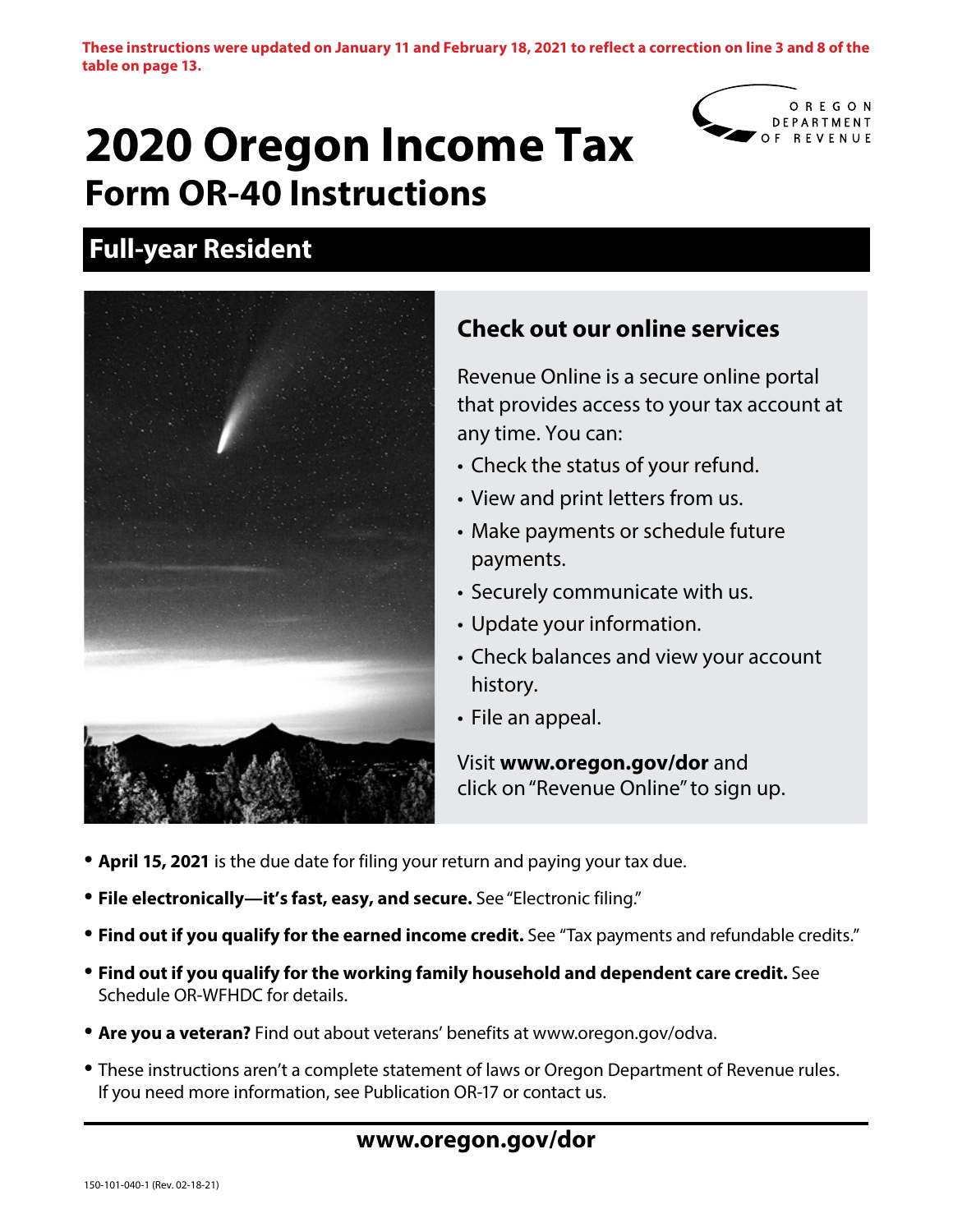**These instructions were updated on January 11 and February 18, 2021 to reflect a correction on line 3 and 8 of the table on page 13.**

# **2020 Oregon Income Tax Form OR-40 Instructions**



# **Full-year Resident**



# **Check out our online services**

Revenue Online is a secure online portal that provides access to your tax account at any time. You can:

- Check the status of your refund.
- View and print letters from us.
- Make payments or schedule future payments.
- Securely communicate with us.
- Update your information.
- Check balances and view your account history.
- File an appeal.

Visit **www.oregon.gov/dor** and click on "Revenue Online" to sign up.

- **April 15, 2021** is the due date for filing your return and paying your tax due.
- **File electronically—it's fast, easy, and secure.** See "Electronic filing."
- **Find out if you qualify for the earned income credit.** See "Tax payments and refundable credits."
- **Find out if you qualify for the working family household and dependent care credit.** See Schedule OR-WFHDC for details.
- **Are you a veteran?** Find out about veterans' benefits at www.oregon.gov/odva.
- These instructions aren't a complete statement of laws or Oregon Department of Revenue rules. If you need more information, see Publication OR-17 or contact us.

## **www.oregon.gov/dor**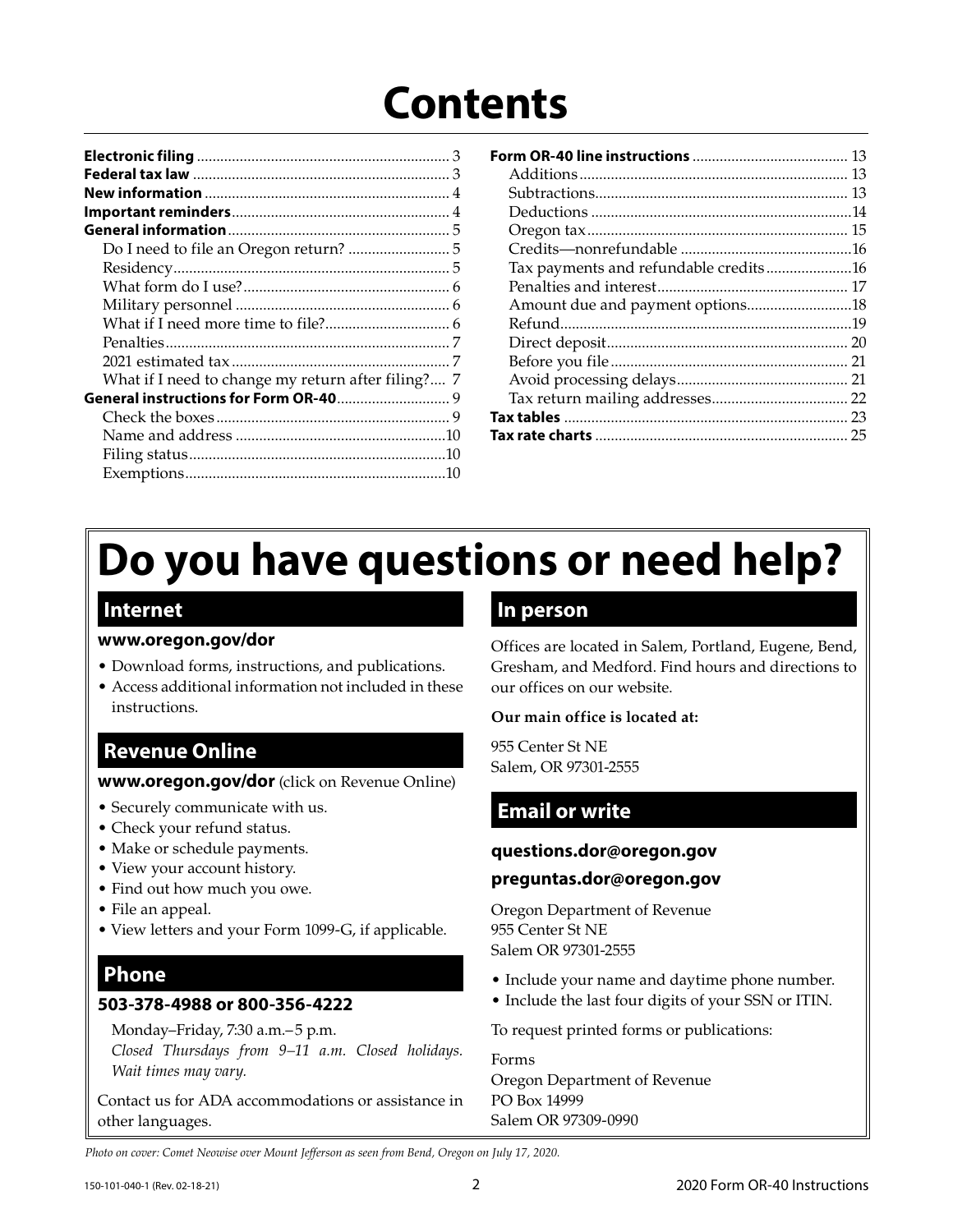# **Contents**

| What if I need to change my return after filing? 7 |
|----------------------------------------------------|
| General instructions for Form OR-40 9              |
|                                                    |
|                                                    |
|                                                    |
|                                                    |

|                                       | 13 |
|---------------------------------------|----|
|                                       |    |
|                                       |    |
|                                       |    |
|                                       |    |
|                                       |    |
| Tax payments and refundable credits16 |    |
|                                       |    |
| Amount due and payment options18      |    |
|                                       |    |
|                                       |    |
|                                       |    |
|                                       |    |
|                                       |    |
|                                       |    |
|                                       | 25 |
|                                       |    |

# **Do you have questions or need help?**

## **Internet**

## **www.oregon.gov/dor**

- Download forms, instructions, and publications.
- Access additional information not included in these instructions.

## **Revenue Online**

### **www.oregon.gov/dor** (click on Revenue Online)

- Securely communicate with us.
- Check your refund status.
- Make or schedule payments.
- View your account history.
- Find out how much you owe.
- File an appeal.
- View letters and your Form 1099-G, if applicable.

# **Phone**

## **503-378-4988 or 800-356-4222**

Monday–Friday, 7:30 a.m.– 5 p.m.

*Closed Thursdays from 9–11 a.m. Closed holidays. Wait times may vary.*

Contact us for ADA accommodations or assistance in other languages.

## **In person**

Offices are located in Salem, Portland, Eugene, Bend, Gresham, and Medford. Find hours and directions to our offices on our website.

### **Our main office is located at:**

955 Center St NE Salem, OR 97301-2555

# **Email or write**

## **questions.dor@oregon.gov**

## **preguntas.dor@oregon.gov**

Oregon Department of Revenue 955 Center St NE Salem OR 97301-2555

- Include your name and daytime phone number.
- Include the last four digits of your SSN or ITIN.

To request printed forms or publications:

Forms Oregon Department of Revenue PO Box 14999 Salem OR 97309-0990

*Photo on cover: Comet Neowise over Mount Jefferson as seen from Bend, Oregon on July 17, 2020.*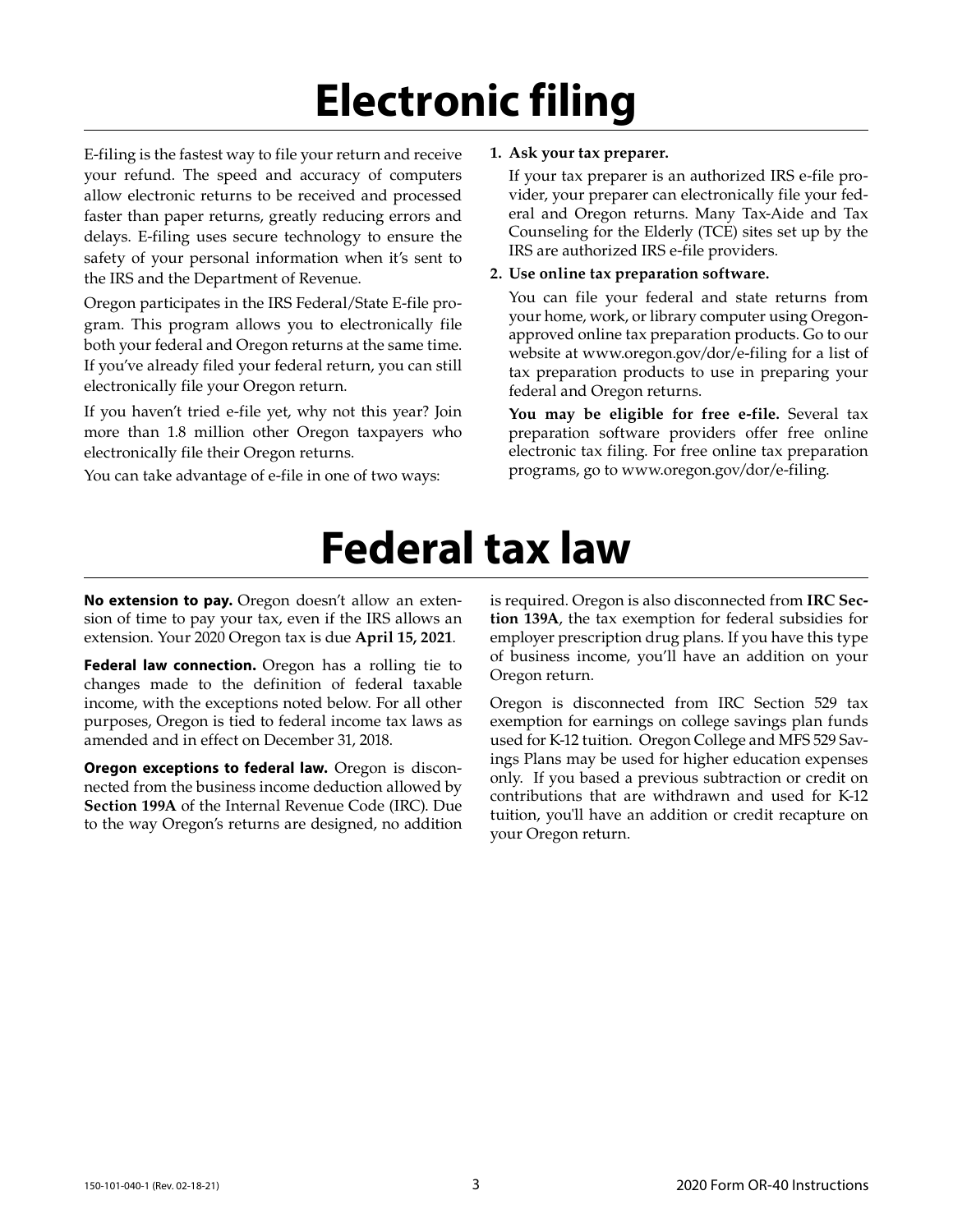# **Electronic filing**

E-filing is the fastest way to file your return and receive your refund. The speed and accuracy of computers allow electronic returns to be received and processed faster than paper returns, greatly reducing errors and delays. E-filing uses secure technology to ensure the safety of your personal information when it's sent to the IRS and the Department of Revenue.

Oregon participates in the IRS Federal/State E-file program. This program allows you to electronically file both your federal and Oregon returns at the same time. If you've already filed your federal return, you can still electronically file your Oregon return.

If you haven't tried e-file yet, why not this year? Join more than 1.8 million other Oregon taxpayers who electronically file their Oregon returns.

You can take advantage of e-file in one of two ways:

### **1. Ask your tax preparer.**

If your tax preparer is an authorized IRS e-file provider, your preparer can electronically file your federal and Oregon returns. Many Tax-Aide and Tax Counseling for the Elderly (TCE) sites set up by the IRS are authorized IRS e-file providers.

### **2. Use online tax preparation software.**

You can file your federal and state returns from your home, work, or library computer using Oregonapproved online tax preparation products. Go to our website at www.oregon.gov/dor/e-filing for a list of tax preparation products to use in preparing your federal and Oregon returns.

**You may be eligible for free e-file.** Several tax preparation software providers offer free online electronic tax filing. For free online tax preparation programs, go to www.oregon.gov/dor/e-filing.

# **Federal tax law**

**No extension to pay.** Oregon doesn't allow an extension of time to pay your tax, even if the IRS allows an extension. Your 2020 Oregon tax is due **April 15, 2021**.

**Federal law connection.** Oregon has a rolling tie to changes made to the definition of federal taxable income, with the exceptions noted below. For all other purposes, Oregon is tied to federal income tax laws as amended and in effect on December 31, 2018.

**Oregon exceptions to federal law.** Oregon is disconnected from the business income deduction allowed by **Section 199A** of the Internal Revenue Code (IRC). Due to the way Oregon's returns are designed, no addition

is required. Oregon is also disconnected from **IRC Section 139A**, the tax exemption for federal subsidies for employer prescription drug plans. If you have this type of business income, you'll have an addition on your Oregon return.

Oregon is disconnected from IRC Section 529 tax exemption for earnings on college savings plan funds used for K-12 tuition. Oregon College and MFS 529 Savings Plans may be used for higher education expenses only. If you based a previous subtraction or credit on contributions that are withdrawn and used for K-12 tuition, you'll have an addition or credit recapture on your Oregon return.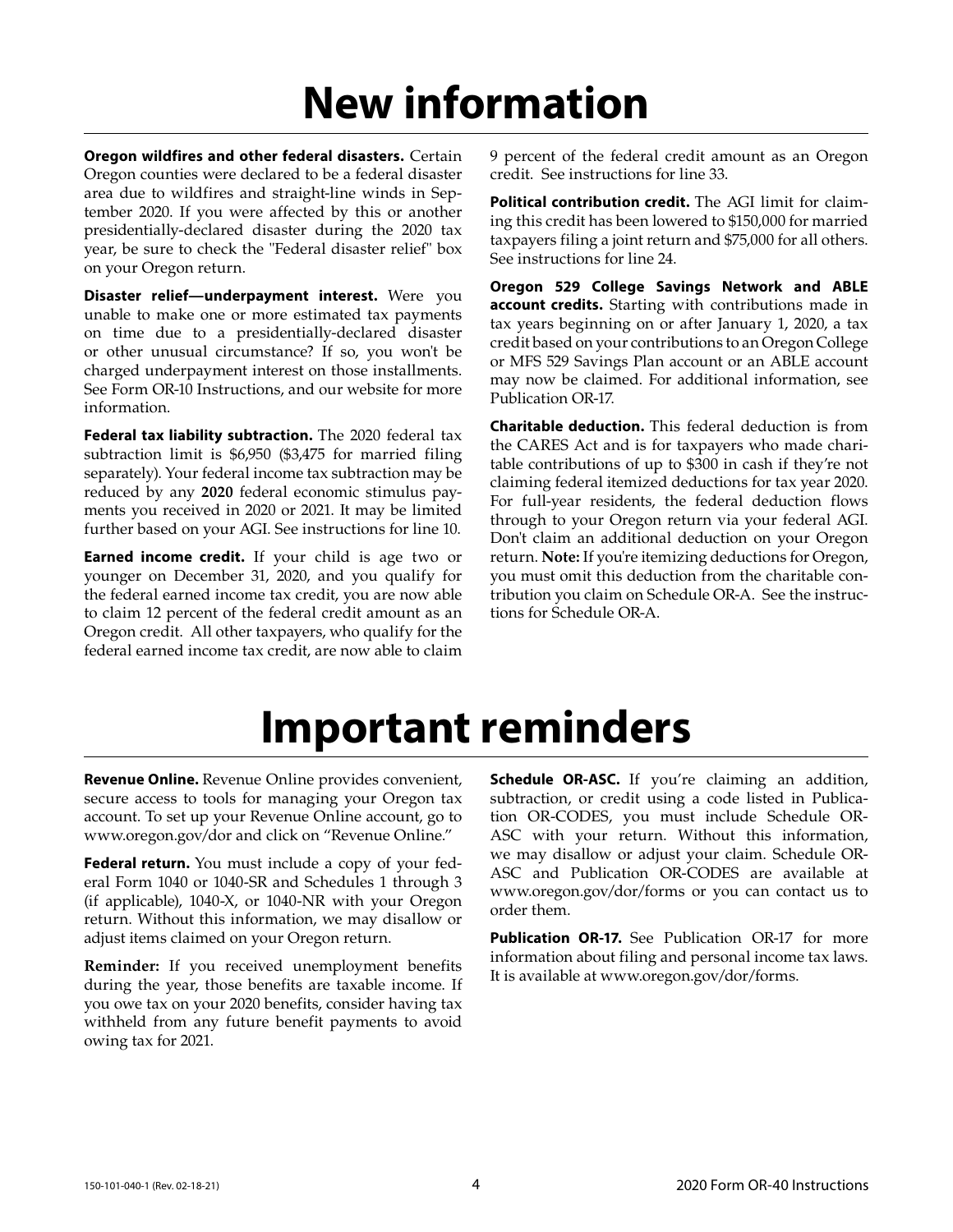# **New information**

**Oregon wildfires and other federal disasters.** Certain Oregon counties were declared to be a federal disaster area due to wildfires and straight-line winds in September 2020. If you were affected by this or another presidentially-declared disaster during the 2020 tax year, be sure to check the "Federal disaster relief" box on your Oregon return.

**Disaster relief—underpayment interest.** Were you unable to make one or more estimated tax payments on time due to a presidentially-declared disaster or other unusual circumstance? If so, you won't be charged underpayment interest on those installments. See Form OR-10 Instructions, and our website for more information.

Federal tax liability subtraction. The 2020 federal tax subtraction limit is \$6,950 (\$3,475 for married filing separately). Your federal income tax subtraction may be reduced by any **2020** federal economic stimulus payments you received in 2020 or 2021. It may be limited further based on your AGI. See instructions for line 10.

**Earned income credit.** If your child is age two or younger on December 31, 2020, and you qualify for the federal earned income tax credit, you are now able to claim 12 percent of the federal credit amount as an Oregon credit. All other taxpayers, who qualify for the federal earned income tax credit, are now able to claim

9 percent of the federal credit amount as an Oregon credit. See instructions for line 33.

**Political contribution credit.** The AGI limit for claiming this credit has been lowered to \$150,000 for married taxpayers filing a joint return and \$75,000 for all others. See instructions for line 24.

**Oregon 529 College Savings Network and ABLE account credits.** Starting with contributions made in tax years beginning on or after January 1, 2020, a tax credit based on your contributions to an Oregon College or MFS 529 Savings Plan account or an ABLE account may now be claimed. For additional information, see Publication OR-17.

**Charitable deduction.** This federal deduction is from the CARES Act and is for taxpayers who made charitable contributions of up to \$300 in cash if they're not claiming federal itemized deductions for tax year 2020. For full-year residents, the federal deduction flows through to your Oregon return via your federal AGI. Don't claim an additional deduction on your Oregon return. **Note:** If you're itemizing deductions for Oregon, you must omit this deduction from the charitable contribution you claim on Schedule OR-A. See the instructions for Schedule OR-A.

# **Important reminders**

**Revenue Online.** Revenue Online provides convenient, secure access to tools for managing your Oregon tax account. To set up your Revenue Online account, go to www.oregon.gov/dor and click on "Revenue Online."

**Federal return.** You must include a copy of your federal Form 1040 or 1040-SR and Schedules 1 through 3 (if applicable), 1040-X, or 1040-NR with your Oregon return. Without this information, we may disallow or adjust items claimed on your Oregon return.

**Reminder:** If you received unemployment benefits during the year, those benefits are taxable income. If you owe tax on your 2020 benefits, consider having tax withheld from any future benefit payments to avoid owing tax for 2021.

**Schedule OR-ASC.** If you're claiming an addition, subtraction, or credit using a code listed in Publication OR-CODES, you must include Schedule OR-ASC with your return. Without this information, we may disallow or adjust your claim. Schedule OR-ASC and Publication OR-CODES are available at www.oregon.gov/dor/forms or you can contact us to order them.

**Publication OR-17.** See Publication OR-17 for more information about filing and personal income tax laws. It is available at www.oregon.gov/dor/forms.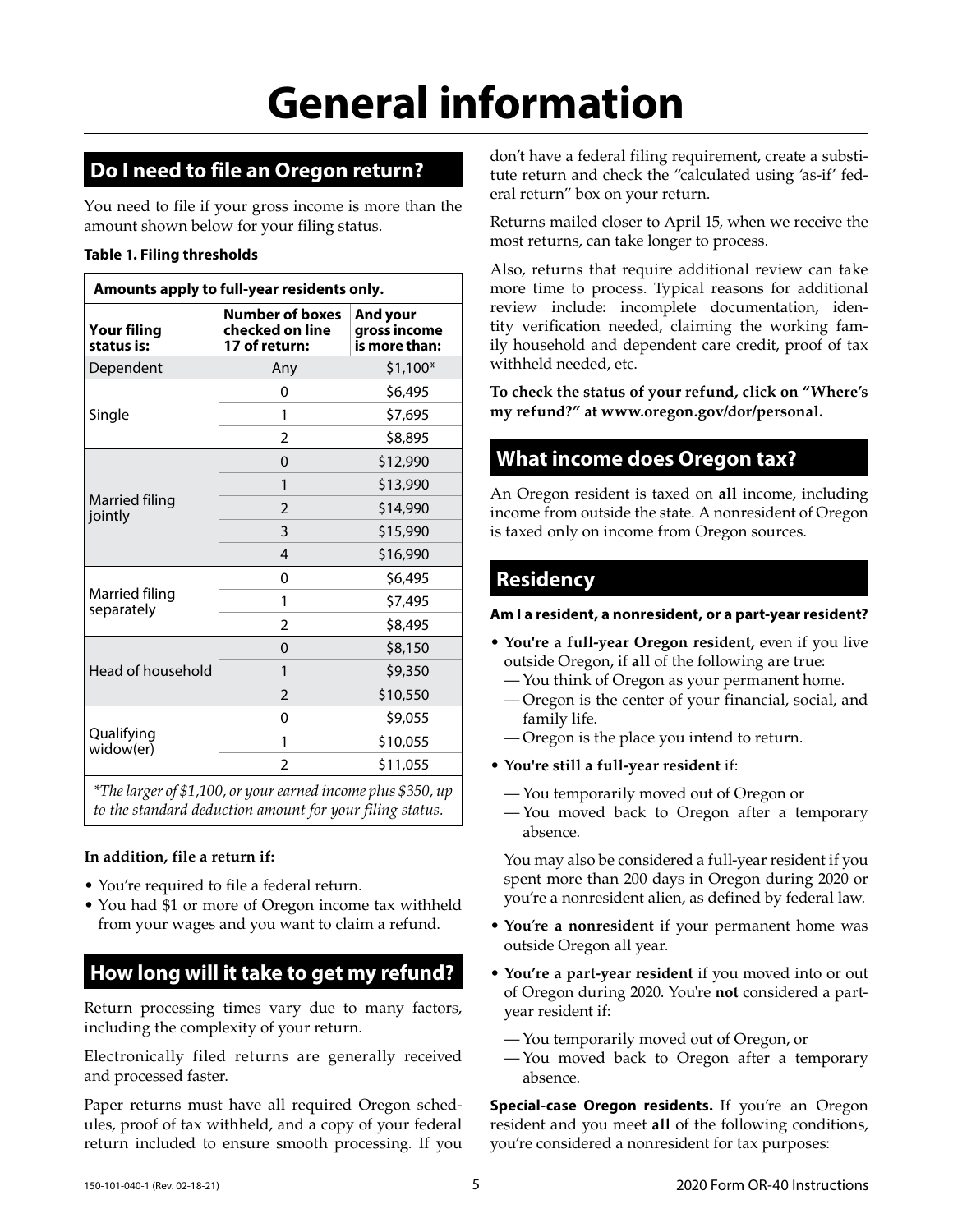# **Do I need to file an Oregon return?**

You need to file if your gross income is more than the amount shown below for your filing status.

### **Table 1. Filing thresholds**

| Amounts apply to full-year residents only. |                                                            |                                           |  |  |  |
|--------------------------------------------|------------------------------------------------------------|-------------------------------------------|--|--|--|
| <b>Your filing</b><br>status is:           | <b>Number of boxes</b><br>checked on line<br>17 of return: | And your<br>gross income<br>is more than: |  |  |  |
| Dependent                                  | Any                                                        | $$1,100*$                                 |  |  |  |
|                                            | 0                                                          | \$6,495                                   |  |  |  |
| Single                                     | 1                                                          | \$7,695                                   |  |  |  |
|                                            | 2                                                          | \$8,895                                   |  |  |  |
|                                            | $\Omega$                                                   | \$12,990                                  |  |  |  |
|                                            | 1                                                          | \$13,990                                  |  |  |  |
| Married filing<br>jointly                  | $\mathfrak{D}$                                             | \$14,990                                  |  |  |  |
|                                            | 3                                                          | \$15,990                                  |  |  |  |
|                                            | $\overline{\mathcal{A}}$                                   | \$16,990                                  |  |  |  |
|                                            | 0                                                          | \$6,495                                   |  |  |  |
| Married filing<br>separately               | 1                                                          | \$7,495                                   |  |  |  |
|                                            | $\overline{2}$                                             | \$8,495                                   |  |  |  |
|                                            | $\Omega$                                                   | \$8,150                                   |  |  |  |
| Head of household                          | 1                                                          | \$9,350                                   |  |  |  |
|                                            | $\overline{2}$                                             | \$10,550                                  |  |  |  |
|                                            | 0                                                          | \$9,055                                   |  |  |  |
| Qualifying<br>widow(er)                    | 1                                                          | \$10,055                                  |  |  |  |
|                                            | $\mathfrak z$                                              | \$11,055                                  |  |  |  |
|                                            |                                                            |                                           |  |  |  |

*\*The larger of \$1,100, or your earned income plus \$350, up to the standard deduction amount for your filing status.* 

### **In addition, file a return if:**

- You're required to file a federal return.
- You had \$1 or more of Oregon income tax withheld from your wages and you want to claim a refund.

# **How long will it take to get my refund?**

Return processing times vary due to many factors, including the complexity of your return.

Electronically filed returns are generally received and processed faster.

Paper returns must have all required Oregon schedules, proof of tax withheld, and a copy of your federal return included to ensure smooth processing. If you don't have a federal filing requirement, create a substitute return and check the "calculated using 'as-if' federal return" box on your return.

Returns mailed closer to April 15, when we receive the most returns, can take longer to process.

Also, returns that require additional review can take more time to process. Typical reasons for additional review include: incomplete documentation, identity verification needed, claiming the working family household and dependent care credit, proof of tax withheld needed, etc.

**To check the status of your refund, click on "Where's my refund?" at www.oregon.gov/dor/personal.**

# **What income does Oregon tax?**

An Oregon resident is taxed on **all** income, including income from outside the state. A nonresident of Oregon is taxed only on income from Oregon sources.

## **Residency**

### **Am I a resident, a nonresident, or a part-year resident?**

- **You're a full-year Oregon resident,** even if you live outside Oregon, if **all** of the following are true:
	- You think of Oregon as your permanent home.
	- Oregon is the center of your financial, social, and family life.
	- Oregon is the place you intend to return.
- **You're still a full-year resident** if:
	- You temporarily moved out of Oregon or
	- You moved back to Oregon after a temporary absence.

You may also be considered a full-year resident if you spent more than 200 days in Oregon during 2020 or you're a nonresident alien, as defined by federal law.

- **You**'**re a nonresident** if your permanent home was outside Oregon all year.
- **You're a part-year resident** if you moved into or out of Oregon during 2020. You're **not** considered a partyear resident if:
	- You temporarily moved out of Oregon, or
	- You moved back to Oregon after a temporary absence.

**Special-case Oregon residents.** If you're an Oregon resident and you meet **all** of the following conditions, you're considered a nonresident for tax purposes: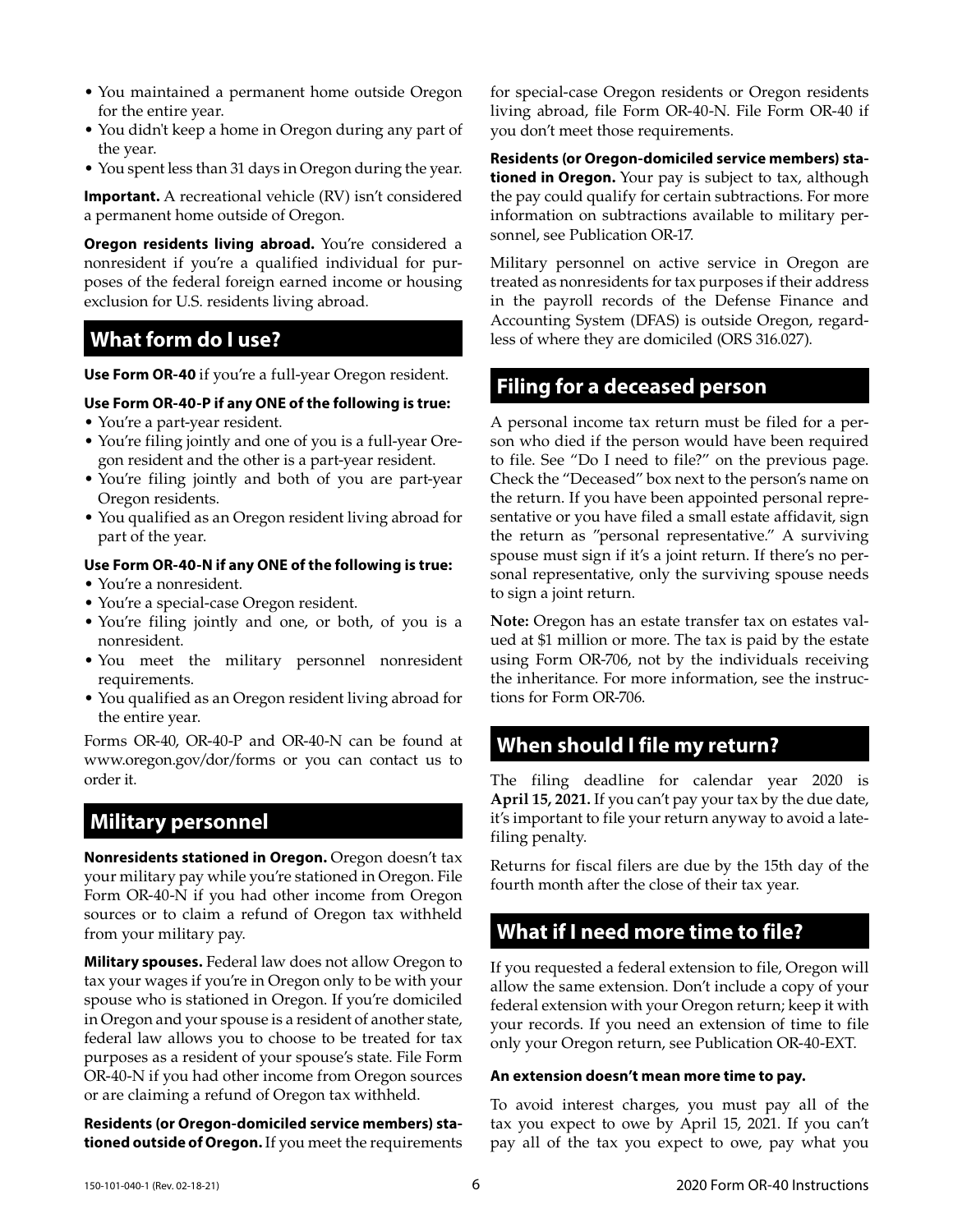- You maintained a permanent home outside Oregon for the entire year.
- You didn't keep a home in Oregon during any part of the year.
- You spent less than 31 days in Oregon during the year.

**Important.** A recreational vehicle (RV) isn't considered a permanent home outside of Oregon.

**Oregon residents living abroad.** You're considered a nonresident if you're a qualified individual for purposes of the federal foreign earned income or housing exclusion for U.S. residents living abroad.

## **What form do I use?**

**Use Form OR-40** if you're a full-year Oregon resident.

#### **Use Form OR-40-P if any ONE of the following is true:**

- You're a part-year resident.
- You're filing jointly and one of you is a full-year Oregon resident and the other is a part-year resident.
- You're filing jointly and both of you are part-year Oregon residents.
- You qualified as an Oregon resident living abroad for part of the year.

### **Use Form OR-40-N if any ONE of the following is true:**

- You're a nonresident.
- You're a special-case Oregon resident.
- You're filing jointly and one, or both, of you is a nonresident.
- You meet the military personnel nonresident requirements.
- You qualified as an Oregon resident living abroad for the entire year.

Forms OR-40, OR-40-P and OR-40-N can be found at www.oregon.gov/dor/forms or you can contact us to order it.

## **Military personnel**

**Nonresidents stationed in Oregon.** Oregon doesn't tax your military pay while you're stationed in Oregon. File Form OR-40-N if you had other income from Oregon sources or to claim a refund of Oregon tax withheld from your military pay.

**Military spouses.** Federal law does not allow Oregon to tax your wages if you're in Oregon only to be with your spouse who is stationed in Oregon. If you're domiciled in Oregon and your spouse is a resident of another state, federal law allows you to choose to be treated for tax purposes as a resident of your spouse's state. File Form OR-40-N if you had other income from Oregon sources or are claiming a refund of Oregon tax withheld.

**Residents (or Oregon-domiciled service members) stationed outside of Oregon.** If you meet the requirements for special-case Oregon residents or Oregon residents living abroad, file Form OR-40-N. File Form OR-40 if you don't meet those requirements.

**Residents (or Oregon-domiciled service members) stationed in Oregon.** Your pay is subject to tax, although the pay could qualify for certain subtractions. For more information on subtractions available to military personnel, see Publication OR-17.

Military personnel on active service in Oregon are treated as nonresidents for tax purposes if their address in the payroll records of the Defense Finance and Accounting System (DFAS) is outside Oregon, regardless of where they are domiciled (ORS 316.027).

## **Filing for a deceased person**

A personal income tax return must be filed for a person who died if the person would have been required to file. See "Do I need to file?" on the previous page. Check the "Deceased" box next to the person's name on the return. If you have been appointed personal representative or you have filed a small estate affidavit, sign the return as "personal representative." A surviving spouse must sign if it's a joint return. If there's no personal representative, only the surviving spouse needs to sign a joint return.

**Note:** Oregon has an estate transfer tax on estates valued at \$1 million or more. The tax is paid by the estate using Form OR-706, not by the individuals receiving the inheritance. For more information, see the instructions for Form OR-706.

# **When should I file my return?**

The filing deadline for calendar year 2020 is **April 15, 2021.** If you can't pay your tax by the due date, it's important to file your return anyway to avoid a latefiling penalty.

Returns for fiscal filers are due by the 15th day of the fourth month after the close of their tax year.

## **What if I need more time to file?**

If you requested a federal extension to file, Oregon will allow the same extension. Don't include a copy of your federal extension with your Oregon return; keep it with your records. If you need an extension of time to file only your Oregon return, see Publication OR-40-EXT.

#### **An extension doesn't mean more time to pay.**

To avoid interest charges, you must pay all of the tax you expect to owe by April 15, 2021. If you can't pay all of the tax you expect to owe, pay what you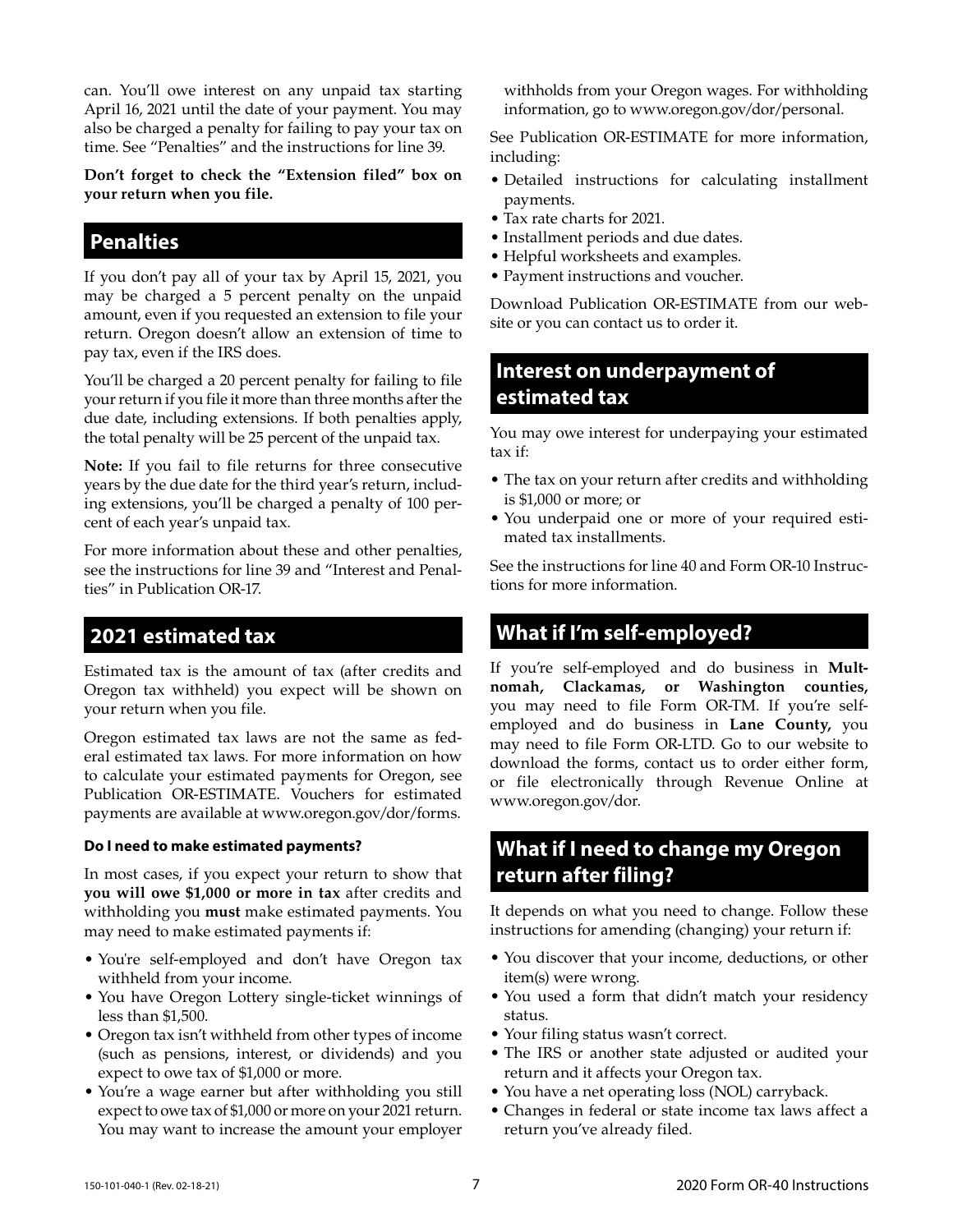can. You'll owe interest on any unpaid tax starting April 16, 2021 until the date of your payment. You may also be charged a penalty for failing to pay your tax on time. See "Penalties" and the instructions for line 39.

**Don't forget to check the "Extension filed" box on your return when you file.**

## **Penalties**

If you don't pay all of your tax by April 15, 2021, you may be charged a 5 percent penalty on the unpaid amount, even if you requested an extension to file your return. Oregon doesn't allow an extension of time to pay tax, even if the IRS does.

You'll be charged a 20 percent penalty for failing to file your return if you file it more than three months after the due date, including extensions. If both penalties apply, the total penalty will be 25 percent of the unpaid tax.

**Note:** If you fail to file returns for three consecutive years by the due date for the third year's return, including extensions, you'll be charged a penalty of 100 percent of each year's unpaid tax.

For more information about these and other penalties, see the instructions for line 39 and "Interest and Penalties" in Publication OR-17.

## **2021 estimated tax**

Estimated tax is the amount of tax (after credits and Oregon tax withheld) you expect will be shown on your return when you file.

Oregon estimated tax laws are not the same as federal estimated tax laws. For more information on how to calculate your estimated payments for Oregon, see Publication OR-ESTIMATE. Vouchers for estimated payments are available at www.oregon.gov/dor/forms.

### **Do I need to make estimated payments?**

In most cases, if you expect your return to show that **you will owe \$1,000 or more in tax** after credits and withholding you **must** make estimated payments. You may need to make estimated payments if:

- You're self-employed and don't have Oregon tax withheld from your income.
- You have Oregon Lottery single-ticket winnings of less than \$1,500.
- Oregon tax isn't withheld from other types of income (such as pensions, interest, or dividends) and you expect to owe tax of \$1,000 or more.
- You're a wage earner but after withholding you still expect to owe tax of \$1,000 or more on your 2021 return. You may want to increase the amount your employer

withholds from your Oregon wages. For withholding information, go to www.oregon.gov/dor/personal.

See Publication OR-ESTIMATE for more information, including:

- Detailed instructions for calculating installment payments.
- Tax rate charts for 2021.
- Installment periods and due dates.
- Helpful worksheets and examples.
- Payment instructions and voucher.

Download Publication OR-ESTIMATE from our website or you can contact us to order it.

# **Interest on underpayment of estimated tax**

You may owe interest for underpaying your estimated tax if:

- The tax on your return after credits and withholding is \$1,000 or more; or
- You underpaid one or more of your required estimated tax installments.

See the instructions for line 40 and Form OR-10 Instructions for more information.

## **What if I'm self-employed?**

If you're self-employed and do business in **Multnomah, Clackamas, or Washington counties,**  you may need to file Form OR-TM. If you're selfemployed and do business in **Lane County,** you may need to file Form OR-LTD. Go to our website to download the forms, contact us to order either form, or file electronically through Revenue Online at www.oregon.gov/dor.

## **What if I need to change my Oregon return after filing?**

It depends on what you need to change. Follow these instructions for amending (changing) your return if:

- You discover that your income, deductions, or other item(s) were wrong.
- You used a form that didn't match your residency status.
- Your filing status wasn't correct.
- The IRS or another state adjusted or audited your return and it affects your Oregon tax.
- You have a net operating loss (NOL) carryback.
- Changes in federal or state income tax laws affect a return you've already filed.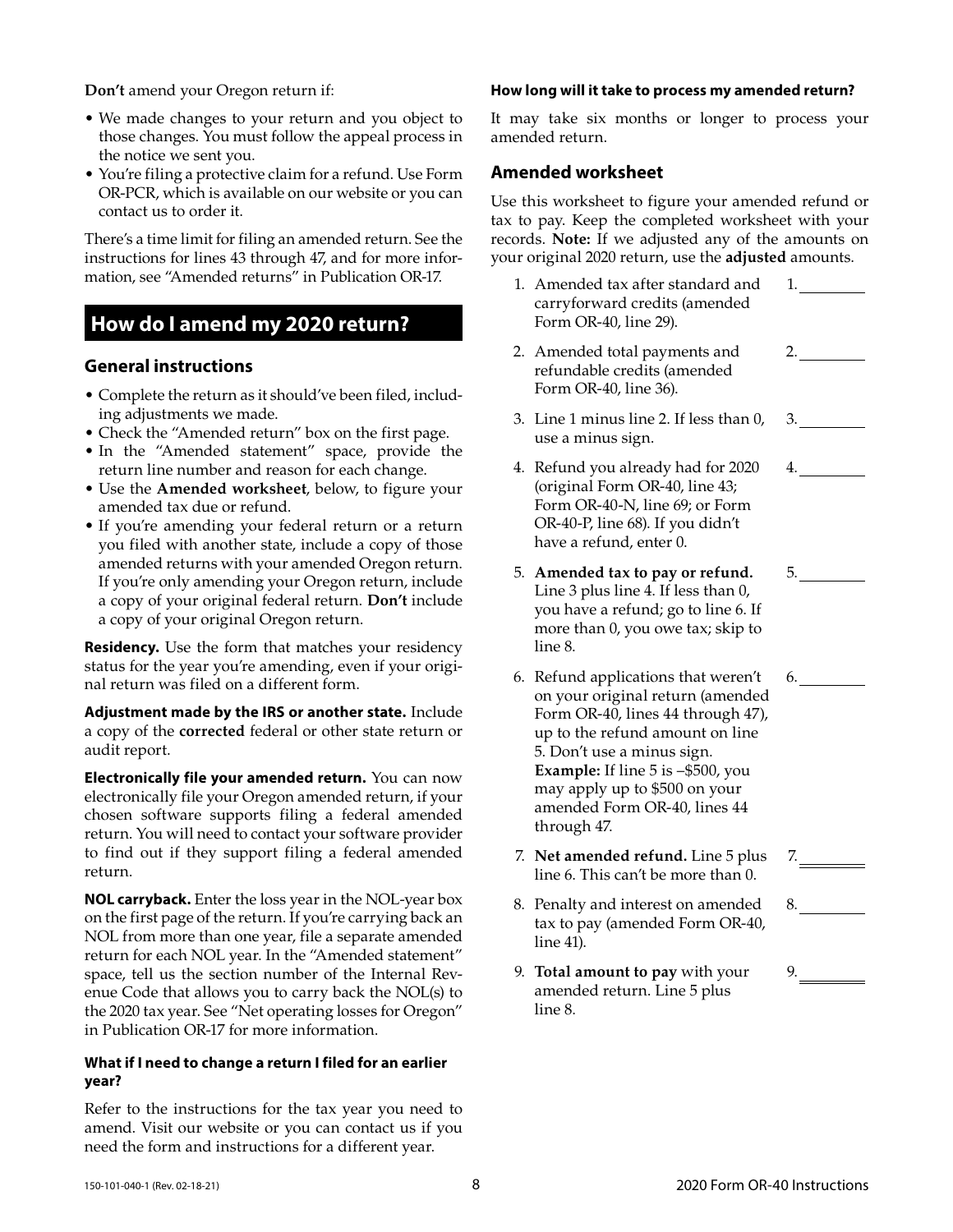**Don't** amend your Oregon return if:

- We made changes to your return and you object to those changes. You must follow the appeal process in the notice we sent you.
- You're filing a protective claim for a refund. Use Form OR-PCR, which is available on our website or you can contact us to order it.

There's a time limit for filing an amended return. See the instructions for lines 43 through 47, and for more information, see "Amended returns" in Publication OR-17.

## **How do I amend my 2020 return?**

### **General instructions**

- Complete the return as it should've been filed, including adjustments we made.
- Check the "Amended return" box on the first page.
- In the "Amended statement" space, provide the return line number and reason for each change.
- Use the **Amended worksheet**, below, to figure your amended tax due or refund.
- If you're amending your federal return or a return you filed with another state, include a copy of those amended returns with your amended Oregon return. If you're only amending your Oregon return, include a copy of your original federal return. **Don't** include a copy of your original Oregon return.

**Residency.** Use the form that matches your residency status for the year you're amending, even if your original return was filed on a different form.

**Adjustment made by the IRS or another state.** Include a copy of the **corrected** federal or other state return or audit report.

**Electronically file your amended return.** You can now electronically file your Oregon amended return, if your chosen software supports filing a federal amended return. You will need to contact your software provider to find out if they support filing a federal amended return.

**NOL carryback.** Enter the loss year in the NOL-year box on the first page of the return. If you're carrying back an NOL from more than one year, file a separate amended return for each NOL year. In the "Amended statement" space, tell us the section number of the Internal Revenue Code that allows you to carry back the NOL(s) to the 2020 tax year. See "Net operating losses for Oregon" in Publication OR-17 for more information.

#### **What if I need to change a return I filed for an earlier year?**

Refer to the instructions for the tax year you need to amend. Visit our website or you can contact us if you need the form and instructions for a different year.

#### **How long will it take to process my amended return?**

It may take six months or longer to process your amended return.

## **Amended worksheet**

Use this worksheet to figure your amended refund or tax to pay. Keep the completed worksheet with your records. **Note:** If we adjusted any of the amounts on your original 2020 return, use the **adjusted** amounts.

- 1. Amended tax after standard and carryforward credits (amended Form OR-40, line 29). 1.
- 2. Amended total payments and refundable credits (amended Form OR-40, line 36).  $2.$
- 3. Line 1 minus line 2. If less than 0, use a minus sign.
- 4. Refund you already had for 2020 (original Form OR-40, line 43; Form OR-40-N, line 69; or Form OR-40-P, line 68). If you didn't have a refund, enter 0.
- 5. **Amended tax to pay or refund.**  Line 3 plus line 4. If less than 0, you have a refund; go to line 6. If more than 0, you owe tax; skip to line 8.
- 6. Refund applications that weren't on your original return (amended Form OR-40, lines 44 through 47), up to the refund amount on line 5. Don't use a minus sign. **Example:** If line 5 is –\$500, you may apply up to \$500 on your amended Form OR-40, lines 44 through 47. 6.
- 7. **Net amended refund.** Line 5 plus line 6. This can't be more than 0.
- 8. Penalty and interest on amended tax to pay (amended Form OR-40, line 41).
- 9. **Total amount to pay** with your amended return. Line 5 plus line 8.

8.

7.

3.

4.

 $5.$ 

9.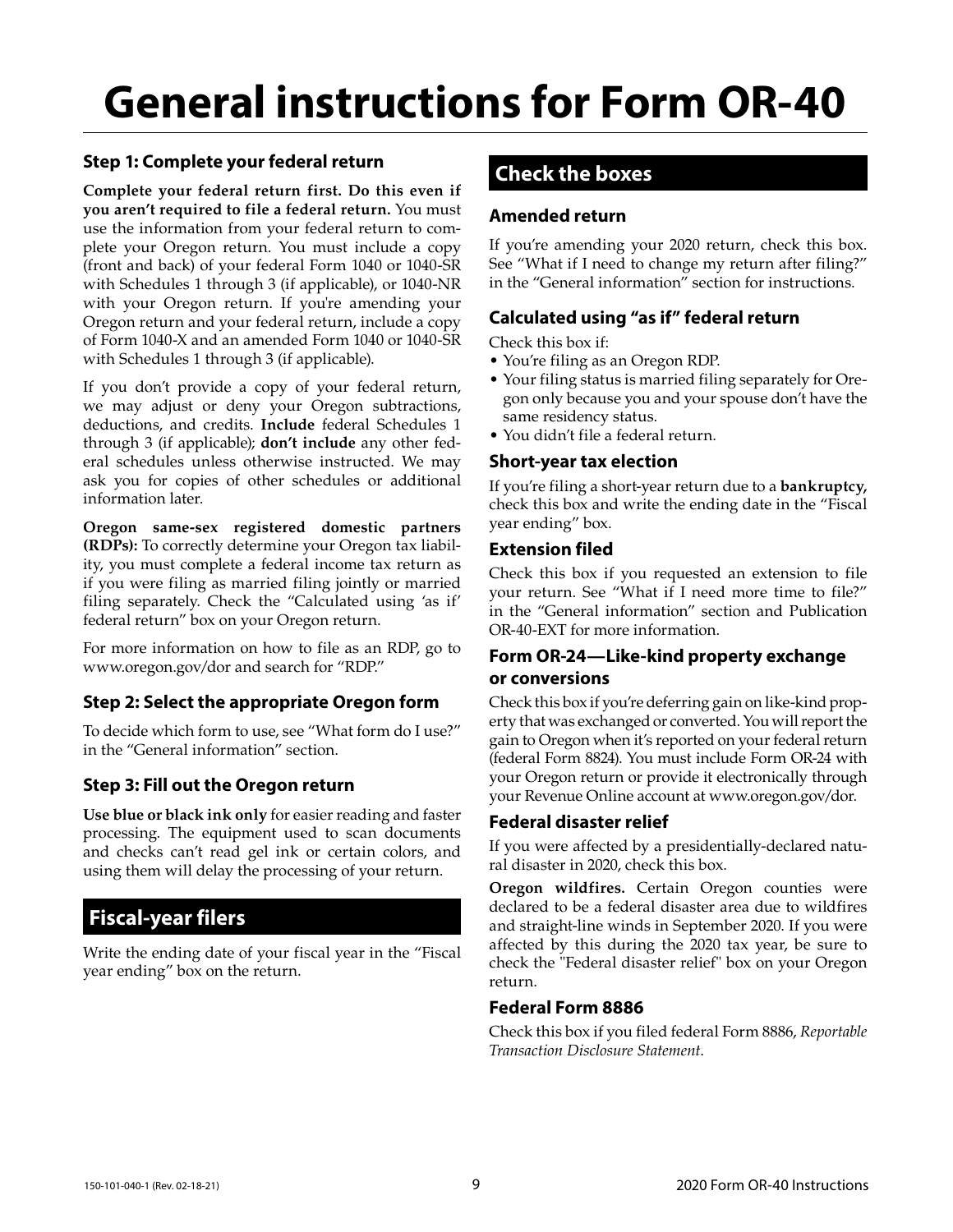# **General instructions for Form OR-40**

## **Step 1: Complete your federal return**

**Complete your federal return first. Do this even if you aren't required to file a federal return.** You must use the information from your federal return to complete your Oregon return. You must include a copy (front and back) of your federal Form 1040 or 1040-SR with Schedules 1 through 3 (if applicable), or 1040-NR with your Oregon return. If you're amending your Oregon return and your federal return, include a copy of Form 1040-X and an amended Form 1040 or 1040-SR with Schedules 1 through 3 (if applicable).

If you don't provide a copy of your federal return, we may adjust or deny your Oregon subtractions, deductions, and credits. **Include** federal Schedules 1 through 3 (if applicable); **don't include** any other federal schedules unless otherwise instructed. We may ask you for copies of other schedules or additional information later.

**Oregon same-sex registered domestic partners (RDPs):** To correctly determine your Oregon tax liability, you must complete a federal income tax return as if you were filing as married filing jointly or married filing separately. Check the "Calculated using 'as if' federal return" box on your Oregon return.

For more information on how to file as an RDP, go to www.oregon.gov/dor and search for "RDP."

## **Step 2: Select the appropriate Oregon form**

To decide which form to use, see "What form do I use?" in the "General information" section.

## **Step 3: Fill out the Oregon return**

**Use blue or black ink only** for easier reading and faster processing. The equipment used to scan documents and checks can't read gel ink or certain colors, and using them will delay the processing of your return.

## **Fiscal-year filers**

Write the ending date of your fiscal year in the "Fiscal year ending" box on the return.

## **Check the boxes**

## **Amended return**

If you're amending your 2020 return, check this box. See "What if I need to change my return after filing?" in the "General information" section for instructions.

## **Calculated using "as if" federal return**

Check this box if:

- You're filing as an Oregon RDP.
- Your filing status is married filing separately for Oregon only because you and your spouse don't have the same residency status.
- You didn't file a federal return.

### **Short-year tax election**

If you're filing a short-year return due to a **bankruptcy,** check this box and write the ending date in the "Fiscal year ending" box.

### **Extension filed**

Check this box if you requested an extension to file your return. See "What if I need more time to file?" in the "General information" section and Publication OR-40-EXT for more information.

## **Form OR-24—Like-kind property exchange or conversions**

Check this box if you're deferring gain on like-kind property that was exchanged or converted. You will report the gain to Oregon when it's reported on your federal return (federal Form 8824). You must include Form OR-24 with your Oregon return or provide it electronically through your Revenue Online account at www.oregon.gov/dor.

### **Federal disaster relief**

If you were affected by a presidentially-declared natural disaster in 2020, check this box.

**Oregon wildfires.** Certain Oregon counties were declared to be a federal disaster area due to wildfires and straight-line winds in September 2020. If you were affected by this during the 2020 tax year, be sure to check the "Federal disaster relief" box on your Oregon return.

### **Federal Form 8886**

Check this box if you filed federal Form 8886, *Reportable Transaction Disclosure Statement*.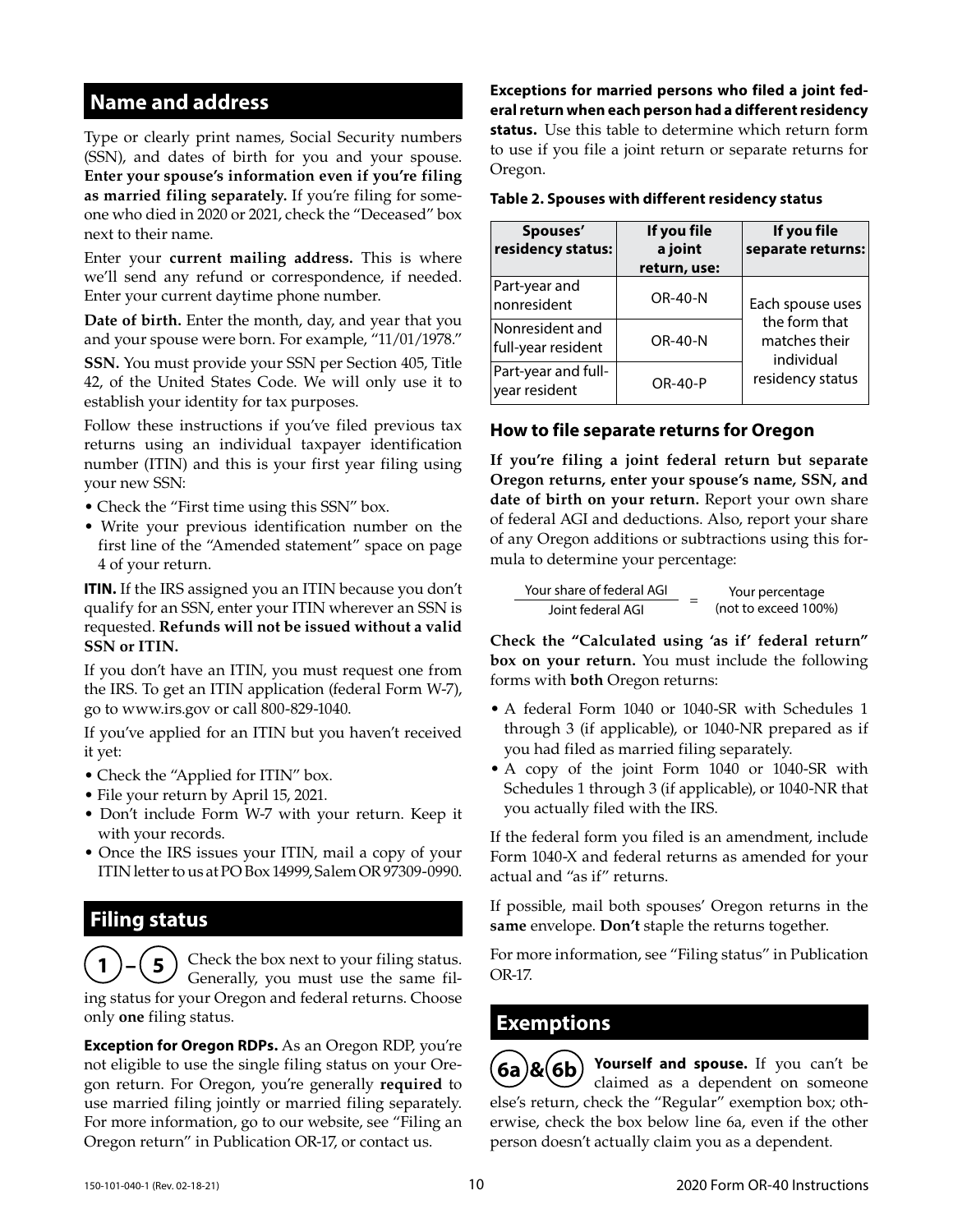## **Name and address**

Type or clearly print names, Social Security numbers (SSN), and dates of birth for you and your spouse. **Enter your spouse's information even if you're filing as married filing separately.** If you're filing for someone who died in 2020 or 2021, check the "Deceased" box next to their name.

Enter your **current mailing address.** This is where we'll send any refund or correspondence, if needed. Enter your current daytime phone number.

**Date of birth.** Enter the month, day, and year that you and your spouse were born. For example, "11/01/1978."

**SSN.** You must provide your SSN per Section 405, Title 42, of the United States Code. We will only use it to establish your identity for tax purposes.

Follow these instructions if you've filed previous tax returns using an individual taxpayer identification number (ITIN) and this is your first year filing using your new SSN:

- Check the "First time using this SSN" box.
- Write your previous identification number on the first line of the "Amended statement" space on page 4 of your return.

**ITIN.** If the IRS assigned you an ITIN because you don't qualify for an SSN, enter your ITIN wherever an SSN is requested. **Refunds will not be issued without a valid SSN or ITIN.**

If you don't have an ITIN, you must request one from the IRS. To get an ITIN application (federal Form W-7), go to www.irs.gov or call 800-829-1040.

If you've applied for an ITIN but you haven't received it yet:

- Check the "Applied for ITIN" box.
- File your return by April 15, 2021.
- Don't include Form W-7 with your return. Keep it with your records.
- Once the IRS issues your ITIN, mail a copy of your ITIN letter to us at PO Box 14999, Salem OR 97309-0990.

## **Filing status**

**1** Check the box next to your filing status. Generally, you must use the same filing status for your Oregon and federal returns. Choose only **one** filing status.

**Exception for Oregon RDPs.** As an Oregon RDP, you're not eligible to use the single filing status on your Oregon return. For Oregon, you're generally **required** to use married filing jointly or married filing separately. For more information, go to our website, see "Filing an Oregon return" in Publication OR-17, or contact us.

**Exceptions for married persons who filed a joint federal return when each person had a different residency status.** Use this table to determine which return form to use if you file a joint return or separate returns for Oregon.

**Table 2. Spouses with different residency status**

| Spouses'<br>residency status:         | If you file<br>a joint<br>return, use: | If you file<br>separate returns:             |
|---------------------------------------|----------------------------------------|----------------------------------------------|
| Part-year and<br>nonresident          | OR-40-N                                | Each spouse uses                             |
| Nonresident and<br>full-year resident | <b>OR-40-N</b>                         | the form that<br>matches their<br>individual |
| Part-year and full-<br>year resident  | OR-40-P                                | residency status                             |

### **How to file separate returns for Oregon**

**If you're filing a joint federal return but separate Oregon returns, enter your spouse's name, SSN, and date of birth on your return.** Report your own share of federal AGI and deductions. Also, report your share of any Oregon additions or subtractions using this formula to determine your percentage:

 $\frac{Your share of federal AGI}{Joint federal AGI}$  = Your percentage<br>Ioint federal AGI = (not to exceed 1009) (not to exceed 100%)

**Check the "Calculated using 'as if' federal return" box on your return.** You must include the following forms with **both** Oregon returns:

- A federal Form 1040 or 1040-SR with Schedules 1 through 3 (if applicable), or 1040-NR prepared as if you had filed as married filing separately.
- A copy of the joint Form 1040 or 1040-SR with Schedules 1 through 3 (if applicable), or 1040-NR that you actually filed with the IRS.

If the federal form you filed is an amendment, include Form 1040-X and federal returns as amended for your actual and "as if" returns.

If possible, mail both spouses' Oregon returns in the **same** envelope. **Don't** staple the returns together.

For more information, see "Filing status" in Publication OR-17.

## **Exemptions**

**6a & 6b Yourself and spouse.** If you can't be claimed as a dependent on someone else's return, check the "Regular" exemption box; otherwise, check the box below line 6a, even if the other person doesn't actually claim you as a dependent.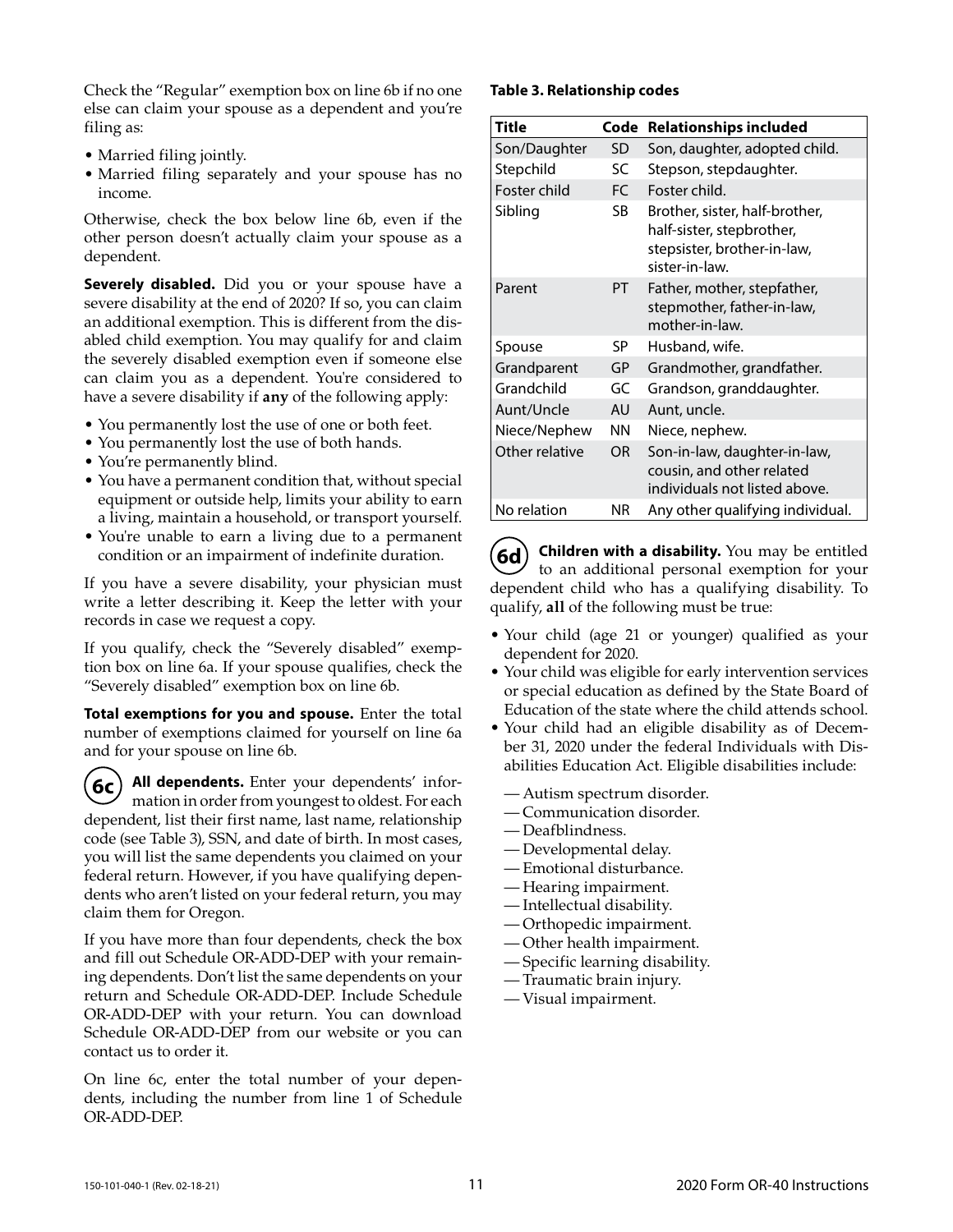Check the "Regular" exemption box on line 6b if no one else can claim your spouse as a dependent and you're filing as:

- Married filing jointly.
- Married filing separately and your spouse has no income.

Otherwise, check the box below line 6b, even if the other person doesn't actually claim your spouse as a dependent.

**Severely disabled.** Did you or your spouse have a severe disability at the end of 2020? If so, you can claim an additional exemption. This is different from the disabled child exemption. You may qualify for and claim the severely disabled exemption even if someone else can claim you as a dependent. You're considered to have a severe disability if **any** of the following apply:

- You permanently lost the use of one or both feet.
- You permanently lost the use of both hands.
- You're permanently blind.
- You have a permanent condition that, without special equipment or outside help, limits your ability to earn a living, maintain a household, or transport yourself.
- You're unable to earn a living due to a permanent condition or an impairment of indefinite duration.

If you have a severe disability, your physician must write a letter describing it. Keep the letter with your records in case we request a copy.

If you qualify, check the "Severely disabled" exemption box on line 6a. If your spouse qualifies, check the "Severely disabled" exemption box on line 6b.

**Total exemptions for you and spouse.** Enter the total number of exemptions claimed for yourself on line 6a and for your spouse on line 6b.

**6c All dependents.** Enter your dependents' information in order from youngest to oldest. For each dependent, list their first name, last name, relationship code (see Table 3), SSN, and date of birth. In most cases, you will list the same dependents you claimed on your federal return. However, if you have qualifying dependents who aren't listed on your federal return, you may claim them for Oregon.

If you have more than four dependents, check the box and fill out Schedule OR-ADD-DEP with your remaining dependents. Don't list the same dependents on your return and Schedule OR-ADD-DEP. Include Schedule OR-ADD-DEP with your return. You can download Schedule OR-ADD-DEP from our website or you can contact us to order it.

On line 6c, enter the total number of your dependents, including the number from line 1 of Schedule OR-ADD-DEP.

#### **Table 3. Relationship codes**

| Title          | Code      | <b>Relationships included</b>                                                                                |
|----------------|-----------|--------------------------------------------------------------------------------------------------------------|
| Son/Daughter   | SD        | Son, daughter, adopted child.                                                                                |
| Stepchild      | SC        | Stepson, stepdaughter.                                                                                       |
| Foster child   | FC.       | Foster child.                                                                                                |
| Sibling        | SB        | Brother, sister, half-brother,<br>half-sister, stepbrother,<br>stepsister, brother-in-law,<br>sister-in-law. |
| Parent         | PT        | Father, mother, stepfather,<br>stepmother, father-in-law,<br>mother-in-law.                                  |
| Spouse         | SP        | Husband, wife.                                                                                               |
| Grandparent    | GP        | Grandmother, grandfather.                                                                                    |
| Grandchild     | GC        | Grandson, granddaughter.                                                                                     |
| Aunt/Uncle     | AU        | Aunt, uncle.                                                                                                 |
| Niece/Nephew   | ΝN        | Niece, nephew.                                                                                               |
| Other relative | <b>OR</b> | Son-in-law, daughter-in-law,<br>cousin, and other related<br>individuals not listed above.                   |
| No relation    | ΝR        | Any other qualifying individual.                                                                             |

**6d Children with a disability.** You may be entitled to an additional personal exemption for your dependent child who has a qualifying disability. To qualify, **all** of the following must be true:

- Your child (age 21 or younger) qualified as your dependent for 2020.
- Your child was eligible for early intervention services or special education as defined by the State Board of Education of the state where the child attends school.
- Your child had an eligible disability as of December 31, 2020 under the federal Individuals with Disabilities Education Act. Eligible disabilities include:
	- Autism spectrum disorder.
	- Communication disorder.
	- Deafblindness.
	- Developmental delay.
	- Emotional disturbance.
	- Hearing impairment.
	- Intellectual disability.
	- Orthopedic impairment.
	- Other health impairment.
	- Specific learning disability.
	- Traumatic brain injury.
	- Visual impairment.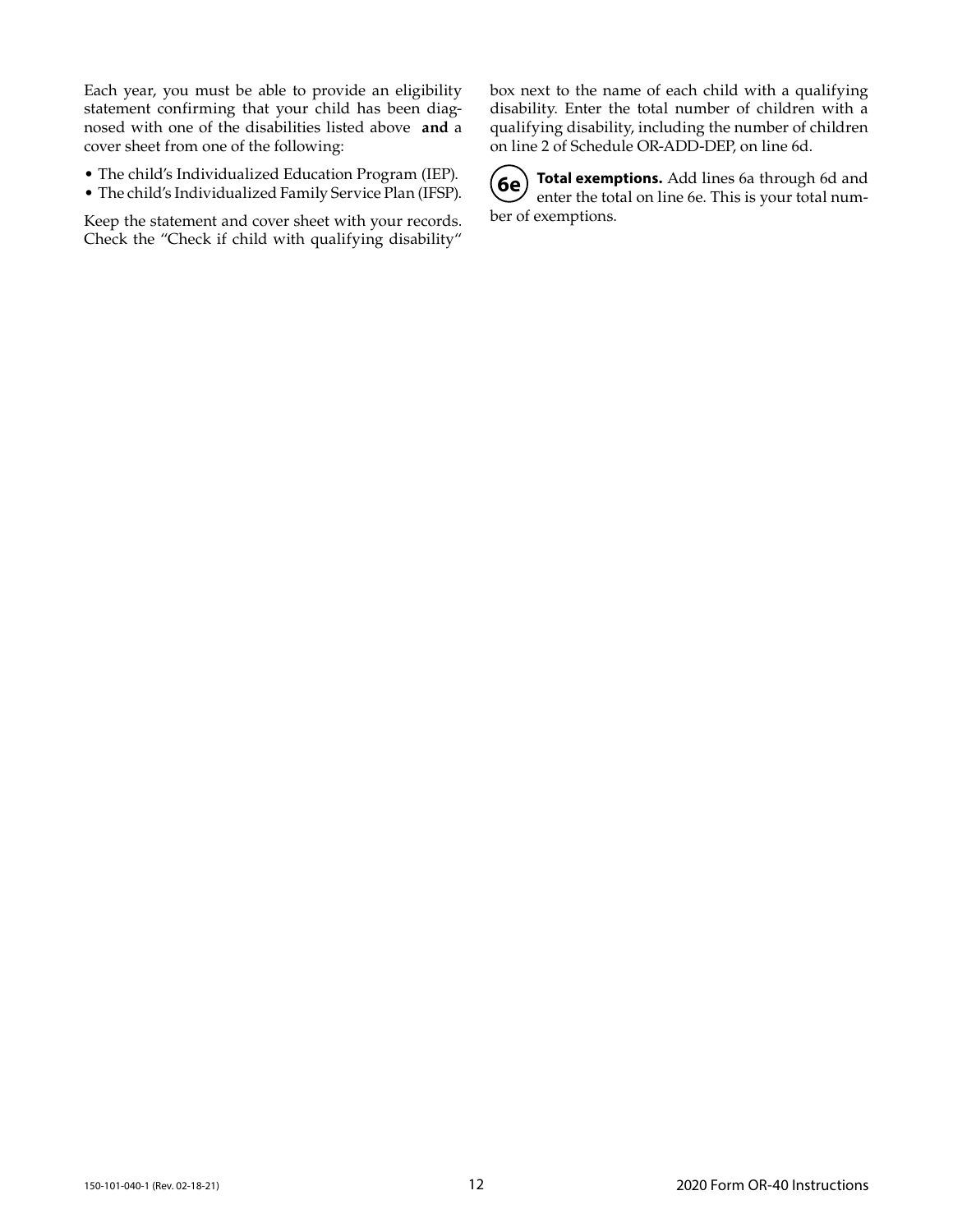Each year, you must be able to provide an eligibility statement confirming that your child has been diagnosed with one of the disabilities listed above **and** a cover sheet from one of the following:

- The child's Individualized Education Program (IEP).
- The child's Individualized Family Service Plan (IFSP).

Keep the statement and cover sheet with your records. Check the "Check if child with qualifying disability" box next to the name of each child with a qualifying disability. Enter the total number of children with a qualifying disability, including the number of children on line 2 of Schedule OR-ADD-DEP, on line 6d.

**6e Total exemptions.** Add lines 6a through 6d and enter the total on line 6e. This is your total number of exemptions.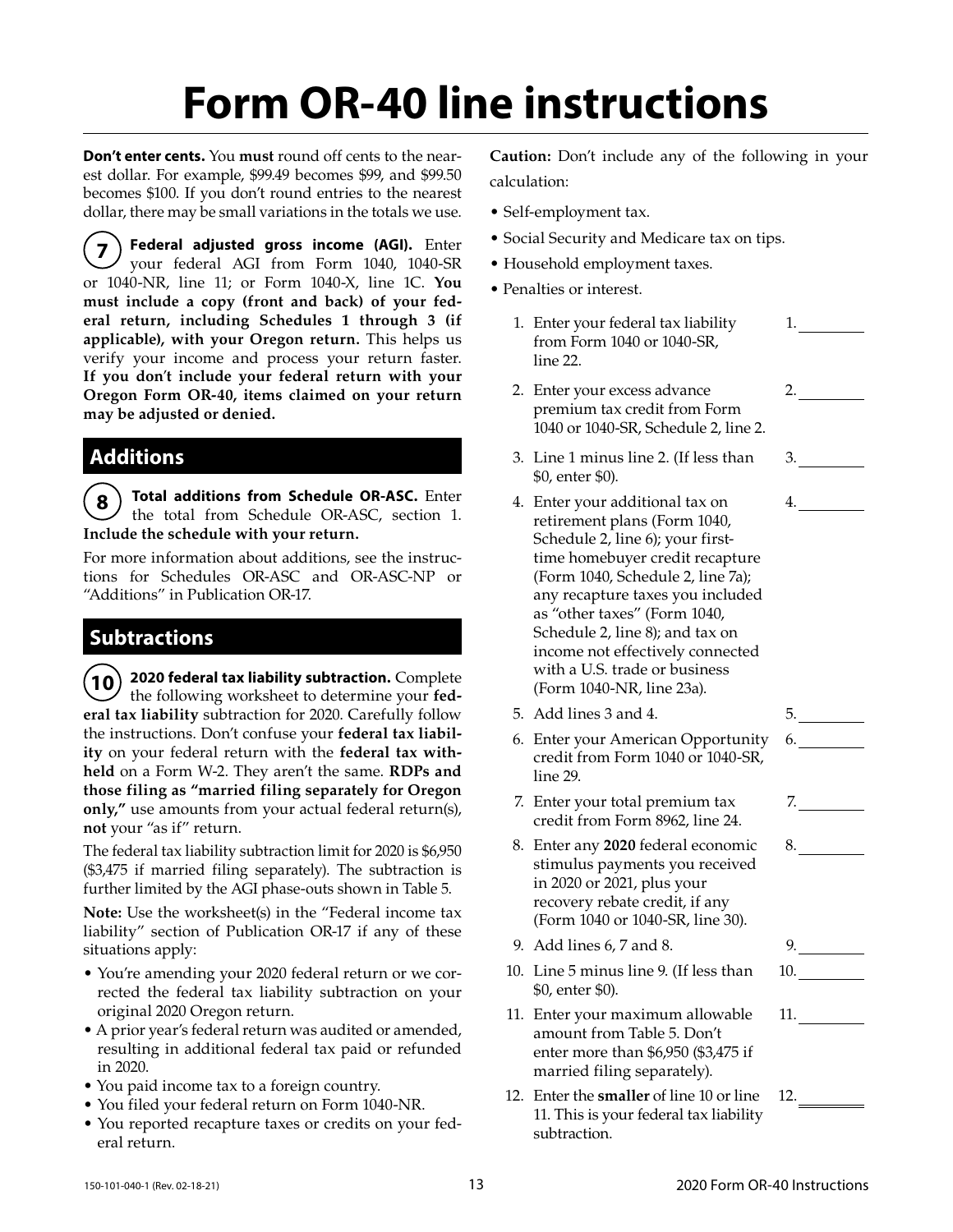# **Form OR-40 line instructions**

**Don't enter cents.** You **must** round off cents to the nearest dollar. For example, \$99.49 becomes \$99, and \$99.50 becomes \$100. If you don't round entries to the nearest dollar, there may be small variations in the totals we use.

**7 Federal adjusted gross income (AGI).** Enter your federal AGI from Form 1040, 1040-SR or 1040-NR, line 11; or Form 1040-X, line 1C. **You must include a copy (front and back) of your federal return, including Schedules 1 through 3 (if applicable), with your Oregon return.** This helps us verify your income and process your return faster. **If you don**'**t include your federal return with your Oregon Form OR-40, items claimed on your return may be adjusted or denied.**

## **Additions**

**8 Total additions from Schedule OR-ASC.** Enter the total from Schedule OR-ASC, section 1. **Include the schedule with your return.** 

For more information about additions, see the instructions for Schedules OR-ASC and OR-ASC-NP or "Additions" in Publication OR-17.

# **Subtractions**

**10 2020 federal tax liability subtraction.** Complete the following worksheet to determine your **federal tax liability** subtraction for 2020. Carefully follow the instructions. Don't confuse your **federal tax liability** on your federal return with the **federal tax withheld** on a Form W-2. They aren't the same. **RDPs and those filing as "married filing separately for Oregon only,"** use amounts from your actual federal return(s), **not** your "as if" return.

The federal tax liability subtraction limit for 2020 is \$6,950 (\$3,475 if married filing separately). The subtraction is further limited by the AGI phase-outs shown in Table 5.

**Note:** Use the worksheet(s) in the "Federal income tax liability" section of Publication OR-17 if any of these situations apply:

- You're amending your 2020 federal return or we corrected the federal tax liability subtraction on your original 2020 Oregon return.
- A prior year's federal return was audited or amended, resulting in additional federal tax paid or refunded in 2020.
- You paid income tax to a foreign country.
- You filed your federal return on Form 1040-NR.
- You reported recapture taxes or credits on your federal return.

**Caution:** Don't include any of the following in your calculation:

- Self-employment tax.
- Social Security and Medicare tax on tips.
- Household employment taxes.
- Penalties or interest.
	- 1. Enter your federal tax liability from Form 1040 or 1040-SR, line 22. 1.
	- 2. Enter your excess advance premium tax credit from Form 1040 or 1040-SR, Schedule 2, line 2.  $2.$
	- 3. Line 1 minus line 2. (If less than \$0, enter \$0). 3.
	- 4. Enter your additional tax on retirement plans (Form 1040, Schedule 2, line 6); your firsttime homebuyer credit recapture (Form 1040, Schedule 2, line 7a); any recapture taxes you included as "other taxes" (Form 1040, Schedule 2, line 8); and tax on income not effectively connected with a U.S. trade or business (Form 1040-NR, line 23a). 4.
	- 5. Add lines 3 and 4. 5.
	- 6. Enter your American Opportunity credit from Form 1040 or 1040-SR, line 29.
	- 7. Enter your total premium tax credit from Form 8962, line 24.
	- 8. Enter any **2020** federal economic stimulus payments you received in 2020 or 2021, plus your recovery rebate credit, if any (Form 1040 or 1040-SR, line 30).
	- 9. Add lines 6, 7 and 8. 9.
	- 10. Line 5 minus line 9. (If less than \$0, enter \$0).
	- 11. Enter your maximum allowable amount from Table 5. Don't enter more than \$6,950 (\$3,475 if married filing separately).
	- 12. Enter the **smaller** of line 10 or line 11. This is your federal tax liability subtraction.  $12.$

6.

7.

8.

10.

11.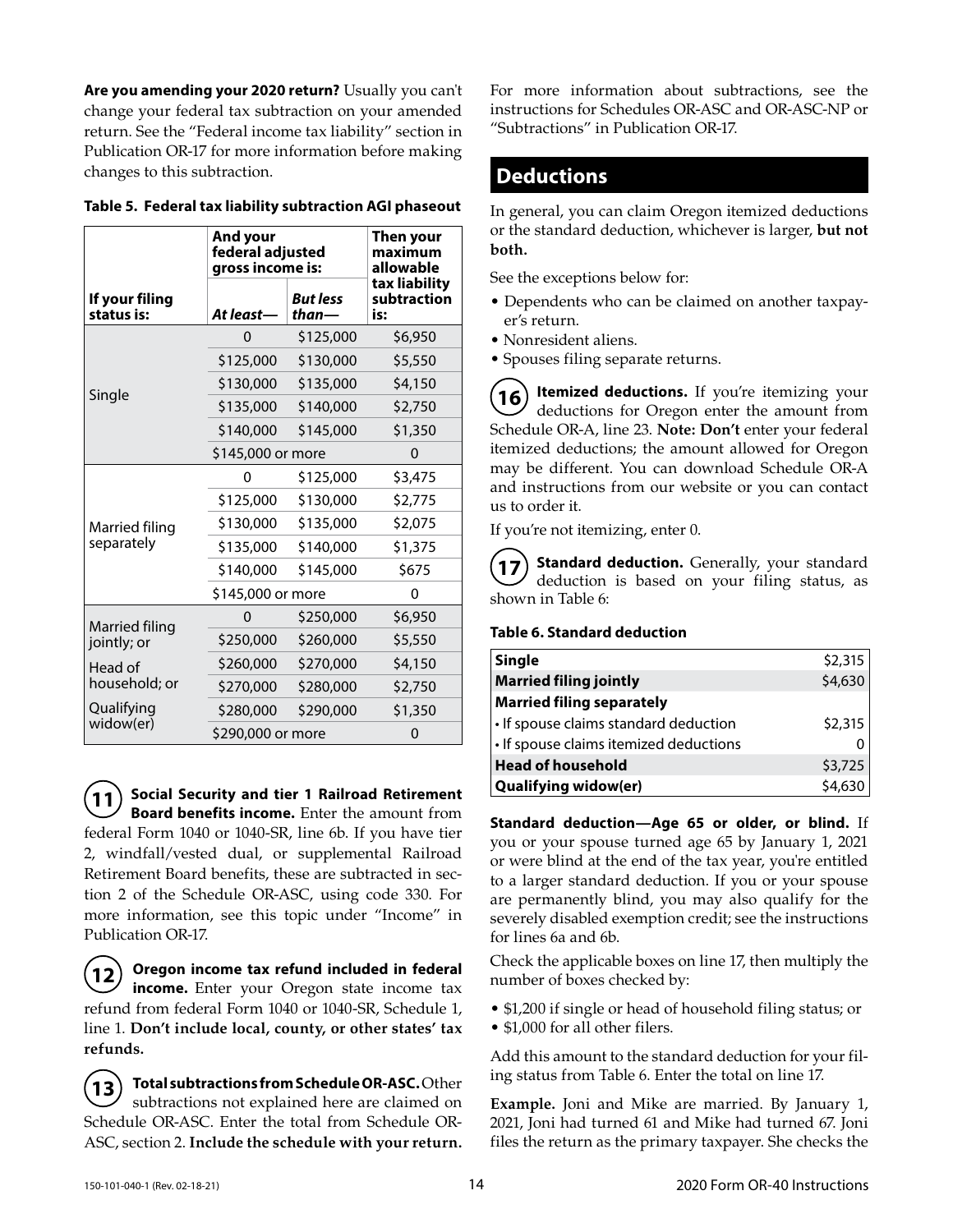**Are you amending your 2020 return?** Usually you can't change your federal tax subtraction on your amended return. See the "Federal income tax liability" section in Publication OR-17 for more information before making changes to this subtraction.

|                              | And your<br>federal adjusted<br>gross income is: | Then your<br>maximum<br>allowable |                                     |
|------------------------------|--------------------------------------------------|-----------------------------------|-------------------------------------|
| If your filing<br>status is: | <b>But less</b><br>At least-<br>than-            |                                   | tax liability<br>subtraction<br>is: |
|                              | 0                                                | \$125,000                         | \$6,950                             |
|                              | \$125,000                                        | \$130,000                         | \$5,550                             |
|                              | \$130,000                                        | \$135,000                         | \$4,150                             |
| Single                       | \$135,000                                        | \$140,000                         | \$2,750                             |
|                              | \$140,000                                        | \$145,000                         | \$1,350                             |
|                              | \$145,000 or more                                |                                   | $\Omega$                            |
|                              | 0                                                | \$125,000                         | \$3,475                             |
| Married filing<br>separately | \$125,000                                        | \$130,000                         | \$2,775                             |
|                              | \$130,000                                        | \$135,000                         | \$2,075                             |
|                              | \$135,000                                        | \$140,000                         | \$1,375                             |
|                              | \$140,000                                        | \$145,000                         | \$675                               |
|                              | \$145,000 or more                                |                                   | 0                                   |
| Married filing               | 0                                                | \$250,000                         | \$6,950                             |
| jointly; or                  | \$250,000                                        | \$260,000                         | \$5,550                             |
| Head of                      | \$260,000                                        | \$270,000                         | \$4,150                             |
| household; or                | \$270,000                                        | \$280,000                         | \$2,750                             |
| Qualifying                   | \$280,000                                        | \$290,000                         | \$1,350                             |
| widow(er)                    | \$290,000 or more                                |                                   |                                     |

#### **Table 5. Federal tax liability subtraction AGI phaseout**

**11 Social Security and tier 1 Railroad Retirement Board benefits income.** Enter the amount from federal Form 1040 or 1040-SR, line 6b. If you have tier 2, windfall/vested dual, or supplemental Railroad Retirement Board benefits, these are subtracted in section 2 of the Schedule OR-ASC, using code 330. For more information, see this topic under "Income" in Publication OR-17.

**12 Oregon income tax refund included in federal income.** Enter your Oregon state income tax refund from federal Form 1040 or 1040-SR, Schedule 1, line 1. **Don't include local, county, or other states' tax refunds.**

**13 Total subtractions from Schedule OR-ASC.** Other subtractions not explained here are claimed on Schedule OR-ASC. Enter the total from Schedule OR-ASC, section 2. **Include the schedule with your return.** For more information about subtractions, see the instructions for Schedules OR-ASC and OR-ASC-NP or "Subtractions" in Publication OR-17.

## **Deductions**

In general, you can claim Oregon itemized deductions or the standard deduction, whichever is larger, **but not both.**

See the exceptions below for:

- Dependents who can be claimed on another taxpayer's return.
- Nonresident aliens.
- Spouses filing separate returns.

**16** Itemized deductions. If you're itemizing your deductions for Oregon enter the amount from Schedule OR-A, line 23. **Note: Don't** enter your federal itemized deductions; the amount allowed for Oregon may be different. You can download Schedule OR-A and instructions from our website or you can contact us to order it.

If you're not itemizing, enter 0.

**17) Standard deduction.** Generally, your standard deduction is based on your filing status, as shown in Table 6:

#### **Table 6. Standard deduction**

| <b>Single</b>                          | \$2,315 |
|----------------------------------------|---------|
| <b>Married filing jointly</b>          | \$4,630 |
| <b>Married filing separately</b>       |         |
| • If spouse claims standard deduction  | \$2,315 |
| • If spouse claims itemized deductions |         |
| <b>Head of household</b>               | \$3,725 |
| <b>Qualifying widow(er)</b>            | \$4,630 |

**Standard deduction—Age 65 or older, or blind.** If you or your spouse turned age 65 by January 1, 2021 or were blind at the end of the tax year, you're entitled to a larger standard deduction. If you or your spouse are permanently blind, you may also qualify for the severely disabled exemption credit; see the instructions for lines 6a and 6b.

Check the applicable boxes on line 17, then multiply the number of boxes checked by:

- \$1,200 if single or head of household filing status; or
- \$1,000 for all other filers.

Add this amount to the standard deduction for your filing status from Table 6. Enter the total on line 17.

**Example.** Joni and Mike are married. By January 1, 2021, Joni had turned 61 and Mike had turned 67. Joni files the return as the primary taxpayer. She checks the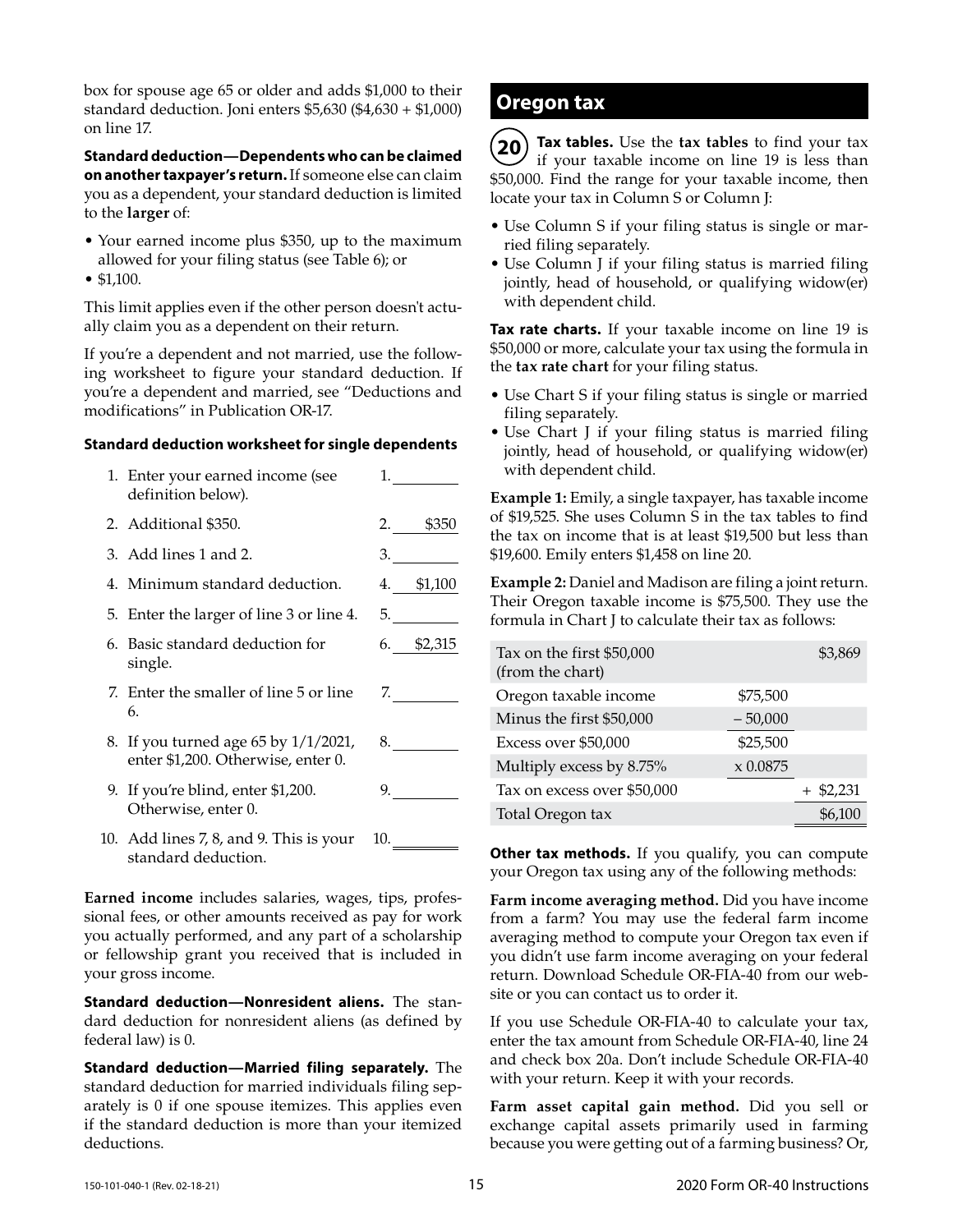box for spouse age 65 or older and adds \$1,000 to their standard deduction. Joni enters \$5,630 (\$4,630 + \$1,000) on line 17.

**Standard deduction—Dependents who can be claimed on another taxpayer's return.** If someone else can claim you as a dependent, your standard deduction is limited to the **larger** of:

- Your earned income plus \$350, up to the maximum allowed for your filing status (see Table 6); or
- \$1,100.

This limit applies even if the other person doesn't actually claim you as a dependent on their return.

If you're a dependent and not married, use the following worksheet to figure your standard deduction. If you're a dependent and married, see "Deductions and modifications" in Publication OR-17.

#### **Standard deduction worksheet for single dependents**

| 1. Enter your earned income (see<br>definition below).                        | 1.          |
|-------------------------------------------------------------------------------|-------------|
| 2. Additional \$350.                                                          | 2. \$350    |
| 3. Add lines 1 and 2.                                                         | 3.          |
| 4. Minimum standard deduction.                                                | 4. \$1,100  |
| 5. Enter the larger of line 3 or line 4.                                      | 5. $\qquad$ |
| 6. Basic standard deduction for<br>single.                                    | 6. \$2,315  |
| 7. Enter the smaller of line 5 or line<br>6.                                  | 7.          |
| 8. If you turned age 65 by $1/1/2021$ ,<br>enter \$1,200. Otherwise, enter 0. | 8.          |
| 9. If you're blind, enter \$1,200.<br>Otherwise, enter 0.                     | 9.          |
| 10. Add lines 7, 8, and 9. This is your<br>standard deduction.                | 10.         |

**Earned income** includes salaries, wages, tips, professional fees, or other amounts received as pay for work you actually performed, and any part of a scholarship or fellowship grant you received that is included in your gross income.

**Standard deduction—Nonresident aliens.** The standard deduction for nonresident aliens (as defined by federal law) is 0.

**Standard deduction—Married filing separately.** The standard deduction for married individuals filing separately is 0 if one spouse itemizes. This applies even if the standard deduction is more than your itemized deductions.

## **Oregon tax**

**20 Tax tables.** Use the **tax tables** to find your tax if your taxable income on line 19 is less than \$50,000. Find the range for your taxable income, then locate your tax in Column S or Column J:

- Use Column S if your filing status is single or married filing separately.
- Use Column J if your filing status is married filing jointly, head of household, or qualifying widow(er) with dependent child.

**Tax rate charts.** If your taxable income on line 19 is \$50,000 or more, calculate your tax using the formula in the **tax rate chart** for your filing status.

- Use Chart S if your filing status is single or married filing separately.
- Use Chart J if your filing status is married filing jointly, head of household, or qualifying widow(er) with dependent child.

**Example 1:** Emily, a single taxpayer, has taxable income of \$19,525. She uses Column S in the tax tables to find the tax on income that is at least \$19,500 but less than \$19,600. Emily enters \$1,458 on line 20.

**Example 2:** Daniel and Madison are filing a joint return. Their Oregon taxable income is \$75,500. They use the formula in Chart J to calculate their tax as follows:

| Tax on the first \$50,000<br>(from the chart) |             | \$3,869     |
|-----------------------------------------------|-------------|-------------|
| Oregon taxable income                         | \$75,500    |             |
| Minus the first \$50,000                      | $-50,000$   |             |
| Excess over \$50,000                          | \$25,500    |             |
| Multiply excess by 8.75%                      | $x\,0.0875$ |             |
| Tax on excess over \$50,000                   |             | $+$ \$2,231 |
| Total Oregon tax                              |             | \$6,100     |

**Other tax methods.** If you qualify, you can compute your Oregon tax using any of the following methods:

**Farm income averaging method.** Did you have income from a farm? You may use the federal farm income averaging method to compute your Oregon tax even if you didn't use farm income averaging on your federal return. Download Schedule OR-FIA-40 from our website or you can contact us to order it.

If you use Schedule OR-FIA-40 to calculate your tax, enter the tax amount from Schedule OR-FIA-40, line 24 and check box 20a. Don't include Schedule OR-FIA-40 with your return. Keep it with your records.

**Farm asset capital gain method.** Did you sell or exchange capital assets primarily used in farming because you were getting out of a farming business? Or,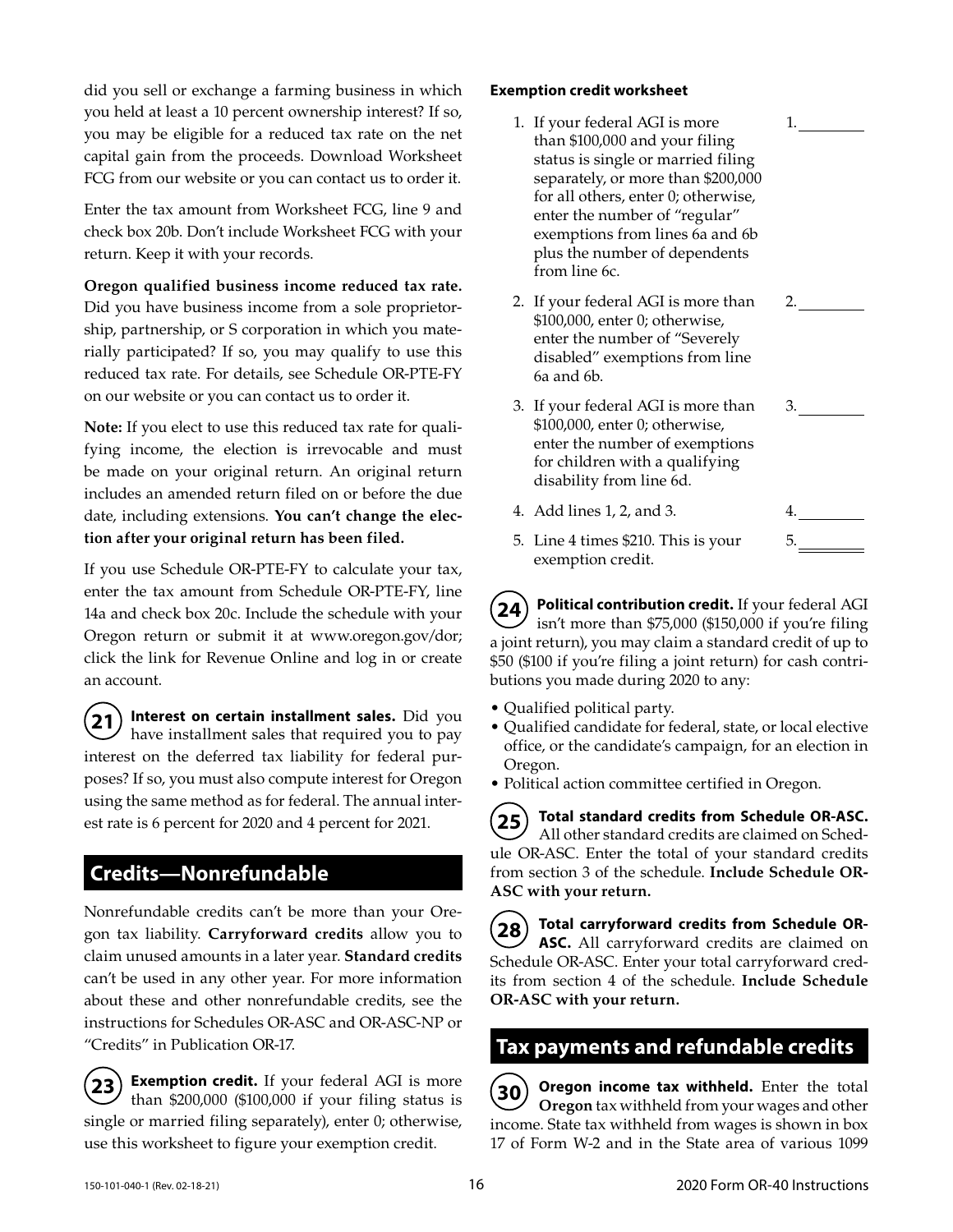did you sell or exchange a farming business in which you held at least a 10 percent ownership interest? If so, you may be eligible for a reduced tax rate on the net capital gain from the proceeds. Download Worksheet FCG from our website or you can contact us to order it.

Enter the tax amount from Worksheet FCG, line 9 and check box 20b. Don't include Worksheet FCG with your return. Keep it with your records.

**Oregon qualified business income reduced tax rate.**  Did you have business income from a sole proprietorship, partnership, or S corporation in which you materially participated? If so, you may qualify to use this reduced tax rate. For details, see Schedule OR-PTE-FY on our website or you can contact us to order it.

**Note:** If you elect to use this reduced tax rate for qualifying income, the election is irrevocable and must be made on your original return. An original return includes an amended return filed on or before the due date, including extensions. **You can't change the election after your original return has been filed.**

If you use Schedule OR-PTE-FY to calculate your tax, enter the tax amount from Schedule OR-PTE-FY, line 14a and check box 20c. Include the schedule with your Oregon return or submit it at www.oregon.gov/dor; click the link for Revenue Online and log in or create an account.

**21 Interest on certain installment sales.** Did you have installment sales that required you to pay interest on the deferred tax liability for federal purposes? If so, you must also compute interest for Oregon using the same method as for federal. The annual interest rate is 6 percent for 2020 and 4 percent for 2021.

# **Credits—Nonrefundable**

Nonrefundable credits can't be more than your Oregon tax liability. **Carryforward credits** allow you to claim unused amounts in a later year. **Standard credits** can't be used in any other year. For more information about these and other nonrefundable credits, see the instructions for Schedules OR-ASC and OR-ASC-NP or "Credits" in Publication OR-17.

**23 Exemption credit.** If your federal AGI is more than \$200,000 (\$100,000 if your filing status is single or married filing separately), enter 0; otherwise, use this worksheet to figure your exemption credit.

### **Exemption credit worksheet**

- 1. If your federal AGI is more than \$100,000 and your filing status is single or married filing separately, or more than \$200,000 for all others, enter 0; otherwise, enter the number of "regular" exemptions from lines 6a and 6b plus the number of dependents from line 6c.
- 2. If your federal AGI is more than \$100,000, enter 0; otherwise, enter the number of "Severely disabled" exemptions from line 6a and 6b. 2.

1.

3.

5.

- 3. If your federal AGI is more than \$100,000, enter 0; otherwise, enter the number of exemptions for children with a qualifying disability from line 6d.
- 4. Add lines 1, 2, and 3. 4.
- 5. Line 4 times \$210. This is your exemption credit.

**24 Political contribution credit.** If your federal AGI isn't more than \$75,000 (\$150,000 if you're filing a joint return), you may claim a standard credit of up to \$50 (\$100 if you're filing a joint return) for cash contributions you made during 2020 to any:

- Qualified political party.
- Qualified candidate for federal, state, or local elective office, or the candidate's campaign, for an election in Oregon.
- Political action committee certified in Oregon.

**25 Total standard credits from Schedule OR-ASC.**  All other standard credits are claimed on Schedule OR-ASC. Enter the total of your standard credits from section 3 of the schedule. **Include Schedule OR-ASC with your return.**

**28 Total carryforward credits from Schedule OR-ASC.** All carryforward credits are claimed on Schedule OR-ASC. Enter your total carryforward credits from section 4 of the schedule. **Include Schedule OR-ASC with your return.**

## **Tax payments and refundable credits**

**30** Oregon income tax withheld. Enter the total **Oregon** tax withheld from your wages and other income. State tax withheld from wages is shown in box 17 of Form W-2 and in the State area of various 1099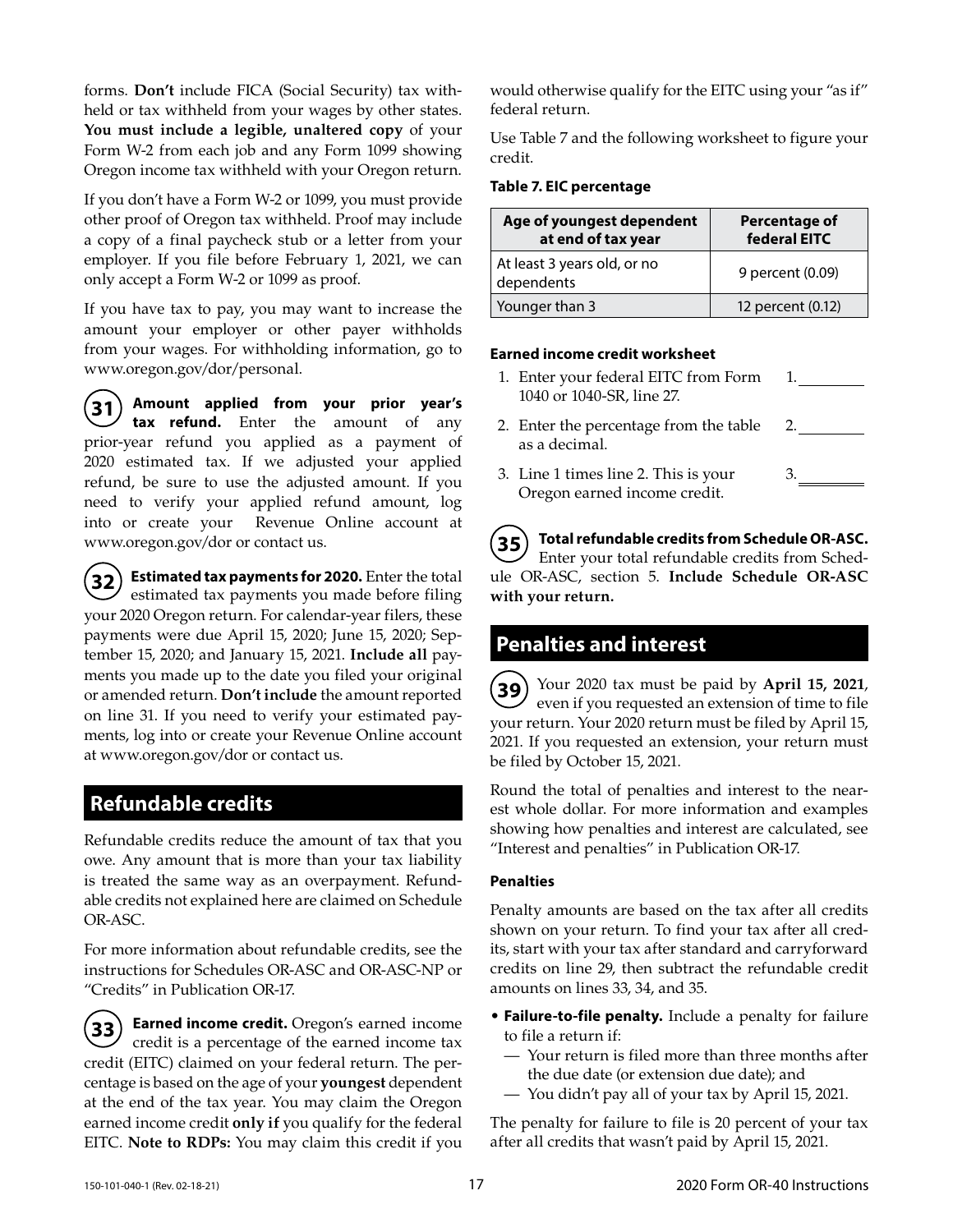forms. **Don't** include FICA (Social Security) tax withheld or tax withheld from your wages by other states. **You must include a legible, unaltered copy** of your Form W-2 from each job and any Form 1099 showing Oregon income tax withheld with your Oregon return.

If you don't have a Form W-2 or 1099, you must provide other proof of Oregon tax withheld. Proof may include a copy of a final paycheck stub or a letter from your employer. If you file before February 1, 2021, we can only accept a Form W-2 or 1099 as proof.

If you have tax to pay, you may want to increase the amount your employer or other payer withholds from your wages. For withholding information, go to www.oregon.gov/dor/personal.

**31 Amount applied from your prior year's tax refund.** Enter the amount of any prior-year refund you applied as a payment of 2020 estimated tax. If we adjusted your applied refund, be sure to use the adjusted amount. If you need to verify your applied refund amount, log into or create your Revenue Online account at www.oregon.gov/dor or contact us.

**32 Estimated tax payments for 2020.** Enter the total  $\mathcal{V}$  estimated tax payments you made before filing your 2020 Oregon return. For calendar-year filers, these payments were due April 15, 2020; June 15, 2020; September 15, 2020; and January 15, 2021. **Include all** payments you made up to the date you filed your original or amended return. **Don't include** the amount reported on line 31. If you need to verify your estimated payments, log into or create your Revenue Online account at www.oregon.gov/dor or contact us.

## **Refundable credits**

Refundable credits reduce the amount of tax that you owe. Any amount that is more than your tax liability is treated the same way as an overpayment. Refundable credits not explained here are claimed on Schedule OR-ASC.

For more information about refundable credits, see the instructions for Schedules OR-ASC and OR-ASC-NP or "Credits" in Publication OR-17.

**33 Earned income credit.** Oregon's earned income credit is a percentage of the earned income tax credit (EITC) claimed on your federal return. The percentage is based on the age of your **youngest** dependent at the end of the tax year. You may claim the Oregon earned income credit **only if** you qualify for the federal EITC. **Note to RDPs:** You may claim this credit if you would otherwise qualify for the EITC using your "as if" federal return.

Use Table 7 and the following worksheet to figure your credit.

#### **Table 7. EIC percentage**

| Age of youngest dependent<br>at end of tax year | <b>Percentage of</b><br>federal EITC |
|-------------------------------------------------|--------------------------------------|
| At least 3 years old, or no<br>dependents       | 9 percent (0.09)                     |
| Younger than 3                                  | 12 percent (0.12)                    |

#### **Earned income credit worksheet**

- 1. Enter your federal EITC from Form 1040 or 1040-SR, line 27. 1.
- 2. Enter the percentage from the table as a decimal. 2.
- 3. Line 1 times line 2. This is your Oregon earned income credit. 3.

**35 Total refundable credits from Schedule OR-ASC.**  Enter your total refundable credits from Schedule OR-ASC, section 5. **Include Schedule OR-ASC with your return.**

## **Penalties and interest**

**39** Your 2020 tax must be paid by **April 15, 2021**, even if you requested an extension of time to file your return. Your 2020 return must be filed by April 15, 2021. If you requested an extension, your return must be filed by October 15, 2021.

Round the total of penalties and interest to the nearest whole dollar. For more information and examples showing how penalties and interest are calculated, see "Interest and penalties" in Publication OR-17.

### **Penalties**

Penalty amounts are based on the tax after all credits shown on your return. To find your tax after all credits, start with your tax after standard and carryforward credits on line 29, then subtract the refundable credit amounts on lines 33, 34, and 35.

- **Failure-to-file penalty.** Include a penalty for failure to file a return if:
	- Your return is filed more than three months after the due date (or extension due date); and
	- You didn't pay all of your tax by April 15, 2021.

The penalty for failure to file is 20 percent of your tax after all credits that wasn't paid by April 15, 2021.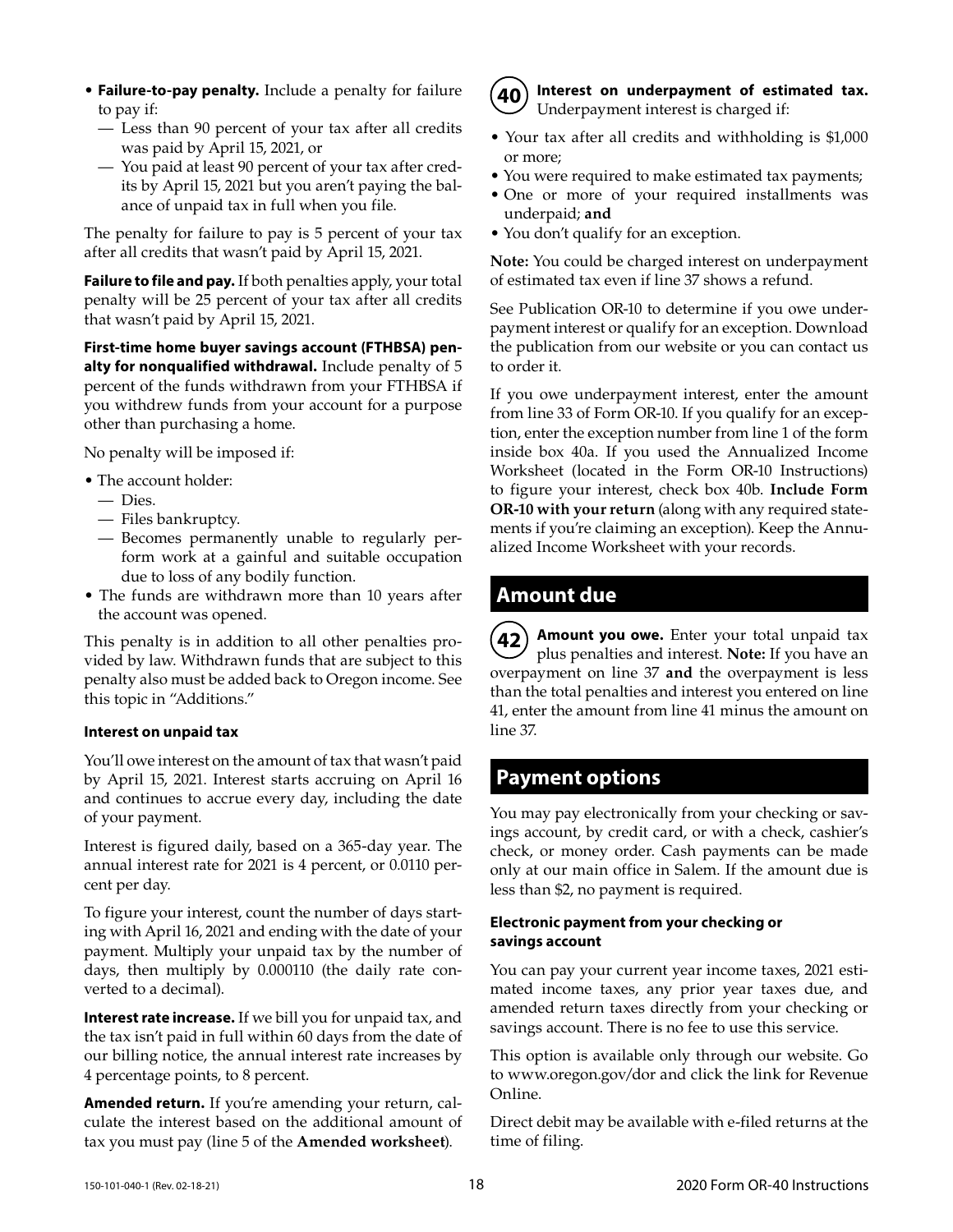- **Failure-to-pay penalty.** Include a penalty for failure to pay if:
	- Less than 90 percent of your tax after all credits was paid by April 15, 2021, or
	- You paid at least 90 percent of your tax after credits by April 15, 2021 but you aren't paying the balance of unpaid tax in full when you file.

The penalty for failure to pay is 5 percent of your tax after all credits that wasn't paid by April 15, 2021.

**Failure to file and pay.** If both penalties apply, your total penalty will be 25 percent of your tax after all credits that wasn't paid by April 15, 2021.

**First-time home buyer savings account (FTHBSA) penalty for nonqualified withdrawal.** Include penalty of 5 percent of the funds withdrawn from your FTHBSA if you withdrew funds from your account for a purpose other than purchasing a home.

No penalty will be imposed if:

- The account holder:
	- Dies.
	- Files bankruptcy.
	- Becomes permanently unable to regularly perform work at a gainful and suitable occupation due to loss of any bodily function.
- The funds are withdrawn more than 10 years after the account was opened.

This penalty is in addition to all other penalties provided by law. Withdrawn funds that are subject to this penalty also must be added back to Oregon income. See this topic in "Additions."

#### **Interest on unpaid tax**

You'll owe interest on the amount of tax that wasn't paid by April 15, 2021. Interest starts accruing on April 16 and continues to accrue every day, including the date of your payment.

Interest is figured daily, based on a 365-day year. The annual interest rate for 2021 is 4 percent, or 0.0110 percent per day.

To figure your interest, count the number of days starting with April 16, 2021 and ending with the date of your payment. Multiply your unpaid tax by the number of days, then multiply by 0.000110 (the daily rate converted to a decimal).

**Interest rate increase.** If we bill you for unpaid tax, and the tax isn't paid in full within 60 days from the date of our billing notice, the annual interest rate increases by 4 percentage points, to 8 percent.

**Amended return.** If you're amending your return, calculate the interest based on the additional amount of tax you must pay (line 5 of the **Amended worksheet**).



**40 Interest on underpayment of estimated tax.** Underpayment interest is charged if:

- Your tax after all credits and withholding is \$1,000 or more;
- You were required to make estimated tax payments;
- One or more of your required installments was underpaid; **and**
- You don't qualify for an exception.

**Note:** You could be charged interest on underpayment of estimated tax even if line 37 shows a refund.

See Publication OR-10 to determine if you owe underpayment interest or qualify for an exception. Download the publication from our website or you can contact us to order it.

If you owe underpayment interest, enter the amount from line 33 of Form OR-10. If you qualify for an exception, enter the exception number from line 1 of the form inside box 40a. If you used the Annualized Income Worksheet (located in the Form OR-10 Instructions) to figure your interest, check box 40b. **Include Form OR-10 with your return** (along with any required statements if you're claiming an exception). Keep the Annualized Income Worksheet with your records.

## **Amount due**

**42 Amount you owe.** Enter your total unpaid tax plus penalties and interest. **Note:** If you have an overpayment on line 37 **and** the overpayment is less than the total penalties and interest you entered on line 41, enter the amount from line 41 minus the amount on line 37.

## **Payment options**

You may pay electronically from your checking or savings account, by credit card, or with a check, cashier's check, or money order. Cash payments can be made only at our main office in Salem. If the amount due is less than \$2, no payment is required.

### **Electronic payment from your checking or savings account**

You can pay your current year income taxes, 2021 estimated income taxes, any prior year taxes due, and amended return taxes directly from your checking or savings account. There is no fee to use this service.

This option is available only through our website. Go to www.oregon.gov/dor and click the link for Revenue Online.

Direct debit may be available with e-filed returns at the time of filing.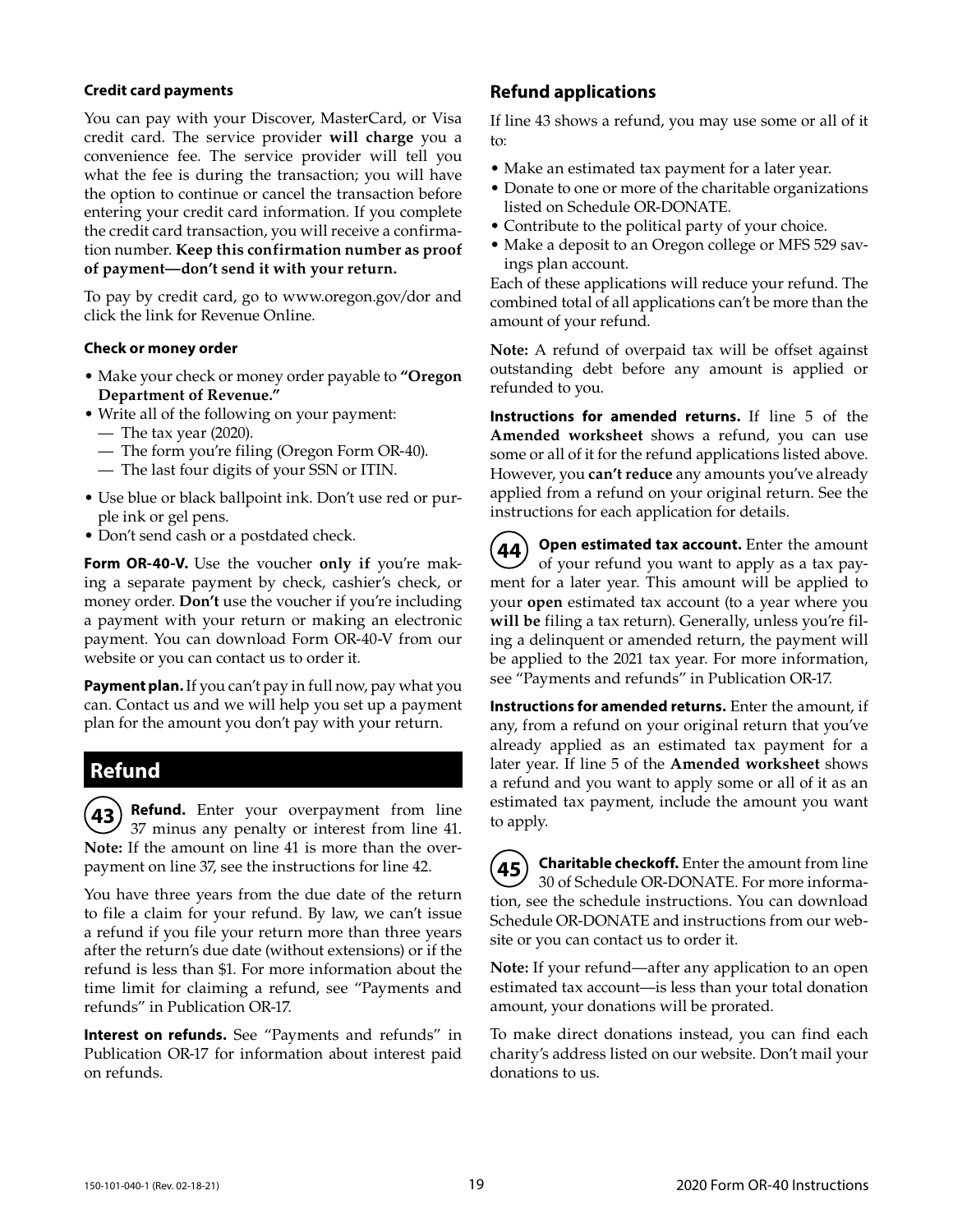#### **Credit card payments**

You can pay with your Discover, MasterCard, or Visa credit card. The service provider **will charge** you a convenience fee. The service provider will tell you what the fee is during the transaction; you will have the option to continue or cancel the transaction before entering your credit card information. If you complete the credit card transaction, you will receive a confirmation number. **Keep this confirmation number as proof of payment—don't send it with your return.**

To pay by credit card, go to www.oregon.gov/dor and click the link for Revenue Online.

#### **Check or money order**

- Make your check or money order payable to **"Oregon Department of Revenue."**
- Write all of the following on your payment:
	- The tax year (2020).
	- The form you're filing (Oregon Form OR-40).
	- The last four digits of your SSN or ITIN.
- Use blue or black ballpoint ink. Don't use red or purple ink or gel pens.
- Don't send cash or a postdated check.

Form OR-40-V. Use the voucher only if you're making a separate payment by check, cashier's check, or money order. **Don't** use the voucher if you're including a payment with your return or making an electronic payment. You can download Form OR-40-V from our website or you can contact us to order it.

**Payment plan.** If you can't pay in full now, pay what you can. Contact us and we will help you set up a payment plan for the amount you don't pay with your return.

## **Refund**

**Refund.** Enter your overpayment from line 37 minus any penalty or interest from line 41. **Note:** If the amount on line 41 is more than the overpayment on line 37, see the instructions for line 42.

You have three years from the due date of the return to file a claim for your refund. By law, we can't issue a refund if you file your return more than three years after the return's due date (without extensions) or if the refund is less than \$1. For more information about the time limit for claiming a refund, see "Payments and refunds" in Publication OR-17.

**Interest on refunds.** See "Payments and refunds" in Publication OR-17 for information about interest paid on refunds.

### **Refund applications**

If line 43 shows a refund, you may use some or all of it to:

- Make an estimated tax payment for a later year.
- Donate to one or more of the charitable organizations listed on Schedule OR-DONATE.
- Contribute to the political party of your choice.
- Make a deposit to an Oregon college or MFS 529 savings plan account.

Each of these applications will reduce your refund. The combined total of all applications can't be more than the amount of your refund.

**Note:** A refund of overpaid tax will be offset against outstanding debt before any amount is applied or refunded to you.

**Instructions for amended returns.** If line 5 of the **Amended worksheet** shows a refund, you can use some or all of it for the refund applications listed above. However, you **can't reduce** any amounts you've already applied from a refund on your original return. See the instructions for each application for details.

**44** Open estimated tax account. Enter the amount of your refund you want to apply as a tax payment for a later year. This amount will be applied to your **open** estimated tax account (to a year where you **will be** filing a tax return). Generally, unless you're filing a delinquent or amended return, the payment will be applied to the 2021 tax year. For more information, see "Payments and refunds" in Publication OR-17.

**Instructions for amended returns.** Enter the amount, if any, from a refund on your original return that you've already applied as an estimated tax payment for a later year. If line 5 of the **Amended worksheet** shows a refund and you want to apply some or all of it as an estimated tax payment, include the amount you want to apply.

**45** Charitable checkoff. Enter the amount from line 30 of Schedule OR-DONATE. For more information, see the schedule instructions. You can download Schedule OR-DONATE and instructions from our website or you can contact us to order it.

**Note:** If your refund—after any application to an open estimated tax account—is less than your total donation amount, your donations will be prorated.

To make direct donations instead, you can find each charity's address listed on our website. Don't mail your donations to us.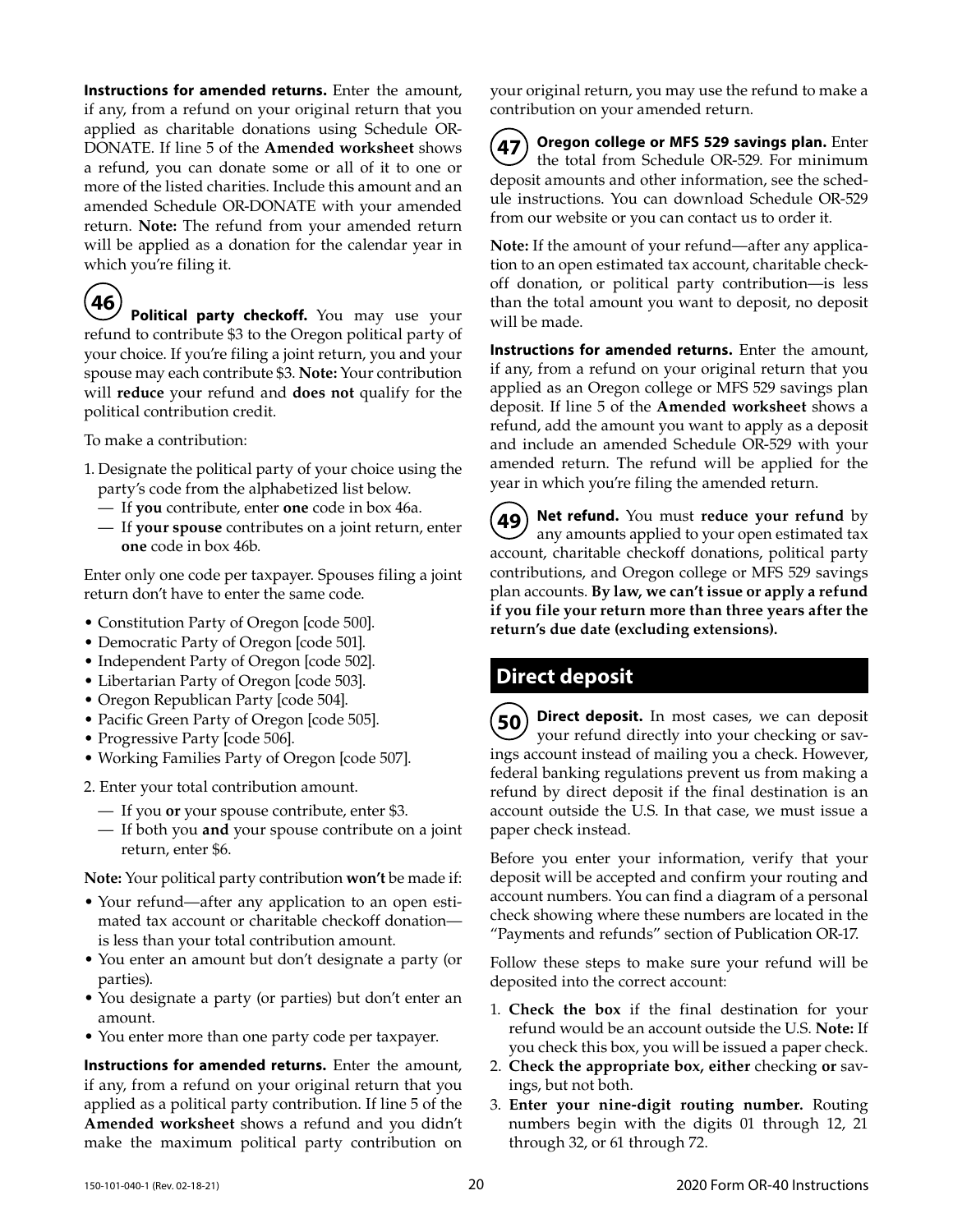**Instructions for amended returns.** Enter the amount, if any, from a refund on your original return that you applied as charitable donations using Schedule OR-DONATE. If line 5 of the **Amended worksheet** shows a refund, you can donate some or all of it to one or more of the listed charities. Include this amount and an amended Schedule OR-DONATE with your amended return. **Note:** The refund from your amended return will be applied as a donation for the calendar year in which you're filing it.

**46** Political party checkoff. You may use your refund to contribute \$3 to the Oregon political party of your choice. If you're filing a joint return, you and your spouse may each contribute \$3. **Note:** Your contribution will **reduce** your refund and **does not** qualify for the political contribution credit.

To make a contribution:

- 1. Designate the political party of your choice using the party's code from the alphabetized list below.
	- If **you** contribute, enter **one** code in box 46a.
	- If **your spouse** contributes on a joint return, enter **one** code in box 46b.

Enter only one code per taxpayer. Spouses filing a joint return don't have to enter the same code.

- Constitution Party of Oregon [code 500].
- Democratic Party of Oregon [code 501].
- Independent Party of Oregon [code 502].
- Libertarian Party of Oregon [code 503].
- Oregon Republican Party [code 504].
- Pacific Green Party of Oregon [code 505].
- Progressive Party [code 506].
- Working Families Party of Oregon [code 507].

2. Enter your total contribution amount.

- If you **or** your spouse contribute, enter \$3.
- If both you **and** your spouse contribute on a joint return, enter \$6.

**Note:** Your political party contribution **won't** be made if:

- Your refund—after any application to an open estimated tax account or charitable checkoff donation is less than your total contribution amount.
- You enter an amount but don't designate a party (or parties).
- You designate a party (or parties) but don't enter an amount.
- You enter more than one party code per taxpayer.

**Instructions for amended returns.** Enter the amount, if any, from a refund on your original return that you applied as a political party contribution. If line 5 of the **Amended worksheet** shows a refund and you didn't make the maximum political party contribution on your original return, you may use the refund to make a contribution on your amended return.

**47 Oregon college or MFS 529 savings plan.** Enter the total from Schedule OR-529. For minimum deposit amounts and other information, see the schedule instructions. You can download Schedule OR-529 from our website or you can contact us to order it.

**Note:** If the amount of your refund—after any application to an open estimated tax account, charitable checkoff donation, or political party contribution—is less than the total amount you want to deposit, no deposit will be made.

**Instructions for amended returns.** Enter the amount, if any, from a refund on your original return that you applied as an Oregon college or MFS 529 savings plan deposit. If line 5 of the **Amended worksheet** shows a refund, add the amount you want to apply as a deposit and include an amended Schedule OR-529 with your amended return. The refund will be applied for the year in which you're filing the amended return.

**49 Net refund.** You must **reduce your refund** by any amounts applied to your open estimated tax account, charitable checkoff donations, political party contributions, and Oregon college or MFS 529 savings plan accounts. **By law, we can't issue or apply a refund if you file your return more than three years after the return's due date (excluding extensions).**

# **Direct deposit**

**50 Direct deposit.** In most cases, we can deposit your refund directly into your checking or savings account instead of mailing you a check. However, federal banking regulations prevent us from making a refund by direct deposit if the final destination is an account outside the U.S. In that case, we must issue a paper check instead.

Before you enter your information, verify that your deposit will be accepted and confirm your routing and account numbers. You can find a diagram of a personal check showing where these numbers are located in the "Payments and refunds" section of Publication OR-17.

Follow these steps to make sure your refund will be deposited into the correct account:

- 1. **Check the box** if the final destination for your refund would be an account outside the U.S. **Note:** If you check this box, you will be issued a paper check.
- 2. **Check the appropriate box, either** checking **or** savings, but not both.
- 3. **Enter your nine-digit routing number.** Routing numbers begin with the digits 01 through 12, 21 through 32, or 61 through 72.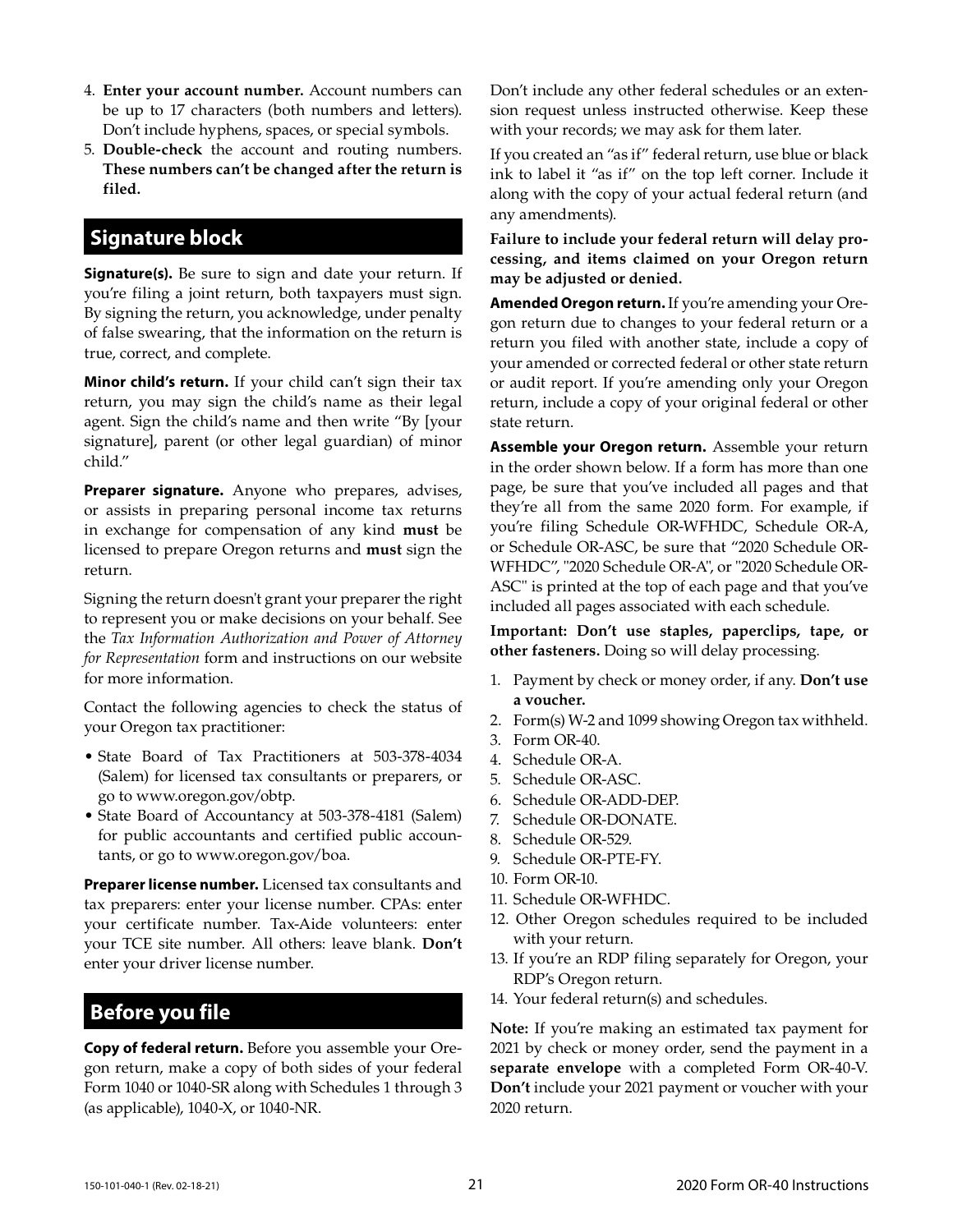- 4. **Enter your account number.** Account numbers can be up to 17 characters (both numbers and letters). Don't include hyphens, spaces, or special symbols.
- 5. **Double-check** the account and routing numbers. **These numbers can't be changed after the return is filed.**

## **Signature block**

**Signature(s).** Be sure to sign and date your return. If you're filing a joint return, both taxpayers must sign. By signing the return, you acknowledge, under penalty of false swearing, that the information on the return is true, correct, and complete.

**Minor child's return.** If your child can't sign their tax return, you may sign the child's name as their legal agent. Sign the child's name and then write "By [your signature], parent (or other legal guardian) of minor child."

**Preparer signature.** Anyone who prepares, advises, or assists in preparing personal income tax returns in exchange for compensation of any kind **must** be licensed to prepare Oregon returns and **must** sign the return.

Signing the return doesn't grant your preparer the right to represent you or make decisions on your behalf. See the *Tax Information Authorization and Power of Attorney for Representation* form and instructions on our website for more information.

Contact the following agencies to check the status of your Oregon tax practitioner:

- State Board of Tax Practitioners at 503-378-4034 (Salem) for licensed tax consultants or preparers, or go to www.oregon.gov/obtp.
- State Board of Accountancy at 503-378-4181 (Salem) for public accountants and certified public accountants, or go to www.oregon.gov/boa.

**Preparer license number.** Licensed tax consultants and tax preparers: enter your license number. CPAs: enter your certificate number. Tax-Aide volunteers: enter your TCE site number. All others: leave blank. **Don't**  enter your driver license number.

## **Before you file**

**Copy of federal return.** Before you assemble your Oregon return, make a copy of both sides of your federal Form 1040 or 1040-SR along with Schedules 1 through 3 (as applicable), 1040-X, or 1040-NR.

Don't include any other federal schedules or an extension request unless instructed otherwise. Keep these with your records; we may ask for them later.

If you created an "as if" federal return, use blue or black ink to label it "as if" on the top left corner. Include it along with the copy of your actual federal return (and any amendments).

**Failure to include your federal return will delay processing, and items claimed on your Oregon return may be adjusted or denied.**

**Amended Oregon return.** If you're amending your Oregon return due to changes to your federal return or a return you filed with another state, include a copy of your amended or corrected federal or other state return or audit report. If you're amending only your Oregon return, include a copy of your original federal or other state return.

**Assemble your Oregon return.** Assemble your return in the order shown below. If a form has more than one page, be sure that you've included all pages and that they're all from the same 2020 form. For example, if you're filing Schedule OR-WFHDC, Schedule OR-A, or Schedule OR-ASC, be sure that "2020 Schedule OR-WFHDC", "2020 Schedule OR-A", or "2020 Schedule OR-ASC" is printed at the top of each page and that you've included all pages associated with each schedule.

**Important: Don't use staples, paperclips, tape, or other fasteners.** Doing so will delay processing.

- 1. Payment by check or money order, if any. **Don't use a voucher.**
- 2. Form(s) W-2 and 1099 showing Oregon tax withheld.
- 3. Form OR-40.
- 4. Schedule OR-A.
- 5. Schedule OR-ASC.
- 6. Schedule OR-ADD-DEP.
- 7. Schedule OR-DONATE.
- 8. Schedule OR-529.
- 9. Schedule OR-PTE-FY.
- 10. Form OR-10.
- 11. Schedule OR-WFHDC.
- 12. Other Oregon schedules required to be included with your return.
- 13. If you're an RDP filing separately for Oregon, your RDP's Oregon return.
- 14. Your federal return(s) and schedules.

**Note:** If you're making an estimated tax payment for 2021 by check or money order, send the payment in a **separate envelope** with a completed Form OR-40-V. **Don't** include your 2021 payment or voucher with your 2020 return.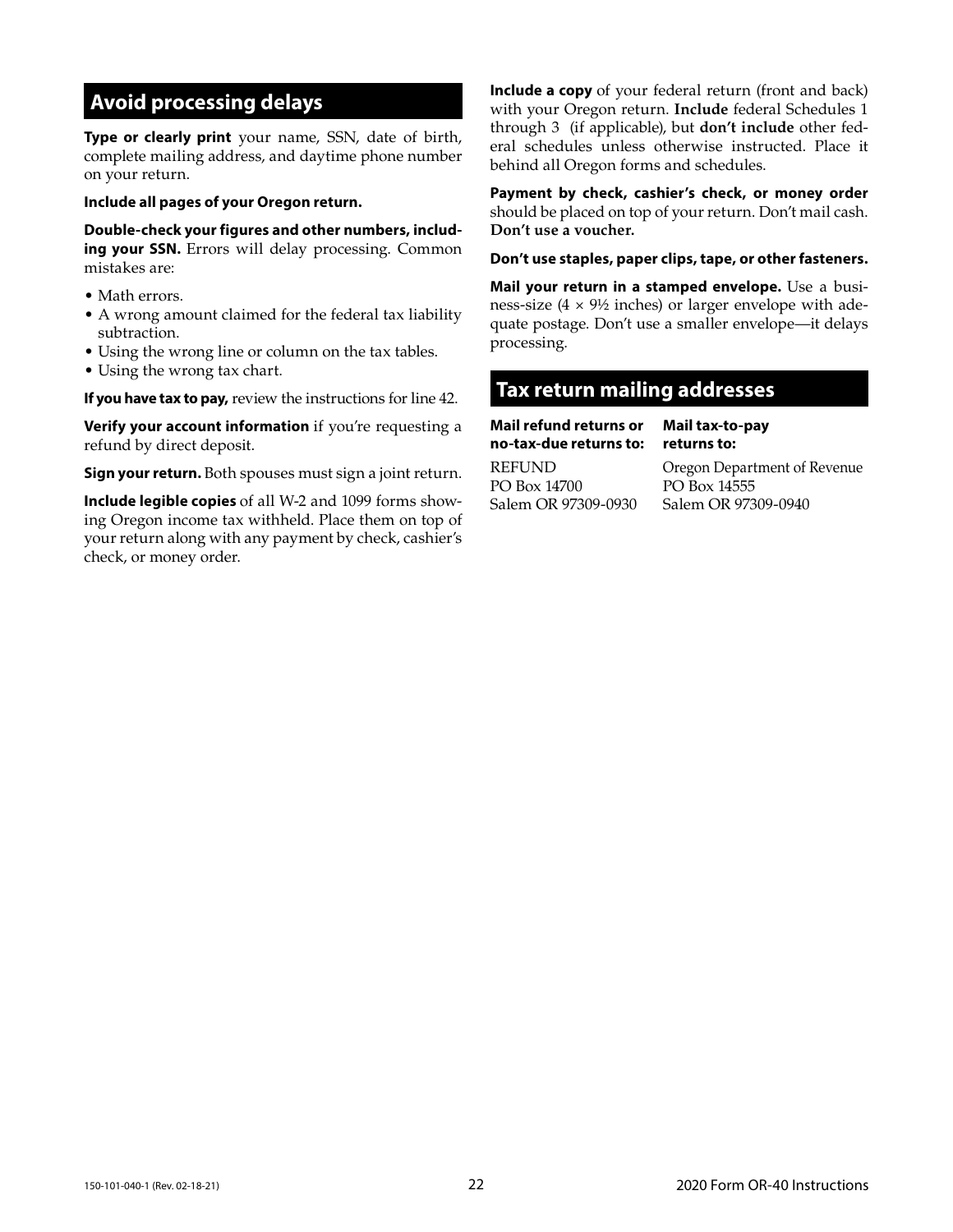## **Avoid processing delays**

**Type or clearly print** your name, SSN, date of birth, complete mailing address, and daytime phone number on your return.

#### **Include all pages of your Oregon return.**

**Double-check your figures and other numbers, including your SSN.** Errors will delay processing. Common mistakes are:

- Math errors.
- A wrong amount claimed for the federal tax liability subtraction.
- Using the wrong line or column on the tax tables.
- Using the wrong tax chart.

**If you have tax to pay,** review the instructions for line 42.

**Verify your account information** if you're requesting a refund by direct deposit.

**Sign your return.** Both spouses must sign a joint return.

**Include legible copies** of all W-2 and 1099 forms showing Oregon income tax withheld. Place them on top of your return along with any payment by check, cashier's check, or money order.

**Include a copy** of your federal return (front and back) with your Oregon return. **Include** federal Schedules 1 through 3 (if applicable), but **don't include** other federal schedules unless otherwise instructed. Place it behind all Oregon forms and schedules.

**Payment by check, cashier's check, or money order**  should be placed on top of your return. Don't mail cash. **Don't use a voucher.** 

**Don't use staples, paper clips, tape, or other fasteners.** 

**Mail your return in a stamped envelope.** Use a business-size  $(4 \times 9\frac{1}{2})$  inches) or larger envelope with adequate postage. Don't use a smaller envelope—it delays processing.

## **Tax return mailing addresses**

**Mail refund returns or no-tax-due returns to:**

REFUND PO Box 14700 Salem OR 97309-0930 **Mail tax-to-pay returns to:**

Oregon Department of Revenue PO Box 14555 Salem OR 97309-0940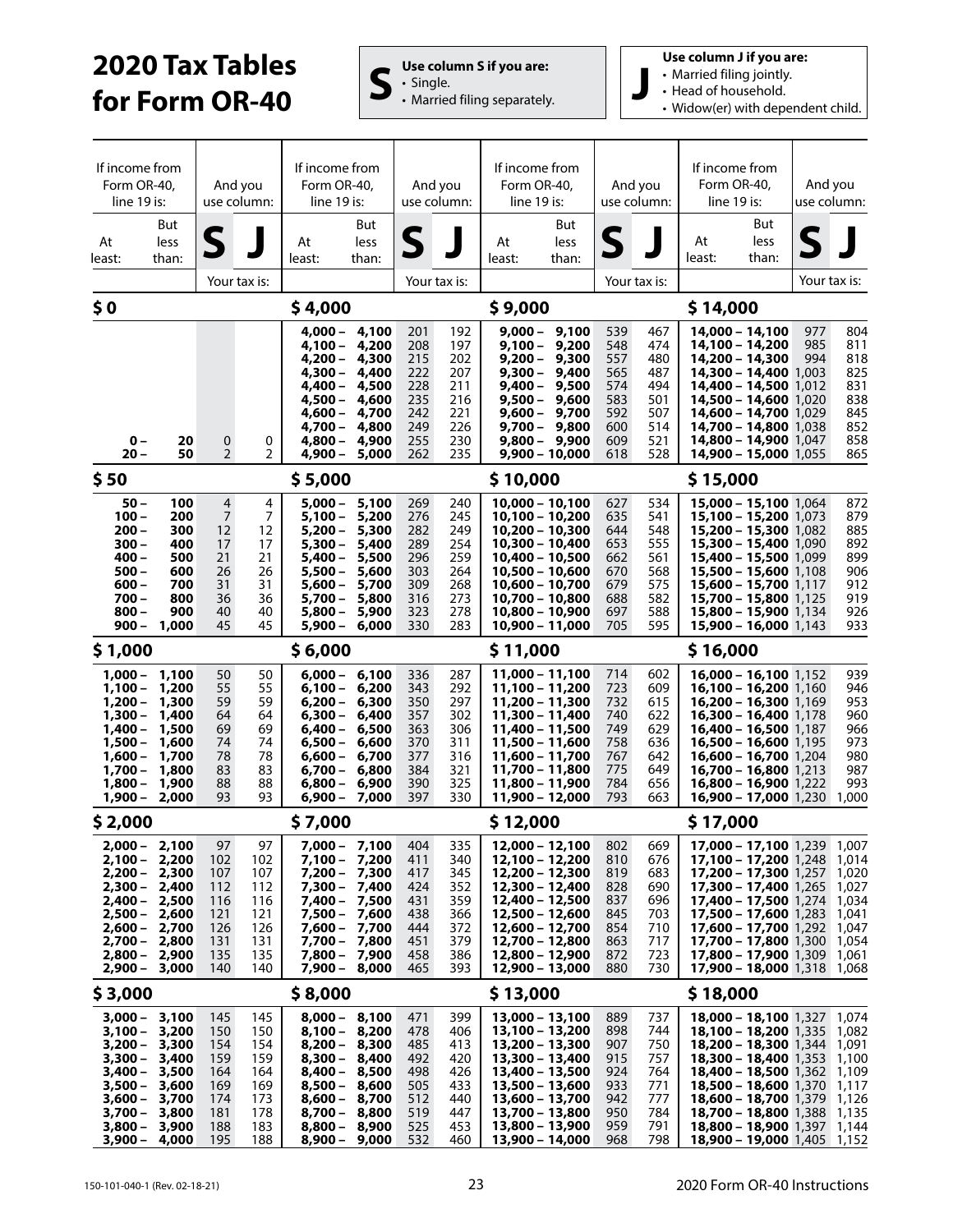# **2020 Tax Tables for Form OR-40 S**  $\left| \begin{array}{c} \mathbf{U} \mathbf{s} \in \mathbf{C} \text{ Olumn S if you are:} \\ \mathbf{U} \end{array} \right|$



**Use column J if you are:**

- Married filing jointly.
- Head of household.
- Widow(er) with dependent child.

| If income from<br>Form OR-40,<br>$line 19$ is: |                      | And you<br>use column:           |                | If income from<br>Form OR-40,<br>line 19 is: |                                  | And you<br>use column: |              | If income from<br>Form OR-40,<br>line 19 is: |                                | And you<br>use column: |              | If income from<br>Form OR-40,<br>line 19 is:                             |                      | And you<br>use column: |                |
|------------------------------------------------|----------------------|----------------------------------|----------------|----------------------------------------------|----------------------------------|------------------------|--------------|----------------------------------------------|--------------------------------|------------------------|--------------|--------------------------------------------------------------------------|----------------------|------------------------|----------------|
| At<br>least:                                   | But<br>less<br>than: | S                                |                | At<br>least:                                 | But<br>less<br>than:             | S                      |              | At<br>least:                                 | But<br>less<br>than:           | S                      |              | At<br>least:                                                             | But<br>less<br>than: |                        |                |
| Your tax is:                                   |                      |                                  |                |                                              |                                  |                        | Your tax is: |                                              |                                |                        | Your tax is: |                                                                          |                      | Your tax is:           |                |
| \$0                                            |                      |                                  | \$4,000        |                                              |                                  | \$9,000                |              |                                              |                                |                        | \$14,000     |                                                                          |                      |                        |                |
|                                                |                      |                                  |                |                                              | $4,000 - 4,100$                  | 201                    | 192          |                                              | $9,000 - 9,100$                | 539                    | 467          | 14,000 - 14,100                                                          |                      | 977                    | 804            |
|                                                |                      |                                  |                | 4,100 –                                      | 4,200<br>4,200 - 4,300           | 208<br>215             | 197<br>202   | $9,100 -$                                    | 9,200<br>$9,200 - 9,300$       | 548<br>557             | 474<br>480   | 14,100 - 14,200<br>14,200 - 14,300                                       |                      | 985<br>994             | 811<br>818     |
|                                                |                      |                                  |                | 4,300 –                                      | 4,400<br>4,400 - 4,500           | 222<br>228             | 207<br>211   |                                              | 9,300 - 9,400<br>9,400 - 9,500 | 565<br>574             | 487<br>494   | 14,300 - 14,400 1,003<br>14,400 - 14,500 1,012                           |                      |                        | 825<br>831     |
|                                                |                      |                                  |                | 4,500 –                                      | 4,600                            | 235                    | 216          | 9,500 –                                      | 9,600                          | 583                    | 501          | <b>14,500 - 14,600</b> 1,020                                             |                      |                        | 838            |
|                                                |                      |                                  |                | 4,700 –                                      | 4,600 - 4,700<br>4,800           | 242<br>249             | 221<br>226   | $9,700 -$                                    | 9,600 - 9,700<br>9,800         | 592<br>600             | 507<br>514   | 14,600 - 14,700 1,029<br>14,700 - 14,800 1,038                           |                      |                        | 845<br>852     |
| $0 -$                                          | 20                   | 0                                | 0              | 4,800 –                                      | 4,900                            | 255                    | 230          |                                              | 9,800 - 9,900                  | 609                    | 521          | 14,800 - 14,900 1,047                                                    |                      |                        | 858            |
| $20 -$                                         | 50                   | $\overline{2}$                   | $\overline{2}$ | $4,900 -$                                    | 5,000                            | 262                    | 235          |                                              | $9,900 - 10,000$               | 618                    | 528          | <b>14,900 - 15,000</b> 1,055                                             |                      |                        | 865            |
| \$50                                           |                      |                                  |                | \$5,000                                      |                                  |                        |              | \$10,000                                     |                                |                        |              | \$15,000                                                                 |                      |                        |                |
| $50 -$<br>$100 -$                              | 100<br>200           | $\overline{4}$<br>$\overline{7}$ | 4<br>7         | 5,000 –<br>5,100 –                           | 5,100<br>5,200                   | 269<br>276             | 240<br>245   | $10,000 - 10,100$<br>10,100 - 10,200         |                                | 627<br>635             | 534<br>541   | 15,000 - 15,100 1,064<br>15,100 - 15,200 1.073                           |                      |                        | 872<br>879     |
| $200 -$                                        | 300                  | $12 \overline{ }$                | 12             | $5,200 -$                                    | 5,300                            | 282                    | 249          | 10,200 - 10,300                              |                                | 644                    | 548          | 15,200 - 15,300 1.082                                                    |                      |                        | 885            |
| $300 -$<br>$400 -$                             | 400<br>500           | 17<br>21                         | 17<br>21       | 5,300 -<br>$5,400 -$                         | 5,400<br>5,500                   | 289<br>296             | 254<br>259   | 10,300 - 10,400<br>10,400 - 10,500           |                                | 653<br>662             | 555<br>561   | <b>15,300 - 15,400</b> 1,090<br>15,400 - 15,500 1,099                    |                      |                        | 892<br>899     |
| $500 -$                                        | 600                  | 26                               | 26             | $5,500 -$                                    | 5,600                            | 303                    | 264          | 10,500 - 10,600                              |                                | 670                    | 568          | 15,500 - 15,600 1,108                                                    |                      |                        | 906            |
| $600 -$<br>$700 -$                             | 700<br>800           | 31<br>36                         | 31<br>36       | $5,600 -$<br>5,700 -                         | 5,700<br>5,800                   | 309<br>316             | 268<br>273   | 10,600 - 10,700<br>10,700 - 10,800           |                                | 679<br>688             | 575<br>582   | 15,600 - 15,700 1.117<br>15,700 - 15,800 1,125                           |                      |                        | 912<br>919     |
| $800 -$<br>$900 -$                             | 900<br>1,000         | 40<br>45                         | 40<br>45       | $5,800 -$<br>$5,900 -$                       | 5,900<br>6,000                   | 323<br>330             | 278<br>283   | 10,800 - 10,900<br>10,900 - 11,000           |                                | 697<br>705             | 588<br>595   | 15,800 - 15,900 1,134<br>$15,900 - 16,000$ 1,143                         |                      |                        | 926<br>933     |
| \$1,000                                        |                      |                                  |                | \$6,000                                      |                                  |                        |              | \$11,000                                     |                                |                        |              | \$16,000                                                                 |                      |                        |                |
| $1,000 - 1,100$                                |                      | 50                               | 50             |                                              | $6,000 - 6,100$                  | 336                    | 287          | 11,000 - 11,100                              |                                | 714                    | 602          |                                                                          |                      | 939                    |                |
| $1,100 -$                                      | 1,200                | 55                               | 55             | $6,100 -$                                    | 6,200                            | 343                    | 292          | 11,100 - 11,200                              |                                | 723                    | 609          | $16,000 - 16,100$ 1,152<br>$16,100 - 16,200$ 1,160                       |                      |                        | 946            |
| $1,200 -$<br>$1,300 -$                         | 1,300<br>1,400       | 59<br>64                         | 59<br>64       | 6,200 –<br>$6,300 -$                         | 6,300<br>6,400                   | 350<br>357             | 297<br>302   | 11,200 - 11,300<br>11,300 - 11,400           |                                | 732<br>740             | 615<br>622   | 16,200 - 16,300 1,169<br>16,300 - 16,400 1,178                           |                      |                        | 953<br>960     |
| $1,400 -$                                      | 1,500                | 69                               | 69             | 6,400 –                                      | 6,500                            | 363                    | 306          | 11,400 - 11,500                              |                                | 749                    | 629          | 16,400 - 16,500 1,187                                                    |                      |                        | 966            |
| 1,500 –<br>$1,600 -$                           | 1,600<br>1,700       | 74<br>78                         | 74<br>78       | $6,500 -$<br>6,600 –                         | 6,600<br>6,700                   | 370<br>377             | 311<br>316   | 11,500 - 11,600<br>11,600 - 11,700           |                                | 758<br>767             | 636<br>642   | 16,500 - 16,600 1.195<br>16,600 - 16,700 1,204                           |                      |                        | 973<br>980     |
| $1,700 -$                                      | 1,800                | 83                               | 83             | $6,700 -$                                    | 6,800                            | 384                    | 321          | 11,700 - 11,800                              |                                | 775                    | 649          | 16,700 - 16,800 1,213                                                    |                      |                        | 987            |
| $1,800 -$<br>1,900 –                           | 1,900<br>2,000       | 88<br>93                         | 88<br>93       | $6,800 -$<br>6,900 –                         | 6,900<br>7,000                   | 390<br>397             | 325<br>330   | 11,800 - 11,900<br>11,900 - 12,000           |                                | 784<br>793             | 656<br>663   | 16,800 - 16,900 1,222<br>16,900 - 17,000 1,230                           |                      |                        | 993<br>1,000   |
| \$2,000                                        |                      |                                  |                | \$7,000                                      |                                  |                        |              | \$12,000                                     |                                |                        |              | \$17,000                                                                 |                      |                        |                |
| $2,000 - 2,100$                                |                      | 97                               | 97             |                                              | $7,000 - 7,100$                  | 404                    | 335          | 12,000 - 12,100                              |                                | 802                    | 669          | 17,000 - 17,100 1,239 1,007                                              |                      |                        |                |
| $2,100 - 2,200$                                |                      | 102                              | 102            |                                              | $7.100 - 7.200$                  | 411                    | 340          | 12,100 - 12,200                              |                                | 810                    | 676          | 17,100 - 17,200 1,248 1,014                                              |                      |                        |                |
| $2,200 - 2,300$<br>2,300 - 2,400               |                      | 107<br>112                       | 107<br>112     |                                              | 7,200 - 7,300<br>7,300 - 7,400   | 417<br>424             | 345<br>352   | 12,200 - 12,300<br>12,300 - 12,400           |                                | 819<br>828             | 683<br>690   | 17,200 - 17,300 1,257<br><b>17,300 - 17,400</b> 1,265                    |                      |                        | 1,020<br>1,027 |
| 2,400 - 2,500                                  |                      | 116                              | 116            |                                              | 7,400 - 7,500                    | 431                    | 359          | 12,400 - 12,500                              |                                | 837                    | 696          | 17,400 - 17,500 1,274 1,034                                              |                      |                        |                |
| 2,500 –<br>$2,600 - 2,700$                     | 2,600                | 121<br>126                       | 121<br>126     |                                              | 7,500 - 7,600<br>7,600 - 7,700   | 438<br>444             | 366<br>372   | 12,500 - 12,600<br>12,600 - 12,700           |                                | 845<br>854             | 703<br>710   | 17,500 - 17,600 1,283<br>17,600 - 17,700 1,292 1,047                     |                      |                        | 1,041          |
| $2,700 - 2,800$                                |                      | 131                              | 131            |                                              | 7,700 - 7,800                    | 451                    | 379          | 12,700 - 12,800                              |                                | 863                    | 717          | 17,700 - 17,800 1,300 1,054                                              |                      |                        |                |
| $2.800 - 2.900$<br>$2,900 - 3,000$             |                      | 135<br>140                       | 135<br>140     |                                              | 7,800 - 7,900<br>7,900 - 8,000   | 458<br>465             | 386<br>393   | 12,800 - 12,900<br>12,900 - 13,000           |                                | 872<br>880             | 723<br>730   | 17,800 - 17,900 1,309 1,061<br>$17,900 - 18,000$ 1,318 1,068             |                      |                        |                |
| \$3,000                                        |                      | \$8,000                          |                |                                              |                                  |                        |              | \$13,000                                     |                                |                        |              | \$18,000                                                                 |                      |                        |                |
| $3,000 - 3,100$                                |                      | 145                              | 145            |                                              | 8,000 - 8,100                    | 471                    | 399          | 13,000 - 13,100                              |                                | 889                    | 737          | <b>18,000 - 18,100</b> 1,327 1,074                                       |                      |                        |                |
| 3,100 - 3,200<br>3,200 –                       | 3,300                | 150<br>154                       | 150<br>154     |                                              | 8,100 - 8,200<br>$8,200 - 8,300$ | 478<br>485             | 406<br>413   | 13,100 - 13,200<br>13,200 - 13,300           |                                | 898<br>907             | 744<br>750   | <b>18,100 - 18,200</b> 1,335 1,082<br>18,200 - 18,300 1,344 1,091        |                      |                        |                |
| 3,300 - 3,400                                  |                      | 159                              | 159            |                                              | 8,300 - 8,400                    | 492                    | 420          | 13,300 - 13,400                              |                                | 915                    | 757          | 18,300 - 18,400 1,353 1,100                                              |                      |                        |                |
| $3,400 - 3,500$<br>$3,500 - 3,600$             |                      | 164<br>169                       | 164<br>169     |                                              | 8,400 - 8,500<br>8,500 - 8,600   | 498<br>505             | 426<br>433   | 13,400 - 13,500<br>13,500 - 13,600           |                                | 924<br>933             | 764<br>771   | 18,400 - 18,500 1,362 1,109<br>$18,500 - 18,600$ 1,370 1,117             |                      |                        |                |
| $3,600 -$                                      | 3,700                | 174                              | 173            |                                              | $8,600 - 8,700$                  | 512                    | 440          | 13,600 - 13,700                              |                                | 942                    | 777          | <b>18,600 - 18,700</b> 1,379 1,126                                       |                      |                        |                |
| $3,700 - 3,800$<br>$3,800 -$                   | 3,900                | 181<br>188                       | 178<br>183     |                                              | 8,700 - 8,800<br>$8,800 - 8,900$ | 519<br>525             | 447<br>453   | 13,700 - 13,800<br>13,800 - 13,900           |                                | 950<br>959             | 784<br>791   | <b>18,700 - 18,800</b> 1,388 1,135<br><b>18,800 - 18,900</b> 1,397 1,144 |                      |                        |                |
| $3,900 -$                                      | 4,000                | 195                              | 188            | 8,900 –                                      | 9,000                            | 532                    | 460          | 13,900 - 14,000                              |                                | 968                    | 798          | $18,900 - 19,000$ 1,405 1,152                                            |                      |                        |                |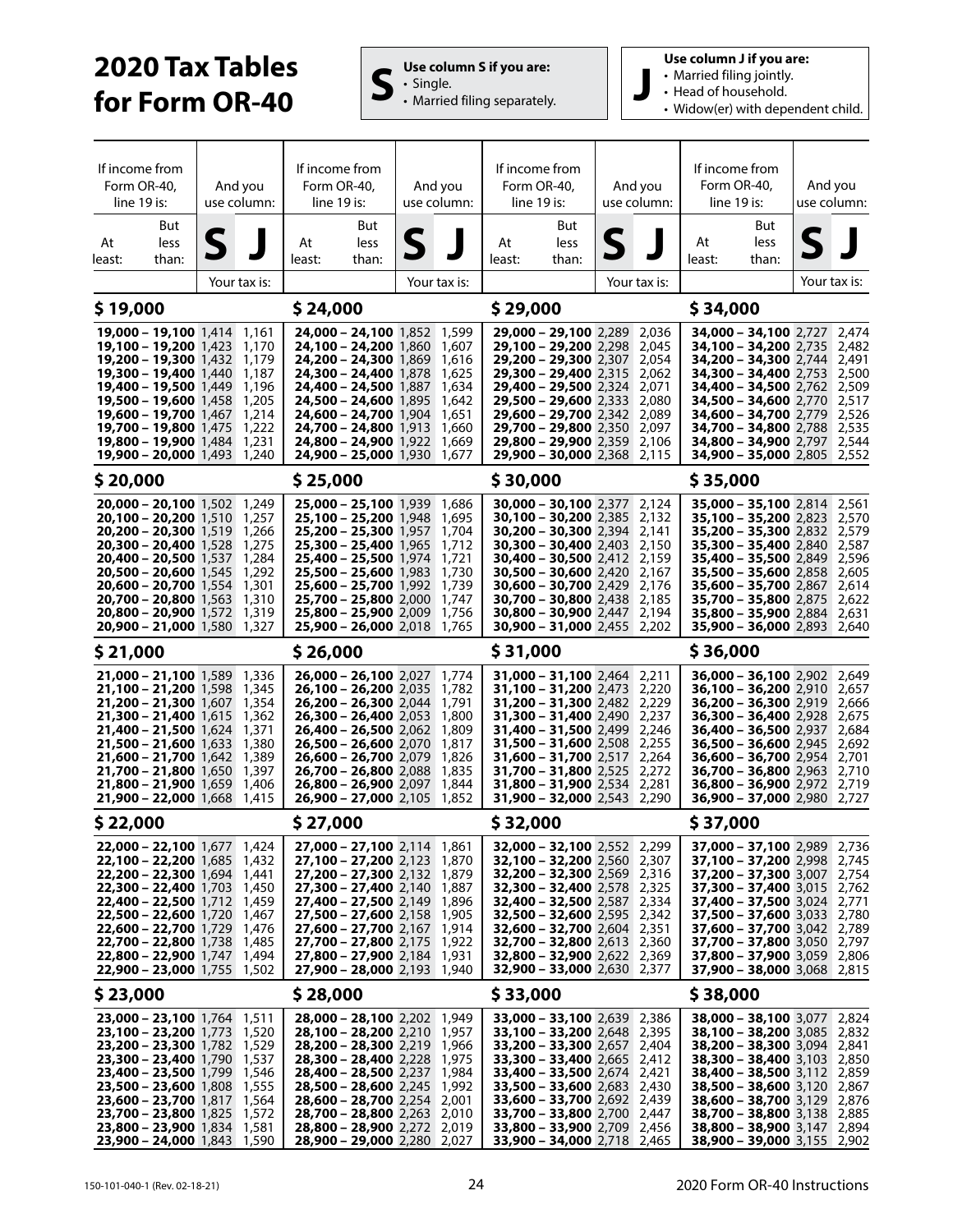# **2020 Tax Tables for Form OR-40 S**  $\left| \begin{array}{c} \mathbf{U} \mathbf{s} \in \mathbf{C} \text{ column S if you are:} \\ \mathbf{S} \end{array} \right|$



**Use column J if you are:**

- Married filing jointly.
- Head of household.
- Widow(er) with dependent child.

| If income from<br>Form OR-40,<br>line 19 is:<br>At<br>least: | But<br>less<br>than:                                                     | And you<br>use column:<br>S |                | If income from<br>Form OR-40,<br>$line 19$ is:<br>But<br>At<br>less<br>least:<br>than: |                                                                          | And you<br>use column:<br>S |                | If income from<br>Form OR-40,<br>line 19 is:<br>But<br>At<br>less<br>least:<br>than: |                                                                          | And you<br>use column:<br>S |                | If income from<br>Form OR-40,<br>line 19 is:<br>But<br>At<br>less<br>least:<br>than: |  | And you<br>use column:<br>5 |                |  |
|--------------------------------------------------------------|--------------------------------------------------------------------------|-----------------------------|----------------|----------------------------------------------------------------------------------------|--------------------------------------------------------------------------|-----------------------------|----------------|--------------------------------------------------------------------------------------|--------------------------------------------------------------------------|-----------------------------|----------------|--------------------------------------------------------------------------------------|--|-----------------------------|----------------|--|
|                                                              |                                                                          |                             | Your tax is:   |                                                                                        |                                                                          |                             | Your tax is:   |                                                                                      |                                                                          |                             | Your tax is:   |                                                                                      |  |                             | Your tax is:   |  |
| \$19,000                                                     |                                                                          |                             | \$24,000       |                                                                                        |                                                                          |                             | \$29,000       |                                                                                      |                                                                          |                             | \$34,000       |                                                                                      |  |                             |                |  |
|                                                              | 19,000 - 19,100 1,414 1,161                                              |                             |                |                                                                                        | 24,000 - 24,100 1,852 1,599                                              |                             |                |                                                                                      | 29,000 - 29,100 2,289 2,036                                              |                             |                | 34,000 - 34,100 2,727 2,474                                                          |  |                             |                |  |
|                                                              | 19,100 - 19,200 1,423 1,170                                              |                             |                |                                                                                        | 24,100 - 24,200 1,860 1,607                                              |                             |                |                                                                                      | 29,100 - 29,200 2,298                                                    |                             | 2,045          | <b>34,100 - 34,200</b> 2,735                                                         |  |                             | 2,482          |  |
|                                                              | 19,200 - 19,300 1,432 1,179<br><b>19,300 - 19,400</b> 1,440 1,187        |                             |                |                                                                                        | 24,200 - 24,300 1,869 1,616<br><b>24,300 - 24,400</b> 1,878 1,625        |                             |                |                                                                                      | 29,200 - 29,300 2,307 2,054<br><b>29,300 - 29,400</b> 2,315              |                             | 2,062          | 34,200 - 34,300 2,744 2,491<br><b>34,300 - 34,400</b> 2,753 2,500                    |  |                             |                |  |
|                                                              | <b>19,400 - 19,500</b> 1,449 1,196                                       |                             |                |                                                                                        | <b>24,400 - 24,500</b> 1,887 1,634                                       |                             |                |                                                                                      | <b>29,400 – 29,500</b> 2,324                                             |                             | 2,071          | <b>34,400 - 34,500</b> 2,762 2,509                                                   |  |                             |                |  |
|                                                              | <b>19,500 - 19,600</b> 1,458<br><b>19,600 - 19,700</b> 1,467             |                             | 1,205<br>1,214 |                                                                                        | <b>24,500 - 24,600</b> 1,895<br><b>24,600 – 24,700</b> 1,904             |                             | 1,642<br>1,651 |                                                                                      | 29,500 - 29,600 2,333<br>29,600 - 29,700 2,342                           |                             | 2,080<br>2,089 | <b>34,500 - 34,600</b> 2,770<br>34,600 - 34,700 2,779                                |  |                             | 2,517<br>2,526 |  |
|                                                              | 19,700 - 19,800 1,475                                                    |                             | 1,222          |                                                                                        | 24,700 - 24,800 1,913                                                    |                             | 1,660          |                                                                                      | 29,700 - 29,800 2,350                                                    |                             | 2,097          | 34,700 - 34,800 2,788                                                                |  |                             | 2,535          |  |
|                                                              | <b>19,800 - 19,900</b> 1,484<br>19,900 - 20,000 1,493 1,240              |                             | 1,231          |                                                                                        | 24,800 - 24,900 1,922<br>24,900 - 25,000 1,930 1,677                     |                             | 1,669          |                                                                                      | 29,800 - 29,900 2,359<br>29,900 - 30,000 2,368 2,115                     |                             | 2,106          | 34,800 - 34,900 2,797<br>34,900 - 35,000 2,805 2,552                                 |  |                             | 2,544          |  |
| \$ 20,000                                                    |                                                                          |                             |                | \$25,000                                                                               |                                                                          |                             |                | \$30,000                                                                             |                                                                          |                             |                | \$35,000                                                                             |  |                             |                |  |
|                                                              | 20,000 - 20,100 1,502 1,249                                              |                             |                |                                                                                        | <b>25,000 - 25,100</b> 1,939 1,686                                       |                             |                |                                                                                      | 30,000 - 30,100 2,377 2,124                                              |                             |                | 35,000 - 35,100 2,814 2,561                                                          |  |                             |                |  |
|                                                              | 20.100 - 20.200 1.510 1.257                                              |                             |                |                                                                                        | 25,100 - 25,200 1.948 1.695                                              |                             |                |                                                                                      | 30,100 - 30,200 2,385                                                    |                             | 2,132          | <b>35,100 - 35,200</b> 2,823                                                         |  |                             | 2,570          |  |
|                                                              | <b>20,200 - 20,300</b> 1,519 1,266<br><b>20,300 - 20,400</b> 1,528       |                             | 1,275          |                                                                                        | <b>25,200 - 25,300</b> 1,957 1,704<br><b>25,300 - 25,400</b> 1,965       |                             | 1,712          |                                                                                      | <b>30,200 - 30,300</b> 2,394<br>30,300 - 30,400 2,403                    |                             | 2,141<br>2,150 | <b>35,200 - 35,300</b> 2,832<br><b>35,300 - 35,400</b> 2,840                         |  |                             | 2,579<br>2,587 |  |
|                                                              | 20,400 - 20,500 1,537                                                    |                             | 1,284          |                                                                                        | 25,400 - 25,500 1,974                                                    |                             | 1,721          |                                                                                      | $30,400 - 30,500$ 2,412                                                  |                             | 2,159          | <b>35,400 - 35,500 2,849</b>                                                         |  |                             | 2,596          |  |
|                                                              | $20,500 - 20,600$ 1,545<br>20,600 - 20,700 1.554                         |                             | 1,292<br>1,301 |                                                                                        | 25,500 - 25,600 1,983<br>25,600 - 25,700 1.992                           |                             | 1,730<br>1,739 |                                                                                      | <b>30,500 - 30,600</b> 2,420<br><b>30,600 - 30,700</b> 2,429             |                             | 2,167<br>2,176 | 35,500 - 35,600 2,858<br>35,600 - 35,700 2,867                                       |  |                             | 2,605<br>2,614 |  |
|                                                              | <b>20,700 - 20,800</b> 1,563                                             |                             | 1,310          |                                                                                        | 25,700 - 25,800 2,000 1,747                                              |                             |                |                                                                                      | <b>30,700 - 30,800</b> 2,438                                             |                             | 2,185          | 35,700 - 35,800 2,875                                                                |  |                             | 2,622          |  |
|                                                              | <b>20,800 - 20,900</b> 1,572<br>20,900 - 21,000 1,580 1,327              |                             | 1,319          |                                                                                        | 25,800 - 25,900 2,009<br>25,900 - 26,000 2,018 1,765                     |                             | 1,756          |                                                                                      | 30,800 - 30,900 2,447<br>30,900 - 31,000 2,455                           |                             | 2,194<br>2,202 | 35,800 - 35,900 2,884<br>35,900 - 36,000 2,893                                       |  |                             | 2,631<br>2,640 |  |
| \$21,000                                                     |                                                                          |                             |                | \$26,000                                                                               |                                                                          |                             |                | \$31,000                                                                             |                                                                          |                             |                | \$36,000                                                                             |  |                             |                |  |
|                                                              | 21,000 - 21,100 1,589 1,336                                              |                             |                |                                                                                        | 26,000 - 26,100 2,027 1,774                                              |                             |                |                                                                                      | 31,000 - 31,100 2,464 2,211                                              |                             |                | 36,000 - 36,100 2,902 2,649                                                          |  |                             |                |  |
|                                                              | <b>21,100 – 21,200</b> 1,598 1,345<br>21,200 - 21,300 1,607              |                             | 1,354          |                                                                                        | <b>26,100 - 26,200</b> 2,035<br>26,200 - 26,300 2,044 1,791              |                             | 1,782          |                                                                                      | 31,100 - 31,200 2,473<br>31,200 - 31,300 2,482 2,229                     |                             | 2,220          | $36,100 - 36,200$ 2,910<br>$36,200 - 36,300$ 2,919                                   |  |                             | 2,657<br>2,666 |  |
|                                                              | <b>21,300 – 21,400</b> 1,615                                             |                             | 1,362          |                                                                                        | 26,300 - 26,400 2,053                                                    |                             | 1,800          |                                                                                      | <b>31,300 - 31,400</b> 2,490                                             |                             | 2,237          | 36,300 - 36,400 2,928                                                                |  |                             | 2,675          |  |
|                                                              | <b>21,400 – 21,500</b> 1,624<br>21,500 - 21,600 1,633                    |                             | 1,371<br>1,380 |                                                                                        | <b>26,400 - 26,500</b> 2,062<br>26,500 - 26,600 2,070                    |                             | 1,809<br>1,817 |                                                                                      | <b>31,400 - 31,500</b> 2,499<br><b>31,500 - 31,600</b> 2,508             |                             | 2,246<br>2,255 | $36,400 - 36,500$ 2,937<br>$36,500 - 36,600$ 2,945                                   |  |                             | 2,684<br>2,692 |  |
|                                                              | <b>21,600 – 21,700</b> 1,642                                             |                             | 1,389          |                                                                                        | 26,600 - 26,700 2,079                                                    |                             | 1,826          |                                                                                      | 31,600 - 31,700 2,517                                                    |                             | 2,264          | 36,600 - 36,700 2,954                                                                |  |                             | 2,701          |  |
|                                                              | <b>21,700 – 21,800</b> 1,650 1,397<br><b>21,800 – 21,900</b> 1,659       |                             | 1,406          |                                                                                        | 26,700 - 26,800 2,088 1,835<br>$26,800 - 26,900$ 2,097                   |                             | 1,844          |                                                                                      | 31,700 - 31,800 2,525<br><b>31,800 - 31,900</b> 2,534                    |                             | 2,272<br>2,281 | 36,700 - 36,800 2,963<br>$36,800 - 36,900$ 2,972                                     |  |                             | 2,710<br>2,719 |  |
|                                                              | <b>21,900 - 22,000</b> 1,668 1,415                                       |                             |                |                                                                                        | <b>26,900 - 27,000</b> 2,105 1,852                                       |                             |                |                                                                                      | 31,900 - 32,000 2,543 2,290                                              |                             |                | 36,900 - 37,000 2,980 2,727                                                          |  |                             |                |  |
| \$22,000                                                     |                                                                          |                             |                | \$27,000                                                                               |                                                                          |                             |                | \$32,000                                                                             |                                                                          |                             |                | \$37,000                                                                             |  |                             |                |  |
|                                                              | <b>22,000 - 22,100</b> 1,677 1,424                                       |                             |                |                                                                                        | $27,000 - 27,100$ 2,114 1,861                                            |                             |                |                                                                                      | <b>32,000 - 32,100</b> 2,552 2,299                                       |                             |                | 37,000 - 37,100 2,989 2,736                                                          |  |                             |                |  |
|                                                              | <b>22,100 – 22,200</b> 1,685 1,432<br><b>22,200 - 22,300</b> 1,694 1,441 |                             |                |                                                                                        | <b>27,100 – 27,200</b> 2,123 1,870<br>27,200 - 27,300 2,132 1,879        |                             |                |                                                                                      | <b>32,100 - 32,200</b> 2,560 2,307<br>32,200 - 32,300 2,569 2,316        |                             |                | <b>37,100 - 37,200</b> 2,998 2,745<br>37,200 - 37,300 3,007 2,754                    |  |                             |                |  |
|                                                              | <b>22,300 - 22,400</b> 1,703 1,450                                       |                             |                |                                                                                        | 27,300 - 27,400 2,140 1,887                                              |                             |                |                                                                                      | 32,300 - 32,400 2,578 2,325                                              |                             |                | 37,300 - 37,400 3,015 2,762                                                          |  |                             |                |  |
|                                                              | 22,400 - 22,500 1,712 1,459<br><b>22,500 - 22,600</b> 1,720 1,467        |                             |                |                                                                                        | 27,400 - 27,500 2,149 1,896<br>27,500 - 27,600 2,158 1,905               |                             |                |                                                                                      | 32,400 - 32,500 2,587 2,334<br><b>32,500 - 32,600</b> 2,595 2,342        |                             |                | 37,400 - 37,500 3,024 2,771<br>37,500 - 37,600 3,033 2,780                           |  |                             |                |  |
|                                                              | <b>22,600 – 22,700</b> 1,729 1,476                                       |                             |                |                                                                                        | 27,600 - 27,700 2,167 1,914                                              |                             |                |                                                                                      | <b>32,600 - 32,700</b> 2,604 2,351                                       |                             |                | 37,600 - 37,700 3,042 2,789                                                          |  |                             |                |  |
|                                                              | <b>22,700 - 22,800</b> 1,738 1,485                                       |                             |                |                                                                                        | <b>27,700 - 27,800</b> 2,175 1,922                                       |                             |                |                                                                                      | <b>32,700 - 32,800</b> 2,613 2,360<br><b>32,800 - 32,900</b> 2,622 2,369 |                             |                | <b>37,700 - 37,800</b> 3,050 2,797<br>37,800 - 37,900 3,059 2,806                    |  |                             |                |  |
|                                                              | 22,800 - 22,900 1,747 1,494<br>22,900 - 23,000 1,755 1,502               |                             |                |                                                                                        | <b>27,800 - 27,900</b> 2,184 1,931<br>27,900 - 28,000 2,193 1,940        |                             |                |                                                                                      | <b>32,900 - 33,000</b> 2,630 2,377                                       |                             |                | <b>37,900 - 38,000</b> 3,068 2,815                                                   |  |                             |                |  |
| \$23,000                                                     |                                                                          |                             |                | \$28,000                                                                               |                                                                          |                             |                | \$33,000                                                                             |                                                                          |                             |                | \$38,000                                                                             |  |                             |                |  |
|                                                              | <b>23,000 - 23,100</b> 1,764 1,511                                       |                             |                |                                                                                        | <b>28,000 - 28,100</b> 2,202 1,949                                       |                             |                |                                                                                      | <b>33,000 - 33,100</b> 2,639 2,386                                       |                             |                | <b>38,000 - 38,100</b> 3,077 2,824                                                   |  |                             |                |  |
|                                                              | <b>23,100 - 23,200</b> 1,773 1,520<br>23,200 - 23,300 1,782 1,529        |                             |                |                                                                                        | <b>28,100 - 28,200</b> 2,210 1,957<br><b>28,200 - 28,300</b> 2,219 1,966 |                             |                |                                                                                      | 33,100 - 33,200 2,648 2,395<br>33,200 - 33,300 2,657 2,404               |                             |                | 38,100 - 38,200 3,085 2,832<br><b>38,200 - 38,300</b> 3,094 2,841                    |  |                             |                |  |
|                                                              | 23,300 - 23,400 1,790 1,537                                              |                             |                |                                                                                        | <b>28,300 - 28,400</b> 2,228 1,975                                       |                             |                |                                                                                      | <b>33,300 - 33,400</b> 2,665 2,412                                       |                             |                | <b>38,300 - 38,400</b> 3,103 2,850                                                   |  |                             |                |  |
|                                                              | <b>23,400 - 23,500</b> 1,799 1,546<br>23,500 - 23,600 1,808 1,555        |                             |                |                                                                                        | <b>28,400 - 28,500</b> 2,237 1,984<br><b>28,500 - 28,600</b> 2,245 1,992 |                             |                |                                                                                      | <b>33,400 - 33,500</b> 2,674 2,421<br><b>33,500 - 33,600</b> 2,683 2,430 |                             |                | <b>38,400 - 38,500</b> 3,112 2,859<br>38,500 - 38,600 3,120 2,867                    |  |                             |                |  |
|                                                              | <b>23,600 - 23,700</b> 1,817 1,564                                       |                             |                |                                                                                        | 28,600 - 28,700 2,254 2,001                                              |                             |                |                                                                                      | 33,600 - 33,700 2,692 2,439                                              |                             |                | 38,600 - 38,700 3,129 2,876                                                          |  |                             |                |  |
|                                                              | 23,700 - 23,800 1,825 1,572<br><b>23,800 - 23,900</b> 1,834 1,581        |                             |                |                                                                                        | <b>28,700 - 28,800</b> 2,263 2,010<br>28,800 - 28,900 2,272 2,019        |                             |                |                                                                                      | <b>33,700 - 33,800</b> 2,700 2,447<br><b>33,800 - 33,900</b> 2,709 2,456 |                             |                | 38,700 - 38,800 3,138 2,885<br><b>38,800 - 38,900</b> 3,147 2,894                    |  |                             |                |  |
|                                                              | 23,900 - 24,000 1,843 1,590                                              |                             |                |                                                                                        | <b>28,900 – 29,000</b> 2,280                                             |                             | 2,027          |                                                                                      | 33,900 - 34,000 2,718 2,465                                              |                             |                | <b>38,900 - 39,000</b> 3,155 2,902                                                   |  |                             |                |  |